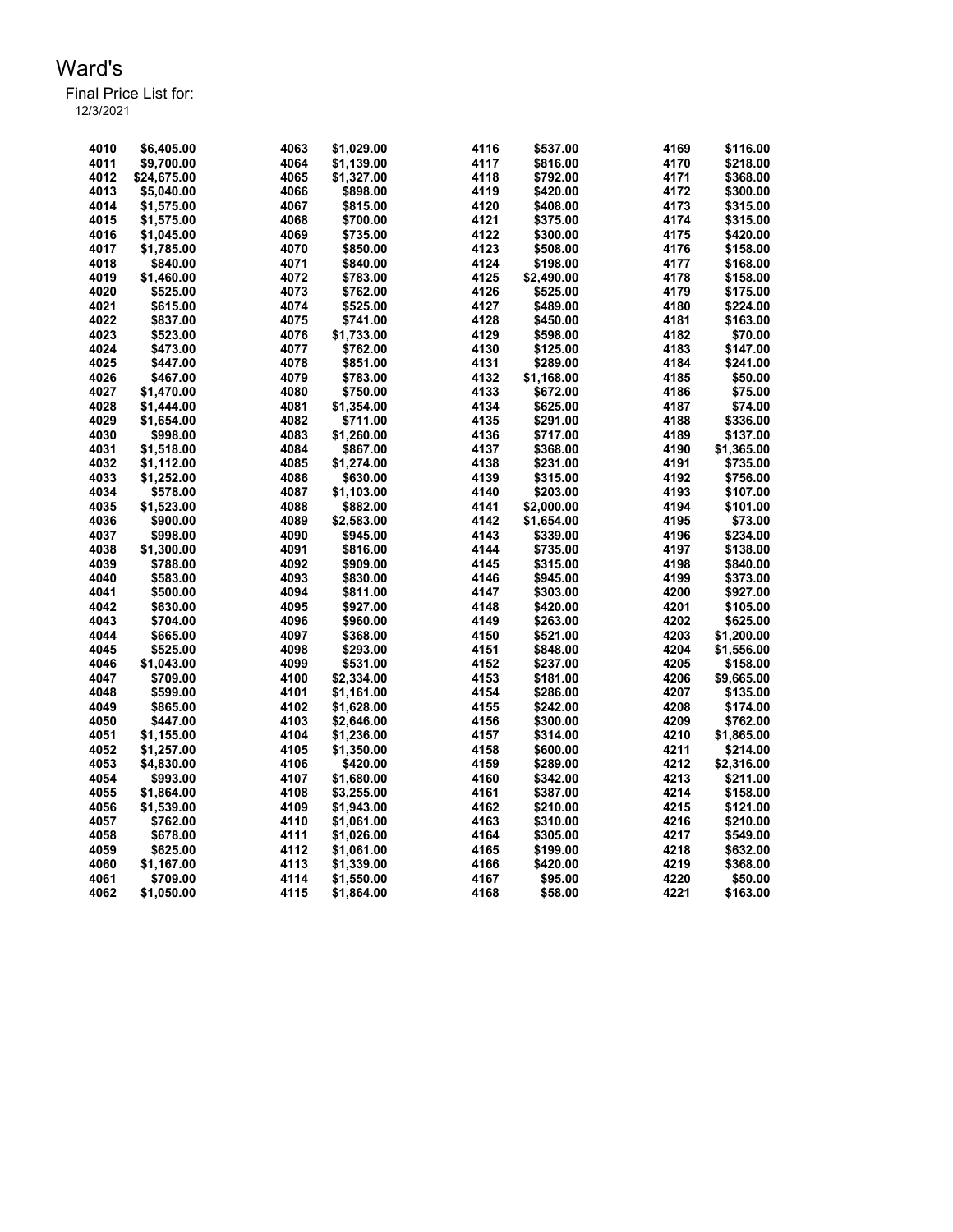| 4010 | \$6.405.00  | 4063 | \$1.029.00 | 4116 | \$537.00   | 4169 | \$116.00   |
|------|-------------|------|------------|------|------------|------|------------|
| 4011 | \$9,700.00  | 4064 | \$1,139.00 | 4117 | \$816.00   | 4170 | \$218.00   |
| 4012 | \$24,675.00 | 4065 | \$1,327.00 | 4118 | \$792.00   | 4171 | \$368.00   |
| 4013 | \$5,040.00  | 4066 | \$898.00   | 4119 | \$420.00   | 4172 | \$300.00   |
| 4014 | \$1,575.00  | 4067 | \$815.00   | 4120 | \$408.00   | 4173 | \$315.00   |
| 4015 | \$1,575.00  | 4068 | \$700.00   | 4121 | \$375.00   | 4174 | \$315.00   |
| 4016 | \$1,045.00  | 4069 | \$735.00   | 4122 | \$300.00   | 4175 | \$420.00   |
| 4017 | \$1,785.00  | 4070 | \$850.00   | 4123 | \$508.00   | 4176 | \$158.00   |
| 4018 | \$840.00    | 4071 | \$840.00   | 4124 | \$198.00   | 4177 | \$168.00   |
| 4019 | \$1,460.00  | 4072 | \$783.00   | 4125 | \$2,490.00 | 4178 | \$158.00   |
| 4020 | \$525.00    | 4073 | \$762.00   | 4126 | \$525.00   | 4179 | \$175.00   |
| 4021 | \$615.00    | 4074 | \$525.00   | 4127 | \$489.00   | 4180 | \$224.00   |
| 4022 | \$837.00    | 4075 | \$741.00   | 4128 | \$450.00   | 4181 | \$163.00   |
| 4023 | \$523.00    | 4076 | \$1,733.00 | 4129 | \$598.00   | 4182 | \$70.00    |
| 4024 | \$473.00    | 4077 | \$762.00   | 4130 | \$125.00   | 4183 | \$147.00   |
| 4025 | \$447.00    | 4078 | \$851.00   | 4131 | \$289.00   | 4184 | \$241.00   |
| 4026 | \$467.00    | 4079 | \$783.00   | 4132 | \$1,168.00 | 4185 | \$50.00    |
| 4027 | \$1,470.00  | 4080 | \$750.00   | 4133 | \$672.00   | 4186 | \$75.00    |
| 4028 | \$1,444.00  | 4081 | \$1,354.00 | 4134 | \$625.00   | 4187 | \$74.00    |
| 4029 | \$1,654.00  | 4082 | \$711.00   | 4135 | \$291.00   | 4188 | \$336.00   |
| 4030 | \$998.00    | 4083 | \$1,260.00 | 4136 | \$717.00   | 4189 | \$137.00   |
| 4031 | \$1,518.00  | 4084 | \$867.00   | 4137 | \$368.00   | 4190 | \$1,365.00 |
| 4032 |             | 4085 |            | 4138 |            | 4191 |            |
|      | \$1,112.00  |      | \$1,274.00 |      | \$231.00   |      | \$735.00   |
| 4033 | \$1,252.00  | 4086 | \$630.00   | 4139 | \$315.00   | 4192 | \$756.00   |
| 4034 | \$578.00    | 4087 | \$1,103.00 | 4140 | \$203.00   | 4193 | \$107.00   |
| 4035 | \$1,523.00  | 4088 | \$882.00   | 4141 | \$2,000.00 | 4194 | \$101.00   |
| 4036 | \$900.00    | 4089 | \$2,583.00 | 4142 | \$1,654.00 | 4195 | \$73.00    |
| 4037 | \$998.00    | 4090 | \$945.00   | 4143 | \$339.00   | 4196 | \$234.00   |
| 4038 | \$1,300.00  | 4091 | \$816.00   | 4144 | \$735.00   | 4197 | \$138.00   |
| 4039 | \$788.00    | 4092 | \$909.00   | 4145 | \$315.00   | 4198 | \$840.00   |
| 4040 | \$583.00    | 4093 | \$830.00   | 4146 | \$945.00   | 4199 | \$373.00   |
| 4041 | \$500.00    | 4094 | \$811.00   | 4147 | \$303.00   | 4200 | \$927.00   |
| 4042 | \$630.00    | 4095 | \$927.00   | 4148 | \$420.00   | 4201 | \$105.00   |
| 4043 | \$704.00    | 4096 | \$960.00   | 4149 | \$263.00   | 4202 | \$625.00   |
| 4044 | \$665.00    | 4097 | \$368.00   | 4150 | \$521.00   | 4203 | \$1,200.00 |
| 4045 | \$525.00    | 4098 | \$293.00   | 4151 | \$848.00   | 4204 | \$1,556.00 |
| 4046 | \$1,043.00  | 4099 | \$531.00   | 4152 | \$237.00   | 4205 | \$158.00   |
| 4047 | \$709.00    | 4100 | \$2,334.00 | 4153 | \$181.00   | 4206 | \$9,665.00 |
| 4048 | \$599.00    | 4101 | \$1,161.00 | 4154 | \$286.00   | 4207 | \$135.00   |
| 4049 | \$865.00    | 4102 | \$1,628.00 | 4155 | \$242.00   | 4208 | \$174.00   |
| 4050 | \$447.00    | 4103 | \$2,646.00 | 4156 | \$300.00   | 4209 | \$762.00   |
| 4051 | \$1,155.00  | 4104 | \$1,236.00 | 4157 | \$314.00   | 4210 | \$1,865.00 |
| 4052 | \$1,257.00  | 4105 | \$1,350.00 | 4158 | \$600.00   | 4211 | \$214.00   |
| 4053 | \$4,830.00  | 4106 | \$420.00   | 4159 | \$289.00   | 4212 | \$2,316.00 |
| 4054 | \$993.00    | 4107 | \$1,680.00 | 4160 | \$342.00   | 4213 | \$211.00   |
| 4055 | \$1,864.00  | 4108 | \$3,255.00 | 4161 | \$387.00   | 4214 | \$158.00   |
| 4056 | \$1,539.00  | 4109 | \$1,943.00 | 4162 | \$210.00   | 4215 | \$121.00   |
| 4057 | \$762.00    | 4110 | \$1,061.00 | 4163 | \$310.00   | 4216 | \$210.00   |
| 4058 | \$678.00    | 4111 | \$1,026.00 | 4164 | \$305.00   | 4217 | \$549.00   |
| 4059 | \$625.00    | 4112 | \$1,061.00 | 4165 | \$199.00   | 4218 | \$632.00   |
| 4060 | \$1,167.00  | 4113 | \$1,339.00 | 4166 | \$420.00   | 4219 | \$368.00   |
| 4061 | \$709.00    | 4114 | \$1,550.00 | 4167 | \$95.00    | 4220 | \$50.00    |
| 4062 | \$1,050.00  | 4115 | \$1,864.00 | 4168 | \$58.00    | 4221 | \$163.00   |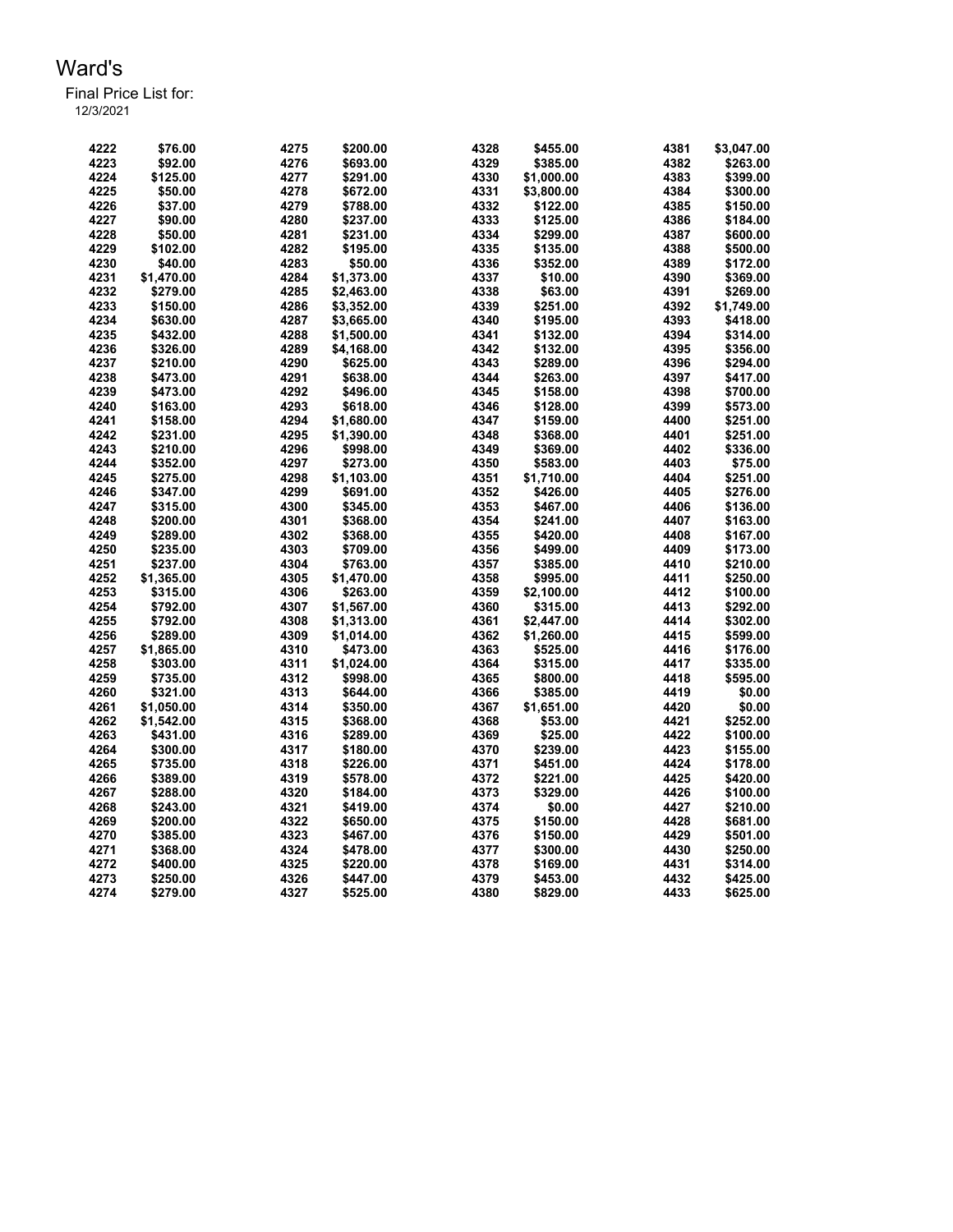Final Price List for: 12/3/2021

> \$76.00 4275 \$200.00 4328 \$455.00 4381 \$3,047.00 \$92.00 4276 \$693.00 4329 \$385.00 4382 \$263.00 \$125.00 4277 \$291.00 4330 \$1,000.00 4383 \$399.00 \$50.00 4278 \$672.00 4331 \$3,800.00 4384 \$300.00 \$37.00 4279 \$788.00 4332 \$122.00 4385 \$150.00 \$90.00 4280 \$237.00 4333 \$125.00 4386 \$184.00 \$50.00 4281 \$231.00 4334 \$299.00 4387 \$600.00 \$102.00 4282 \$195.00 4335 \$135.00 4388 \$500.00 \$40.00 4283 \$50.00 4336 \$352.00 4389 \$172.00 \$1,470.00 4284 \$1,373.00 4337 \$10.00 4390 \$369.00 \$279.00 4285 \$2,463.00 4338 \$63.00 4391 \$269.00 \$150.00 4286 \$3,352.00 4339 \$251.00 4392 \$1,749.00 \$630.00 4287 \$3,665.00 4340 \$195.00 4393 \$418.00 \$432.00 4288 \$1,500.00 4341 \$132.00 4394 \$314.00 \$326.00 4289 \$4,168.00 4342 \$132.00 4395 \$356.00 \$210.00 4290 \$625.00 4343 \$289.00 4396 \$294.00 \$473.00 4291 \$638.00 4344 \$263.00 4397 \$417.00 \$473.00 4292 \$496.00 4345 \$158.00 4398 \$700.00 \$163.00 4293 \$618.00 4346 \$128.00 4399 \$573.00 \$158.00 4294 \$1,680.00 4347 \$159.00 4400 \$251.00 \$231.00 4295 \$1,390.00 4348 \$368.00 4401 \$251.00 \$210.00 4296 \$998.00 4349 \$369.00 4402 \$336.00 \$352.00 4297 \$273.00 4350 \$583.00 4403 \$75.00 \$275.00 4298 \$1,103.00 4351 \$1,710.00 4404 \$251.00 \$347.00 4299 \$691.00 4352 \$426.00 4405 \$276.00 \$315.00 4300 \$345.00 4353 \$467.00 4406 \$136.00 \$200.00 4301 \$368.00 4354 \$241.00 4407 \$163.00 \$289.00 4302 \$368.00 4355 \$420.00 4408 \$167.00 \$235.00 4303 \$709.00 4356 \$499.00 4409 \$173.00 \$237.00 4304 \$763.00 4357 \$385.00 4410 \$210.00 \$1,365.00 4305 \$1,470.00 4358 \$995.00 4411 \$250.00 \$315.00 4306 \$263.00 4359 \$2,100.00 4412 \$100.00 \$792.00 4307 \$1,567.00 4360 \$315.00 4413 \$292.00 \$792.00 4308 \$1,313.00 4361 \$2,447.00 4414 \$302.00 \$289.00 4309 \$1,014.00 4362 \$1,260.00 4415 \$599.00 \$1,865.00 4310 \$473.00 4363 \$525.00 4416 \$176.00 \$303.00 4311 \$1,024.00 4364 \$315.00 4417 \$335.00 \$735.00 4312 \$998.00 4365 \$800.00 4418 \$595.00 \$321.00 4313 \$644.00 4366 \$385.00 4419 \$0.00 \$1,050.00 4314 \$350.00 4367 \$1,651.00 4420 \$0.00 \$1,542.00 4315 \$368.00 4368 \$53.00 4421 \$252.00 \$431.00 4316 \$289.00 4369 \$25.00 4422 \$100.00 \$300.00 4317 \$180.00 4370 \$239.00 4423 \$155.00 \$735.00 4318 \$226.00 4371 \$451.00 4424 \$178.00 \$389.00 4319 \$578.00 4372 \$221.00 4425 \$420.00 \$288.00 4320 \$184.00 4373 \$329.00 4426 \$100.00 \$243.00 4321 \$419.00 4374 \$0.00 4427 \$210.00 \$200.00 4322 \$650.00 4375 \$150.00 4428 \$681.00 \$385.00 4323 \$467.00 4376 \$150.00 4429 \$501.00 \$368.00 4324 \$478.00 4377 \$300.00 4430 \$250.00 \$400.00 4325 \$220.00 4378 \$169.00 4431 \$314.00 \$250.00 4326 \$447.00 4379 \$453.00 4432 \$425.00 \$279.00 4327 \$525.00 4380 \$829.00 4433 \$625.00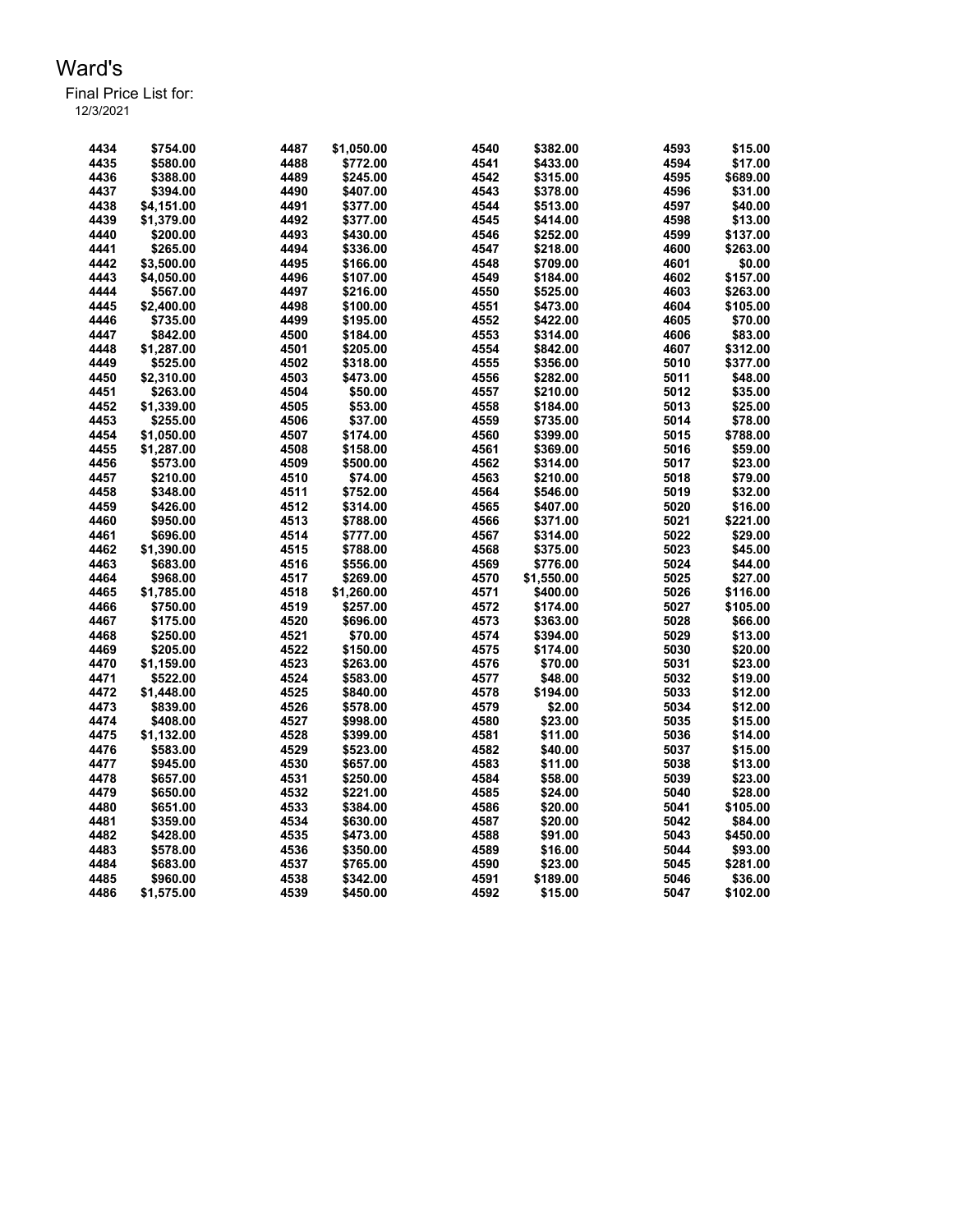| 4434 | \$754.00   | 4487 | \$1,050.00           | 4540 | \$382.00   | 4593 | \$15.00  |
|------|------------|------|----------------------|------|------------|------|----------|
| 4435 | \$580.00   | 4488 | \$772.00             | 4541 | \$433.00   | 4594 | \$17.00  |
| 4436 | \$388.00   | 4489 | \$245.00             | 4542 | \$315.00   | 4595 | \$689.00 |
| 4437 | \$394.00   | 4490 | \$407.00             | 4543 | \$378.00   | 4596 | \$31.00  |
| 4438 | \$4,151.00 | 4491 | \$377.00             | 4544 | \$513.00   | 4597 | \$40.00  |
| 4439 | \$1,379.00 | 4492 | \$377.00             | 4545 | \$414.00   | 4598 | \$13.00  |
| 4440 | \$200.00   | 4493 | \$430.00             | 4546 | \$252.00   | 4599 | \$137.00 |
| 4441 | \$265.00   | 4494 | \$336.00             | 4547 | \$218.00   | 4600 | \$263.00 |
| 4442 | \$3,500.00 | 4495 | \$166.00             | 4548 | \$709.00   | 4601 | \$0.00   |
| 4443 | \$4,050.00 | 4496 | \$107.00             | 4549 | \$184.00   | 4602 | \$157.00 |
| 4444 | \$567.00   | 4497 | \$216.00             | 4550 | \$525.00   | 4603 | \$263.00 |
| 4445 | \$2,400.00 | 4498 | \$100.00             | 4551 | \$473.00   | 4604 | \$105.00 |
| 4446 | \$735.00   | 4499 | \$195.00             | 4552 | \$422.00   | 4605 | \$70.00  |
| 4447 | \$842.00   | 4500 | \$184.00             | 4553 | \$314.00   | 4606 | \$83.00  |
| 4448 | \$1,287.00 | 4501 | \$205.00             | 4554 | \$842.00   | 4607 | \$312.00 |
| 4449 | \$525.00   | 4502 | \$318.00             | 4555 | \$356.00   | 5010 | \$377.00 |
| 4450 | \$2,310.00 | 4503 | \$473.00             | 4556 | \$282.00   | 5011 | \$48.00  |
| 4451 | \$263.00   | 4504 | \$50.00              | 4557 | \$210.00   | 5012 | \$35.00  |
| 4452 | \$1,339.00 | 4505 | \$53.00              | 4558 | \$184.00   | 5013 | \$25.00  |
| 4453 | \$255.00   | 4506 | \$37.00              | 4559 | \$735.00   | 5014 | \$78.00  |
| 4454 | \$1,050.00 | 4507 | \$174.00             | 4560 | \$399.00   | 5015 | \$788.00 |
| 4455 | \$1,287.00 | 4508 | \$158.00             | 4561 | \$369.00   | 5016 | \$59.00  |
| 4456 | \$573.00   | 4509 | \$500.00             | 4562 | \$314.00   | 5017 | \$23.00  |
| 4457 | \$210.00   | 4510 | \$74.00              | 4563 | \$210.00   | 5018 | \$79.00  |
| 4458 | \$348.00   | 4511 | \$752.00             | 4564 | \$546.00   | 5019 | \$32.00  |
| 4459 | \$426.00   | 4512 | \$314.00             | 4565 | \$407.00   | 5020 | \$16.00  |
| 4460 | \$950.00   | 4513 | \$788.00             | 4566 | \$371.00   | 5021 | \$221.00 |
| 4461 | \$696.00   | 4514 |                      | 4567 |            | 5022 | \$29.00  |
| 4462 |            | 4515 | \$777.00<br>\$788.00 | 4568 | \$314.00   | 5023 | \$45.00  |
|      | \$1,390.00 |      |                      |      | \$375.00   |      |          |
| 4463 | \$683.00   | 4516 | \$556.00             | 4569 | \$776.00   | 5024 | \$44.00  |
| 4464 | \$968.00   | 4517 | \$269.00             | 4570 | \$1,550.00 | 5025 | \$27.00  |
| 4465 | \$1,785.00 | 4518 | \$1,260.00           | 4571 | \$400.00   | 5026 | \$116.00 |
| 4466 | \$750.00   | 4519 | \$257.00             | 4572 | \$174.00   | 5027 | \$105.00 |
| 4467 | \$175.00   | 4520 | \$696.00             | 4573 | \$363.00   | 5028 | \$66.00  |
| 4468 | \$250.00   | 4521 | \$70.00              | 4574 | \$394.00   | 5029 | \$13.00  |
| 4469 | \$205.00   | 4522 | \$150.00             | 4575 | \$174.00   | 5030 | \$20.00  |
| 4470 | \$1,159.00 | 4523 | \$263.00             | 4576 | \$70.00    | 5031 | \$23.00  |
| 4471 | \$522.00   | 4524 | \$583.00             | 4577 | \$48.00    | 5032 | \$19.00  |
| 4472 | \$1,448.00 | 4525 | \$840.00             | 4578 | \$194.00   | 5033 | \$12.00  |
| 4473 | \$839.00   | 4526 | \$578.00             | 4579 | \$2.00     | 5034 | \$12.00  |
| 4474 | \$408.00   | 4527 | \$998.00             | 4580 | \$23.00    | 5035 | \$15.00  |
| 4475 | \$1,132.00 | 4528 | \$399.00             | 4581 | \$11.00    | 5036 | \$14.00  |
| 4476 | \$583.00   | 4529 | \$523.00             | 4582 | \$40.00    | 5037 | \$15.00  |
| 4477 | \$945.00   | 4530 | \$657.00             | 4583 | \$11.00    | 5038 | \$13.00  |
| 4478 | \$657.00   | 4531 | \$250.00             | 4584 | \$58.00    | 5039 | \$23.00  |
| 4479 | \$650.00   | 4532 | \$221.00             | 4585 | \$24.00    | 5040 | \$28.00  |
| 4480 | \$651.00   | 4533 | \$384.00             | 4586 | \$20.00    | 5041 | \$105.00 |
| 4481 | \$359.00   | 4534 | \$630.00             | 4587 | \$20.00    | 5042 | \$84.00  |
| 4482 | \$428.00   | 4535 | \$473.00             | 4588 | \$91.00    | 5043 | \$450.00 |
| 4483 | \$578.00   | 4536 | \$350.00             | 4589 | \$16.00    | 5044 | \$93.00  |
| 4484 | \$683.00   | 4537 | \$765.00             | 4590 | \$23.00    | 5045 | \$281.00 |
| 4485 | \$960.00   | 4538 | \$342.00             | 4591 | \$189.00   | 5046 | \$36.00  |
| 4486 | \$1,575.00 | 4539 | \$450.00             | 4592 | \$15.00    | 5047 | \$102.00 |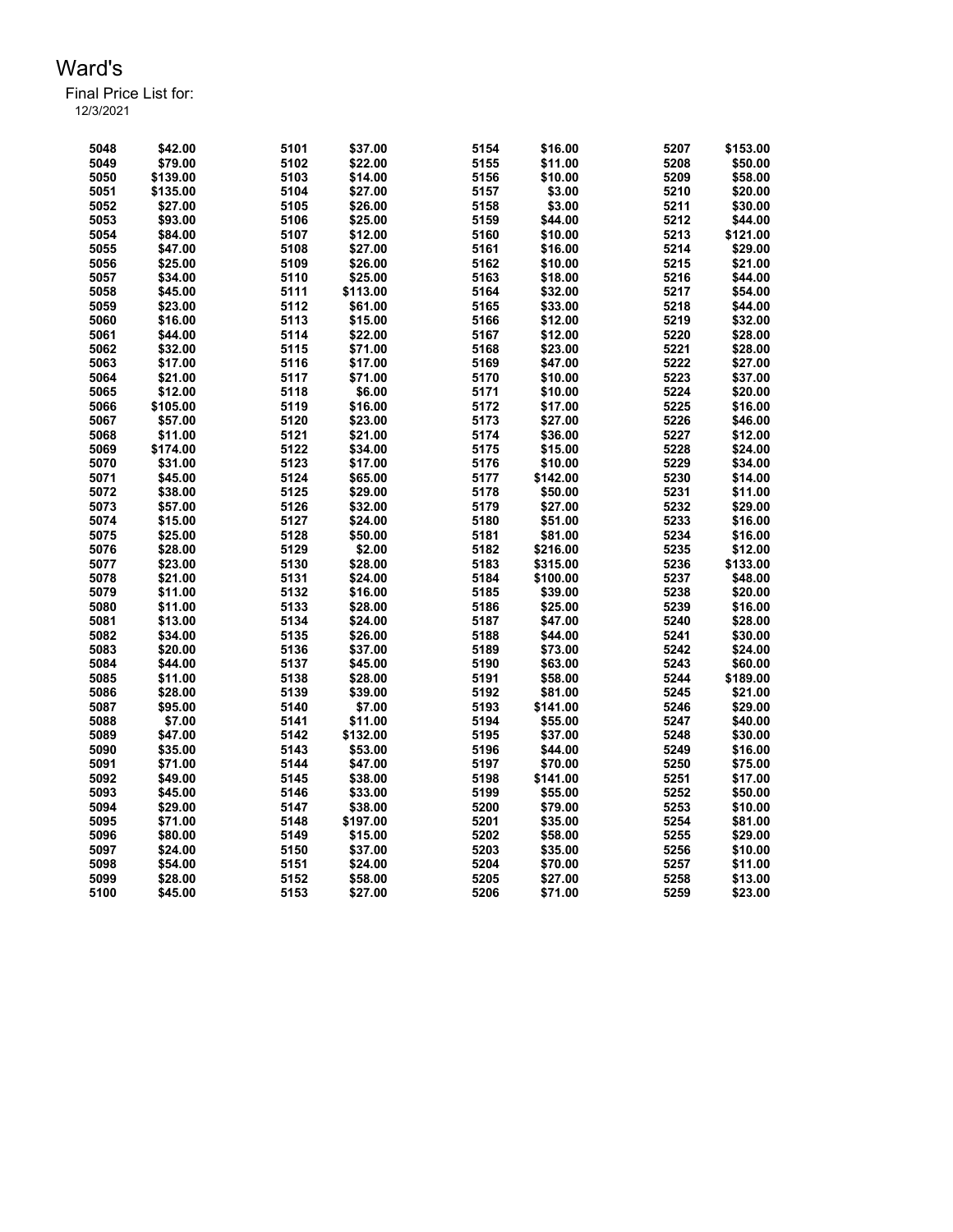Final Price List for: 12/3/2021

> \$42.00 5101 \$37.00 5154 \$16.00 5207 \$153.00 \$79.00 5102 \$22.00 5155 \$11.00 5208 \$50.00 \$139.00 5103 \$14.00 5156 \$10.00 5209 \$58.00 \$135.00 5104 \$27.00 5157 \$3.00 5210 \$20.00 \$27.00 5105 \$26.00 5158 \$3.00 5211 \$30.00 \$93.00 5106 \$25.00 5159 \$44.00 5212 \$44.00 \$84.00 5107 \$12.00 5160 \$10.00 5213 \$121.00 \$47.00 5108 \$27.00 5161 \$16.00 5214 \$29.00 \$25.00 5109 \$26.00 5162 \$10.00 5215 \$21.00 \$34.00 5110 \$25.00 5163 \$18.00 5216 \$44.00 \$45.00 5111 \$113.00 5164 \$32.00 5217 \$54.00 \$23.00 5112 \$61.00 5165 \$33.00 5218 \$44.00 \$16.00 5113 \$15.00 5166 \$12.00 5219 \$32.00 \$44.00 5114 \$22.00 5167 \$12.00 5220 \$28.00 \$32.00 5115 \$71.00 5168 \$23.00 5221 \$28.00 \$17.00 5116 \$17.00 5169 \$47.00 5222 \$27.00 \$21.00 5117 \$71.00 5170 \$10.00 5223 \$37.00 \$12.00 5118 \$6.00 5171 \$10.00 5224 \$20.00 \$105.00 5119 \$16.00 5172 \$17.00 5225 \$16.00 \$57.00 5120 \$23.00 5173 \$27.00 5226 \$46.00 \$11.00 5121 \$21.00 5174 \$36.00 5227 \$12.00 \$174.00 5122 \$34.00 5175 \$15.00 5228 \$24.00 \$31.00 5123 \$17.00 5176 \$10.00 5229 \$34.00 \$45.00 5124 \$65.00 5177 \$142.00 5230 \$14.00 \$38.00 5125 \$29.00 5178 \$50.00 5231 \$11.00 \$57.00 5126 \$32.00 5179 \$27.00 5232 \$29.00 \$15.00 5127 \$24.00 5180 \$51.00 5233 \$16.00 \$25.00 5128 \$50.00 5181 \$81.00 5234 \$16.00 \$28.00 5129 \$2.00 5182 \$216.00 5235 \$12.00 \$23.00 5130 \$28.00 5183 \$315.00 5236 \$133.00 \$21.00 5131 \$24.00 5184 \$100.00 5237 \$48.00 \$11.00 5132 \$16.00 5185 \$39.00 5238 \$20.00 \$11.00 5133 \$28.00 5186 \$25.00 5239 \$16.00 \$13.00 5134 \$24.00 5187 \$47.00 5240 \$28.00 \$34.00 5135 \$26.00 5188 \$44.00 5241 \$30.00 \$20.00 5136 \$37.00 5189 \$73.00 5242 \$24.00 \$44.00 5137 \$45.00 5190 \$63.00 5243 \$60.00 \$11.00 5138 \$28.00 5191 \$58.00 5244 \$189.00 \$28.00 5139 \$39.00 5192 \$81.00 5245 \$21.00 \$95.00 5140 \$7.00 5193 \$141.00 5246 \$29.00 \$7.00 5141 \$11.00 5194 \$55.00 5247 \$40.00 \$47.00 5142 \$132.00 5195 \$37.00 5248 \$30.00 \$35.00 5143 \$53.00 5196 \$44.00 5249 \$16.00 \$71.00 5144 \$47.00 5197 \$70.00 5250 \$75.00 \$49.00 5145 \$38.00 5198 \$141.00 5251 \$17.00 \$45.00 5146 \$33.00 5199 \$55.00 5252 \$50.00 \$29.00 5147 \$38.00 5200 \$79.00 5253 \$10.00 \$71.00 5148 \$197.00 5201 \$35.00 5254 \$81.00 \$80.00 5149 \$15.00 5202 \$58.00 5255 \$29.00 \$24.00 5150 \$37.00 5203 \$35.00 5256 \$10.00 \$54.00 5151 \$24.00 5204 \$70.00 5257 \$11.00 \$28.00 5152 \$58.00 5205 \$27.00 5258 \$13.00 \$45.00 5153 \$27.00 5206 \$71.00 5259 \$23.00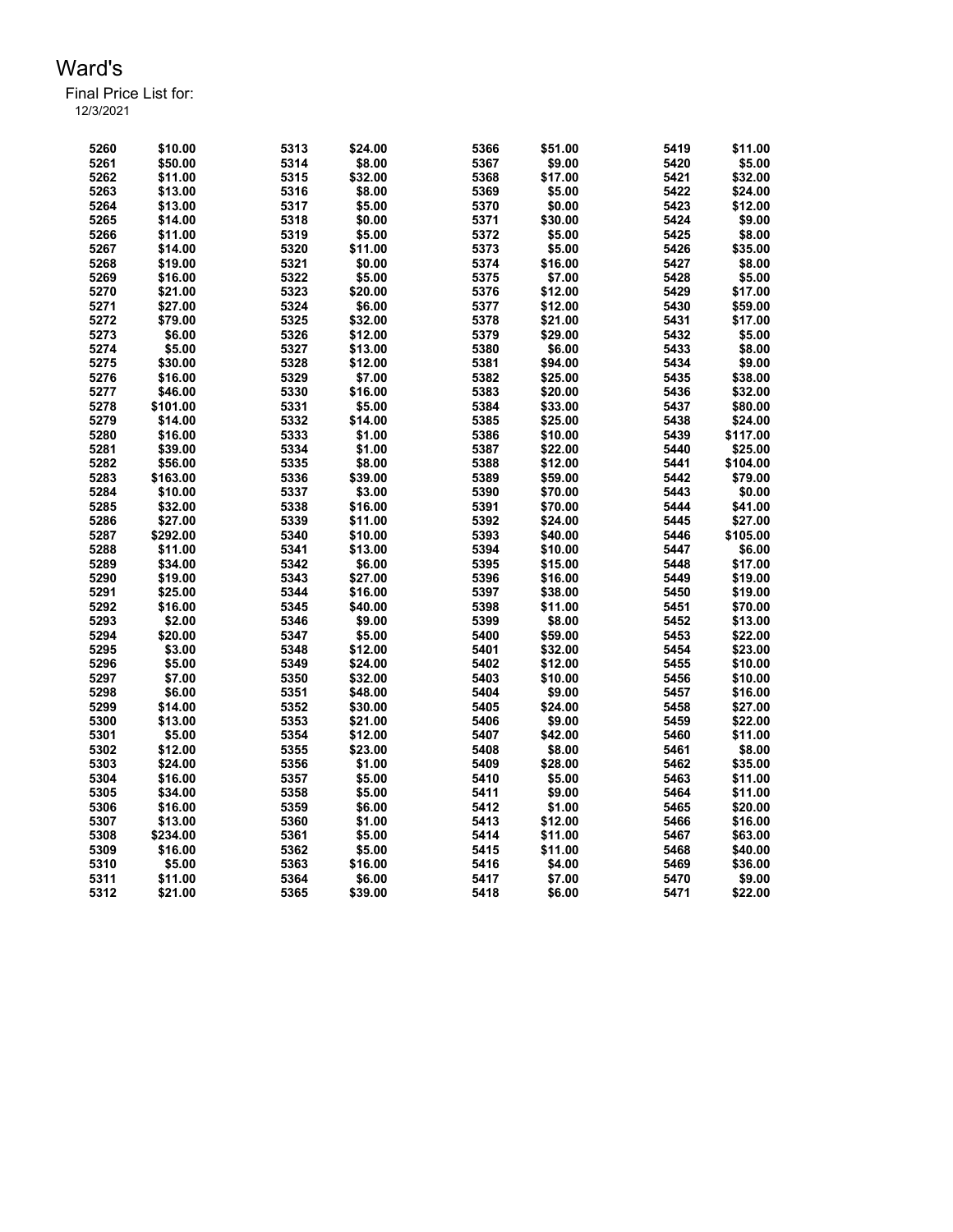Final Price List for: 12/3/2021

> \$10.00 5313 \$24.00 5366 \$51.00 5419 \$11.00 \$50.00 5314 \$8.00 5367 \$9.00 5420 \$5.00 \$11.00 5315 \$32.00 5368 \$17.00 5421 \$32.00 \$13.00 5316 \$8.00 5369 \$5.00 5422 \$24.00 \$13.00 5317 \$5.00 5370 \$0.00 5423 \$12.00 \$14.00 5318 \$0.00 5371 \$30.00 5424 \$9.00 \$11.00 5319 \$5.00 5372 \$5.00 5425 \$8.00 \$14.00 5320 \$11.00 5373 \$5.00 5426 \$35.00 \$19.00 5321 \$0.00 5374 \$16.00 5427 \$8.00 \$16.00 5322 \$5.00 5375 \$7.00 5428 \$5.00 \$21.00 5323 \$20.00 5376 \$12.00 5429 \$17.00 \$27.00 5324 \$6.00 5377 \$12.00 5430 \$59.00 \$79.00 5325 \$32.00 5378 \$21.00 5431 \$17.00 \$6.00 5326 \$12.00 5379 \$29.00 5432 \$5.00 \$5.00 5327 \$13.00 5380 \$6.00 5433 \$8.00 \$30.00 5328 \$12.00 5381 \$94.00 5434 \$9.00 \$16.00 5329 \$7.00 5382 \$25.00 5435 \$38.00 \$46.00 5330 \$16.00 5383 \$20.00 5436 \$32.00 \$101.00 5331 \$5.00 5384 \$33.00 5437 \$80.00 \$14.00 5332 \$14.00 5385 \$25.00 5438 \$24.00 \$16.00 5333 \$1.00 5386 \$10.00 5439 \$117.00 \$39.00 5334 \$1.00 5387 \$22.00 5440 \$25.00 \$56.00 5335 \$8.00 5388 \$12.00 5441 \$104.00 \$163.00 5336 \$39.00 5389 \$59.00 5442 \$79.00 \$10.00 5337 \$3.00 5390 \$70.00 5443 \$0.00 \$32.00 5338 \$16.00 5391 \$70.00 5444 \$41.00 \$27.00 5339 \$11.00 5392 \$24.00 5445 \$27.00 \$292.00 5340 \$10.00 5393 \$40.00 5446 \$105.00 \$11.00 5341 \$13.00 5394 \$10.00 5447 \$6.00 \$34.00 5342 \$6.00 5395 \$15.00 5448 \$17.00 \$19.00 5343 \$27.00 5396 \$16.00 5449 \$19.00 \$25.00 5344 \$16.00 5397 \$38.00 5450 \$19.00 \$16.00 5345 \$40.00 5398 \$11.00 5451 \$70.00 \$2.00 5346 \$9.00 5399 \$8.00 5452 \$13.00 \$20.00 5347 \$5.00 5400 \$59.00 5453 \$22.00 \$3.00 5348 \$12.00 5401 \$32.00 5454 \$23.00 \$5.00 5349 \$24.00 5402 \$12.00 5455 \$10.00 \$7.00 5350 \$32.00 5403 \$10.00 5456 \$10.00 \$6.00 5351 \$48.00 5404 \$9.00 5457 \$16.00 \$14.00 5352 \$30.00 5405 \$24.00 5458 \$27.00 \$13.00 5353 \$21.00 5406 \$9.00 5459 \$22.00 \$5.00 5354 \$12.00 5407 \$42.00 5460 \$11.00 \$12.00 5355 \$23.00 5408 \$8.00 5461 \$8.00 \$24.00 5356 \$1.00 5409 \$28.00 5462 \$35.00 \$16.00 5357 \$5.00 5410 \$5.00 5463 \$11.00 \$34.00 5358 \$5.00 5411 \$9.00 5464 \$11.00 \$16.00 5359 \$6.00 5412 \$1.00 5465 \$20.00 \$13.00 5360 \$1.00 5413 \$12.00 5466 \$16.00 \$234.00 5361 \$5.00 5414 \$11.00 5467 \$63.00 \$16.00 5362 \$5.00 5415 \$11.00 5468 \$40.00 \$5.00 5363 \$16.00 5416 \$4.00 5469 \$36.00 \$11.00 5364 \$6.00 5417 \$7.00 5470 \$9.00 \$21.00 5365 \$39.00 5418 \$6.00 5471 \$22.00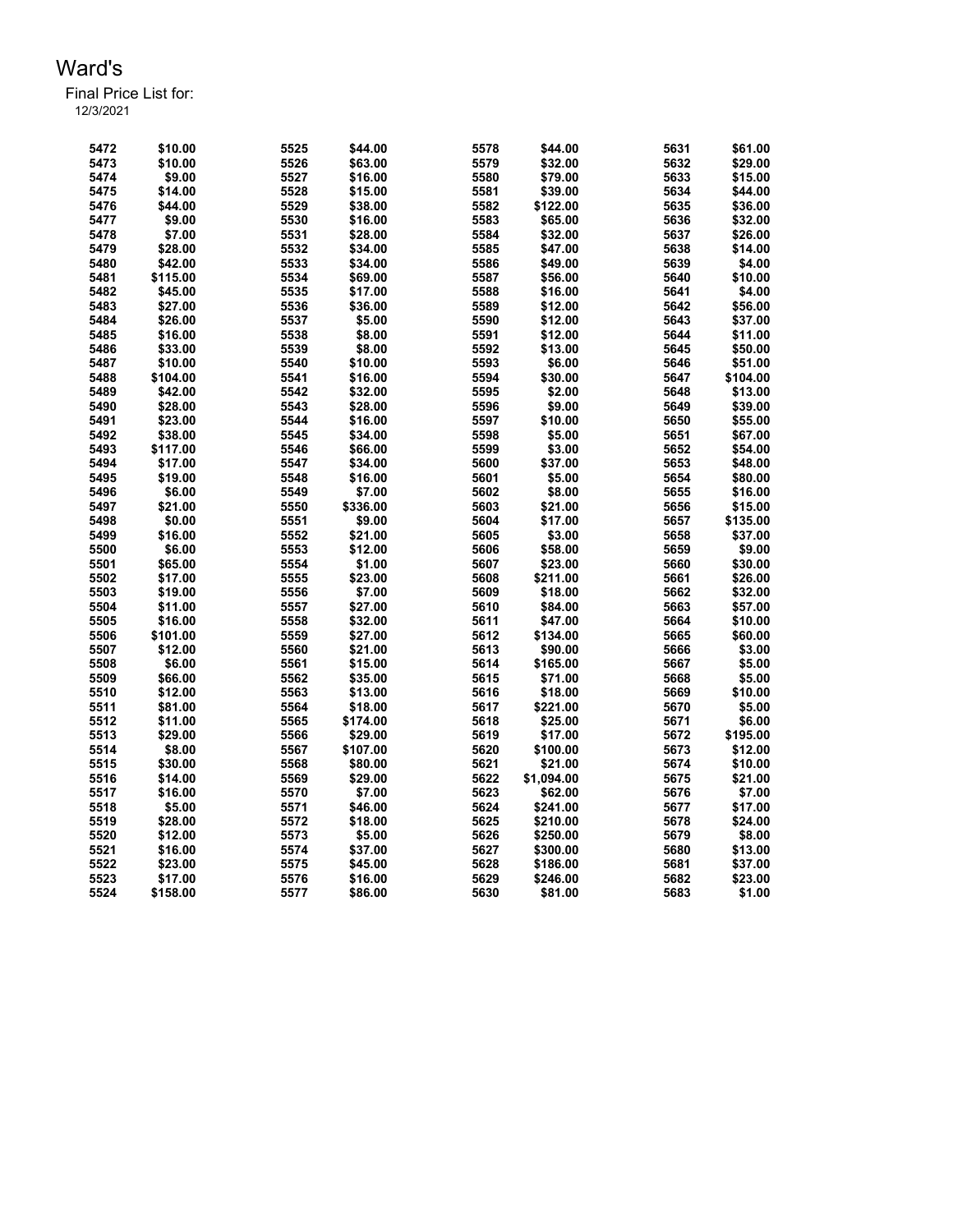| 5472 | \$10.00  | 5525 | \$44.00  | 5578 | \$44.00    | 5631 | \$61.00  |
|------|----------|------|----------|------|------------|------|----------|
| 5473 | \$10.00  | 5526 | \$63.00  | 5579 | \$32.00    | 5632 | \$29.00  |
| 5474 | \$9.00   | 5527 | \$16.00  | 5580 | \$79.00    | 5633 | \$15.00  |
| 5475 | \$14.00  | 5528 | \$15.00  | 5581 | \$39.00    | 5634 | \$44.00  |
| 5476 | \$44.00  | 5529 | \$38.00  | 5582 | \$122.00   | 5635 | \$36.00  |
| 5477 | \$9.00   | 5530 | \$16.00  | 5583 | \$65.00    | 5636 | \$32.00  |
| 5478 | \$7.00   | 5531 | \$28.00  | 5584 | \$32.00    | 5637 | \$26.00  |
| 5479 | \$28.00  | 5532 | \$34.00  | 5585 | \$47.00    | 5638 | \$14.00  |
| 5480 | \$42.00  | 5533 | \$34.00  | 5586 | \$49.00    | 5639 | \$4.00   |
| 5481 | \$115.00 | 5534 | \$69.00  | 5587 | \$56.00    | 5640 | \$10.00  |
| 5482 | \$45.00  | 5535 | \$17.00  | 5588 | \$16.00    | 5641 | \$4.00   |
| 5483 | \$27.00  | 5536 | \$36.00  | 5589 | \$12.00    | 5642 | \$56.00  |
| 5484 | \$26.00  | 5537 | \$5.00   | 5590 | \$12.00    | 5643 | \$37.00  |
| 5485 | \$16.00  | 5538 | \$8.00   | 5591 | \$12.00    | 5644 | \$11.00  |
| 5486 | \$33.00  | 5539 | \$8.00   | 5592 | \$13.00    | 5645 | \$50.00  |
| 5487 | \$10.00  | 5540 | \$10.00  | 5593 | \$6.00     | 5646 | \$51.00  |
| 5488 | \$104.00 | 5541 | \$16.00  | 5594 | \$30.00    | 5647 | \$104.00 |
| 5489 | \$42.00  | 5542 | \$32.00  | 5595 | \$2.00     | 5648 | \$13.00  |
| 5490 | \$28.00  | 5543 | \$28.00  | 5596 | \$9.00     | 5649 | \$39.00  |
| 5491 | \$23.00  | 5544 | \$16.00  | 5597 | \$10.00    | 5650 | \$55.00  |
| 5492 | \$38.00  | 5545 | \$34.00  | 5598 | \$5.00     | 5651 | \$67.00  |
| 5493 | \$117.00 | 5546 | \$66.00  | 5599 | \$3.00     | 5652 | \$54.00  |
| 5494 | \$17.00  | 5547 | \$34.00  | 5600 | \$37.00    | 5653 | \$48.00  |
| 5495 | \$19.00  | 5548 | \$16.00  | 5601 | \$5.00     | 5654 | \$80.00  |
| 5496 | \$6.00   | 5549 | \$7.00   | 5602 | \$8.00     | 5655 | \$16.00  |
| 5497 | \$21.00  | 5550 | \$336.00 | 5603 | \$21.00    | 5656 | \$15.00  |
| 5498 | \$0.00   | 5551 | \$9.00   | 5604 | \$17.00    | 5657 | \$135.00 |
| 5499 | \$16.00  | 5552 | \$21.00  | 5605 | \$3.00     | 5658 | \$37.00  |
| 5500 | \$6.00   | 5553 | \$12.00  | 5606 | \$58.00    | 5659 | \$9.00   |
| 5501 | \$65.00  | 5554 | \$1.00   | 5607 | \$23.00    | 5660 | \$30.00  |
| 5502 | \$17.00  | 5555 | \$23.00  | 5608 | \$211.00   | 5661 | \$26.00  |
| 5503 | \$19.00  | 5556 | \$7.00   | 5609 | \$18.00    | 5662 | \$32.00  |
| 5504 | \$11.00  | 5557 | \$27.00  | 5610 | \$84.00    | 5663 | \$57.00  |
| 5505 | \$16.00  | 5558 | \$32.00  | 5611 | \$47.00    | 5664 | \$10.00  |
| 5506 | \$101.00 | 5559 | \$27.00  | 5612 | \$134.00   | 5665 | \$60.00  |
| 5507 | \$12.00  | 5560 | \$21.00  | 5613 | \$90.00    | 5666 | \$3.00   |
| 5508 | \$6.00   | 5561 | \$15.00  | 5614 | \$165.00   | 5667 | \$5.00   |
| 5509 | \$66.00  | 5562 | \$35.00  | 5615 | \$71.00    | 5668 | \$5.00   |
| 5510 | \$12.00  | 5563 | \$13.00  | 5616 | \$18.00    | 5669 | \$10.00  |
| 5511 | \$81.00  | 5564 | \$18.00  | 5617 | \$221.00   | 5670 | \$5.00   |
| 5512 | \$11.00  | 5565 | \$174.00 | 5618 | \$25.00    | 5671 | \$6.00   |
| 5513 | \$29.00  | 5566 | \$29.00  | 5619 | \$17.00    | 5672 | \$195.00 |
| 5514 | \$8.00   | 5567 | \$107.00 | 5620 | \$100.00   | 5673 | \$12.00  |
| 5515 | \$30.00  | 5568 | \$80.00  | 5621 | \$21.00    | 5674 | \$10.00  |
| 5516 | \$14.00  | 5569 | \$29.00  | 5622 | \$1,094.00 | 5675 | \$21.00  |
| 5517 | \$16.00  | 5570 | \$7.00   | 5623 | \$62.00    | 5676 | \$7.00   |
| 5518 | \$5.00   | 5571 | \$46.00  | 5624 | \$241.00   | 5677 | \$17.00  |
| 5519 | \$28.00  | 5572 | \$18.00  | 5625 | \$210.00   | 5678 | \$24.00  |
| 5520 | \$12.00  | 5573 | \$5.00   | 5626 | \$250.00   | 5679 | \$8.00   |
| 5521 | \$16.00  | 5574 | \$37.00  | 5627 | \$300.00   | 5680 | \$13.00  |
| 5522 | \$23.00  | 5575 | \$45.00  | 5628 | \$186.00   | 5681 | \$37.00  |
| 5523 | \$17.00  | 5576 | \$16.00  | 5629 | \$246.00   | 5682 | \$23.00  |
| 5524 | \$158.00 | 5577 | \$86.00  | 5630 | \$81.00    | 5683 | \$1.00   |
|      |          |      |          |      |            |      |          |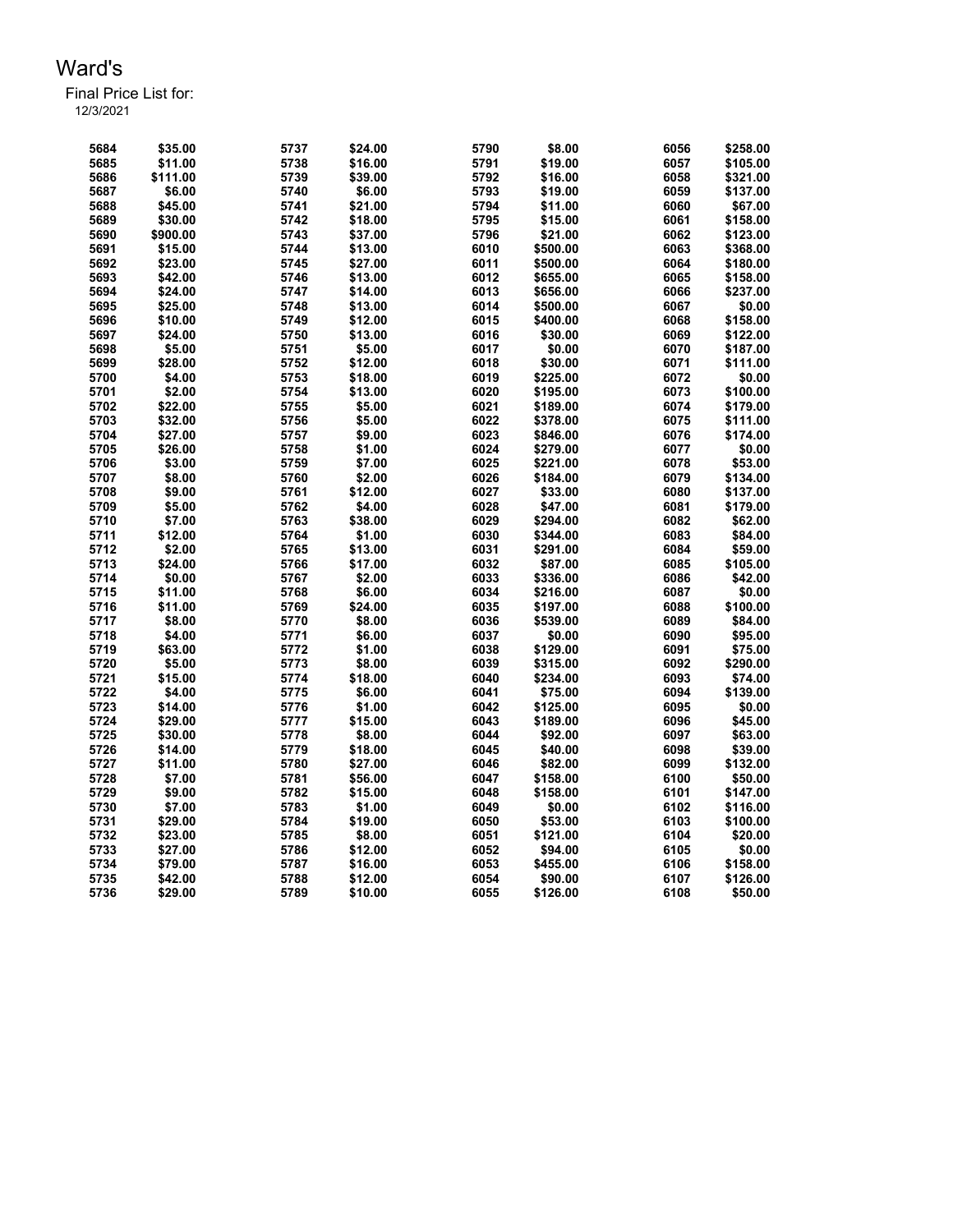Final Price List for:

| 5684 | \$35.00  | 5737 | \$24.00 | 5790 | \$8.00   | 6056 | \$258.00 |
|------|----------|------|---------|------|----------|------|----------|
| 5685 | \$11.00  | 5738 | \$16.00 | 5791 | \$19.00  | 6057 | \$105.00 |
| 5686 | \$111.00 | 5739 | \$39.00 | 5792 | \$16.00  | 6058 | \$321.00 |
| 5687 | \$6.00   | 5740 | \$6.00  | 5793 | \$19.00  | 6059 | \$137.00 |
| 5688 | \$45.00  | 5741 | \$21.00 | 5794 | \$11.00  | 6060 | \$67.00  |
| 5689 | \$30.00  | 5742 | \$18.00 | 5795 | \$15.00  | 6061 | \$158.00 |
| 5690 | \$900.00 | 5743 | \$37.00 | 5796 | \$21.00  | 6062 | \$123.00 |
| 5691 | \$15.00  | 5744 | \$13.00 | 6010 | \$500.00 | 6063 | \$368.00 |
| 5692 | \$23.00  | 5745 | \$27.00 | 6011 | \$500.00 | 6064 | \$180.00 |
| 5693 | \$42.00  | 5746 | \$13.00 | 6012 | \$655.00 | 6065 | \$158.00 |
| 5694 | \$24.00  | 5747 | \$14.00 | 6013 | \$656.00 | 6066 | \$237.00 |
| 5695 | \$25.00  | 5748 | \$13.00 | 6014 | \$500.00 | 6067 | \$0.00   |
| 5696 | \$10.00  | 5749 | \$12.00 | 6015 | \$400.00 | 6068 | \$158.00 |
| 5697 | \$24.00  | 5750 | \$13.00 | 6016 | \$30.00  | 6069 | \$122.00 |
| 5698 | \$5.00   | 5751 | \$5.00  | 6017 | \$0.00   | 6070 | \$187.00 |
| 5699 | \$28.00  | 5752 | \$12.00 | 6018 | \$30.00  | 6071 | \$111.00 |
| 5700 | \$4.00   | 5753 | \$18.00 | 6019 | \$225.00 | 6072 | \$0.00   |
| 5701 | \$2.00   | 5754 | \$13.00 | 6020 | \$195.00 | 6073 | \$100.00 |
| 5702 | \$22.00  | 5755 | \$5.00  | 6021 | \$189.00 | 6074 | \$179.00 |
|      | \$32.00  |      | \$5.00  | 6022 |          | 6075 |          |
| 5703 |          | 5756 |         | 6023 | \$378.00 |      | \$111.00 |
| 5704 | \$27.00  | 5757 | \$9.00  |      | \$846.00 | 6076 | \$174.00 |
| 5705 | \$26.00  | 5758 | \$1.00  | 6024 | \$279.00 | 6077 | \$0.00   |
| 5706 | \$3.00   | 5759 | \$7.00  | 6025 | \$221.00 | 6078 | \$53.00  |
| 5707 | \$8.00   | 5760 | \$2.00  | 6026 | \$184.00 | 6079 | \$134.00 |
| 5708 | \$9.00   | 5761 | \$12.00 | 6027 | \$33.00  | 6080 | \$137.00 |
| 5709 | \$5.00   | 5762 | \$4.00  | 6028 | \$47.00  | 6081 | \$179.00 |
| 5710 | \$7.00   | 5763 | \$38.00 | 6029 | \$294.00 | 6082 | \$62.00  |
| 5711 | \$12.00  | 5764 | \$1.00  | 6030 | \$344.00 | 6083 | \$84.00  |
| 5712 | \$2.00   | 5765 | \$13.00 | 6031 | \$291.00 | 6084 | \$59.00  |
| 5713 | \$24.00  | 5766 | \$17.00 | 6032 | \$87.00  | 6085 | \$105.00 |
| 5714 | \$0.00   | 5767 | \$2.00  | 6033 | \$336.00 | 6086 | \$42.00  |
| 5715 | \$11.00  | 5768 | \$6.00  | 6034 | \$216.00 | 6087 | \$0.00   |
| 5716 | \$11.00  | 5769 | \$24.00 | 6035 | \$197.00 | 6088 | \$100.00 |
| 5717 | \$8.00   | 5770 | \$8.00  | 6036 | \$539.00 | 6089 | \$84.00  |
| 5718 | \$4.00   | 5771 | \$6.00  | 6037 | \$0.00   | 6090 | \$95.00  |
| 5719 | \$63.00  | 5772 | \$1.00  | 6038 | \$129.00 | 6091 | \$75.00  |
| 5720 | \$5.00   | 5773 | \$8.00  | 6039 | \$315.00 | 6092 | \$290.00 |
| 5721 | \$15.00  | 5774 | \$18.00 | 6040 | \$234.00 | 6093 | \$74.00  |
| 5722 | \$4.00   | 5775 | \$6.00  | 6041 | \$75.00  | 6094 | \$139.00 |
| 5723 | \$14.00  | 5776 | \$1.00  | 6042 | \$125.00 | 6095 | \$0.00   |
| 5724 | \$29.00  | 5777 | \$15.00 | 6043 | \$189.00 | 6096 | \$45.00  |
| 5725 | \$30.00  | 5778 | \$8.00  | 6044 | \$92.00  | 6097 | \$63.00  |
| 5726 | \$14.00  | 5779 | \$18.00 | 6045 | \$40.00  | 6098 | \$39.00  |
| 5727 | \$11.00  | 5780 | \$27.00 | 6046 | \$82.00  | 6099 | \$132.00 |
| 5728 | \$7.00   | 5781 | \$56.00 | 6047 | \$158.00 | 6100 | \$50.00  |
| 5729 | \$9.00   | 5782 | \$15.00 | 6048 | \$158.00 | 6101 | \$147.00 |
| 5730 | \$7.00   | 5783 | \$1.00  | 6049 | \$0.00   | 6102 | \$116.00 |
| 5731 | \$29.00  | 5784 | \$19.00 | 6050 | \$53.00  | 6103 | \$100.00 |
| 5732 | \$23.00  | 5785 | \$8.00  | 6051 | \$121.00 | 6104 | \$20.00  |
| 5733 | \$27.00  | 5786 | \$12.00 | 6052 | \$94.00  | 6105 | \$0.00   |
| 5734 | \$79.00  | 5787 | \$16.00 | 6053 | \$455.00 | 6106 | \$158.00 |
| 5735 | \$42.00  | 5788 | \$12.00 | 6054 | \$90.00  | 6107 | \$126.00 |
| 5736 | \$29.00  | 5789 | \$10.00 | 6055 | \$126.00 | 6108 | \$50.00  |
|      |          |      |         |      |          |      |          |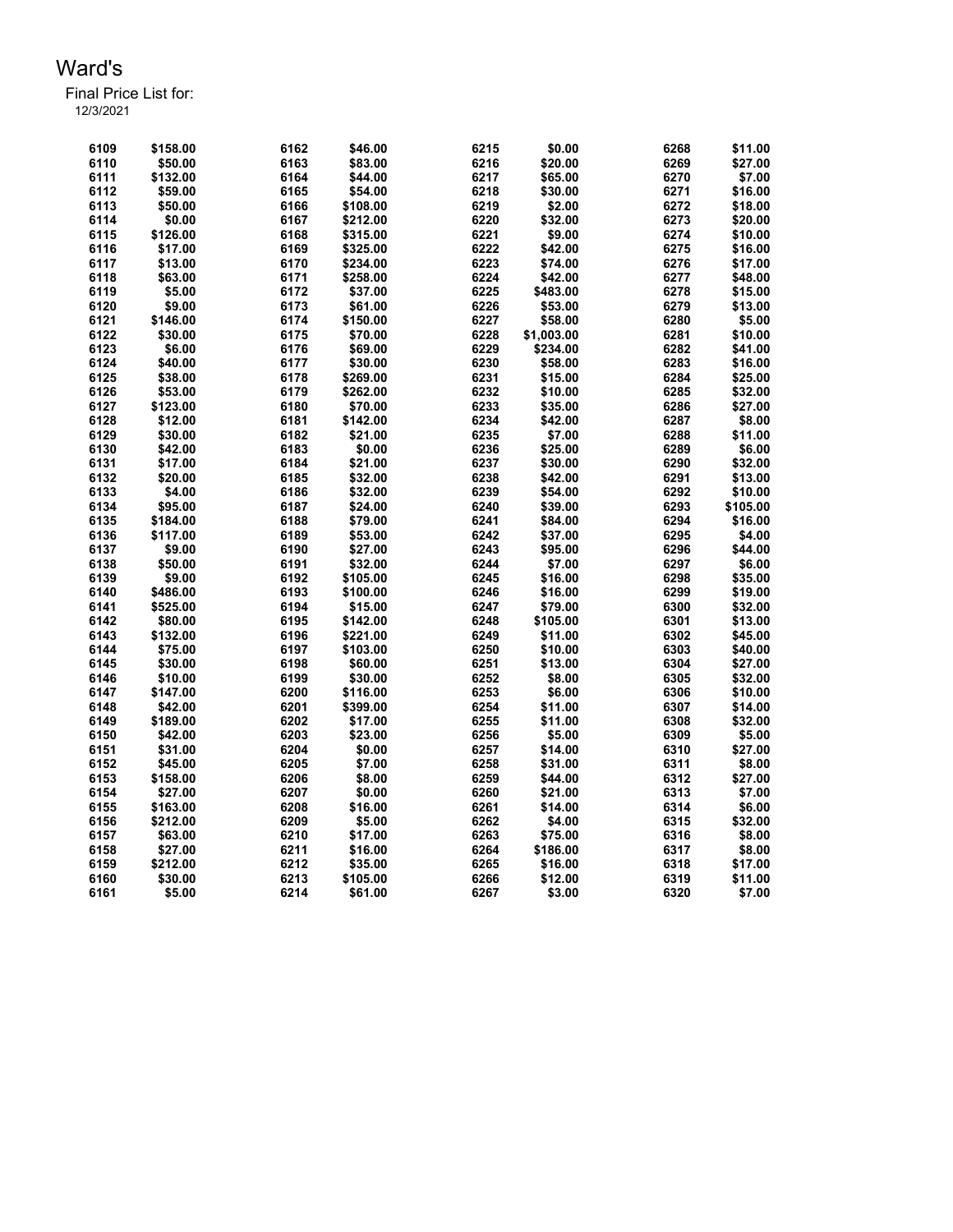| 6109 | \$158.00 | 6162 | \$46.00  | 6215 | \$0.00     | 6268 | \$11.00  |
|------|----------|------|----------|------|------------|------|----------|
| 6110 | \$50.00  | 6163 | \$83.00  | 6216 | \$20.00    | 6269 | \$27.00  |
| 6111 | \$132.00 | 6164 | \$44.00  | 6217 | \$65.00    | 6270 | \$7.00   |
| 6112 | \$59.00  | 6165 | \$54.00  | 6218 | \$30.00    | 6271 | \$16.00  |
| 6113 | \$50.00  | 6166 | \$108.00 | 6219 | \$2.00     | 6272 | \$18.00  |
| 6114 | \$0.00   | 6167 | \$212.00 | 6220 | \$32.00    | 6273 | \$20.00  |
| 6115 | \$126.00 | 6168 | \$315.00 | 6221 | \$9.00     | 6274 | \$10.00  |
| 6116 | \$17.00  | 6169 | \$325.00 | 6222 | \$42.00    | 6275 | \$16.00  |
| 6117 | \$13.00  | 6170 | \$234.00 | 6223 | \$74.00    | 6276 | \$17.00  |
| 6118 | \$63.00  | 6171 | \$258.00 | 6224 | \$42.00    | 6277 | \$48.00  |
| 6119 | \$5.00   | 6172 | \$37.00  | 6225 | \$483.00   | 6278 | \$15.00  |
| 6120 | \$9.00   | 6173 | \$61.00  | 6226 | \$53.00    | 6279 | \$13.00  |
| 6121 | \$146.00 | 6174 | \$150.00 | 6227 | \$58.00    | 6280 | \$5.00   |
| 6122 | \$30.00  | 6175 | \$70.00  | 6228 | \$1,003.00 | 6281 | \$10.00  |
| 6123 | \$6.00   | 6176 | \$69.00  | 6229 | \$234.00   | 6282 | \$41.00  |
| 6124 | \$40.00  | 6177 | \$30.00  | 6230 | \$58.00    | 6283 | \$16.00  |
| 6125 | \$38.00  | 6178 | \$269.00 | 6231 | \$15.00    | 6284 | \$25.00  |
| 6126 | \$53.00  | 6179 | \$262.00 | 6232 | \$10.00    | 6285 | \$32.00  |
| 6127 | \$123.00 | 6180 | \$70.00  | 6233 | \$35.00    | 6286 | \$27.00  |
| 6128 | \$12.00  | 6181 | \$142.00 | 6234 | \$42.00    | 6287 | \$8.00   |
| 6129 | \$30.00  | 6182 | \$21.00  | 6235 | \$7.00     | 6288 | \$11.00  |
| 6130 | \$42.00  | 6183 | \$0.00   | 6236 | \$25.00    | 6289 | \$6.00   |
| 6131 | \$17.00  | 6184 | \$21.00  | 6237 | \$30.00    | 6290 | \$32.00  |
| 6132 | \$20.00  | 6185 | \$32.00  | 6238 | \$42.00    | 6291 | \$13.00  |
| 6133 | \$4.00   | 6186 | \$32.00  | 6239 | \$54.00    | 6292 | \$10.00  |
| 6134 | \$95.00  | 6187 | \$24.00  | 6240 | \$39.00    | 6293 | \$105.00 |
| 6135 | \$184.00 | 6188 | \$79.00  | 6241 | \$84.00    | 6294 | \$16.00  |
| 6136 | \$117.00 | 6189 | \$53.00  | 6242 | \$37.00    | 6295 | \$4.00   |
| 6137 | \$9.00   | 6190 | \$27.00  | 6243 | \$95.00    | 6296 | \$44.00  |
| 6138 | \$50.00  | 6191 | \$32.00  | 6244 | \$7.00     | 6297 | \$6.00   |
| 6139 | \$9.00   | 6192 | \$105.00 | 6245 | \$16.00    | 6298 | \$35.00  |
| 6140 | \$486.00 | 6193 | \$100.00 | 6246 | \$16.00    | 6299 | \$19.00  |
| 6141 | \$525.00 | 6194 | \$15.00  | 6247 | \$79.00    | 6300 | \$32.00  |
| 6142 | \$80.00  | 6195 | \$142.00 | 6248 | \$105.00   | 6301 | \$13.00  |
| 6143 | \$132.00 | 6196 | \$221.00 | 6249 | \$11.00    | 6302 | \$45.00  |
| 6144 | \$75.00  | 6197 | \$103.00 | 6250 | \$10.00    | 6303 | \$40.00  |
| 6145 | \$30.00  | 6198 | \$60.00  | 6251 | \$13.00    | 6304 | \$27.00  |
| 6146 | \$10.00  | 6199 | \$30.00  | 6252 | \$8.00     | 6305 | \$32.00  |
| 6147 | \$147.00 | 6200 | \$116.00 | 6253 | \$6.00     | 6306 | \$10.00  |
| 6148 | \$42.00  | 6201 | \$399.00 | 6254 | \$11.00    | 6307 | \$14.00  |
| 6149 | \$189.00 | 6202 | \$17.00  | 6255 | \$11.00    | 6308 | \$32.00  |
| 6150 | \$42.00  | 6203 | \$23.00  | 6256 | \$5.00     | 6309 | \$5.00   |
| 6151 | \$31.00  | 6204 | \$0.00   | 6257 | \$14.00    | 6310 | \$27.00  |
| 6152 | \$45.00  | 6205 | \$7.00   | 6258 | \$31.00    | 6311 | \$8.00   |
| 6153 | \$158.00 | 6206 | \$8.00   | 6259 | \$44.00    | 6312 | \$27.00  |
| 6154 | \$27.00  | 6207 | \$0.00   | 6260 | \$21.00    | 6313 | \$7.00   |
| 6155 | \$163.00 | 6208 | \$16.00  | 6261 | \$14.00    | 6314 | \$6.00   |
| 6156 | \$212.00 | 6209 | \$5.00   | 6262 | \$4.00     | 6315 | \$32.00  |
| 6157 | \$63.00  | 6210 | \$17.00  | 6263 | \$75.00    | 6316 | \$8.00   |
| 6158 | \$27.00  | 6211 | \$16.00  | 6264 | \$186.00   | 6317 | \$8.00   |
| 6159 | \$212.00 | 6212 | \$35.00  | 6265 | \$16.00    | 6318 | \$17.00  |
| 6160 | \$30.00  | 6213 | \$105.00 | 6266 | \$12.00    | 6319 | \$11.00  |
| 6161 | \$5.00   | 6214 | \$61.00  | 6267 | \$3.00     | 6320 | \$7.00   |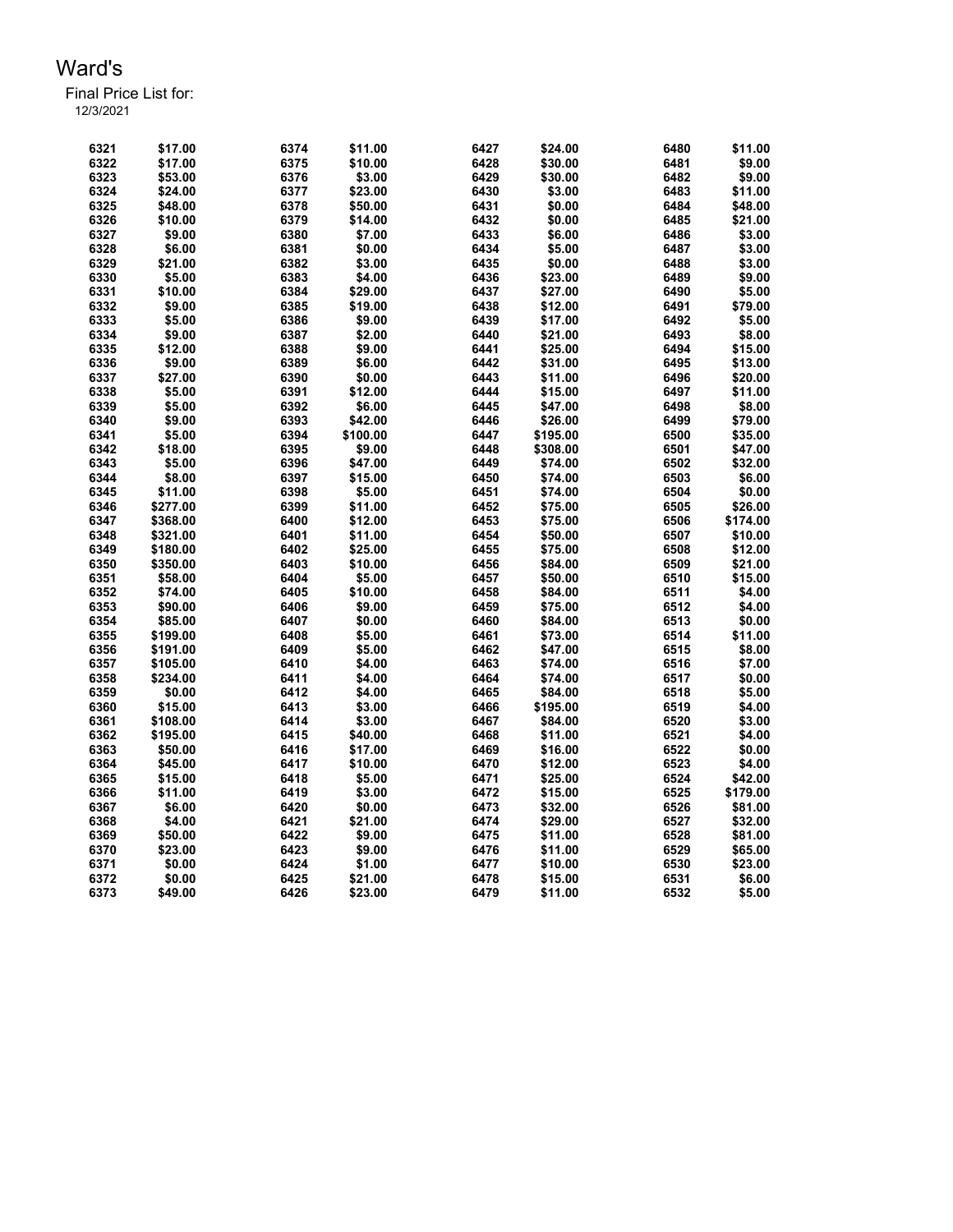Final Price List for: 12/3/2021

> \$17.00 6374 \$11.00 6427 \$24.00 6480 \$11.00 \$17.00 6375 \$10.00 6428 \$30.00 6481 \$9.00 \$53.00 6376 \$3.00 6429 \$30.00 6482 \$9.00 \$24.00 6377 \$23.00 6430 \$3.00 6483 \$11.00 \$48.00 6378 \$50.00 6431 \$0.00 6484 \$48.00 \$10.00 6379 \$14.00 6432 \$0.00 6485 \$21.00 \$9.00 6380 \$7.00 6433 \$6.00 6486 \$3.00 \$6.00 6381 \$0.00 6434 \$5.00 6487 \$3.00 \$21.00 6382 \$3.00 6435 \$0.00 6488 \$3.00 \$5.00 6383 \$4.00 6436 \$23.00 6489 \$9.00 \$10.00 6384 \$29.00 6437 \$27.00 6490 \$5.00 \$9.00 6385 \$19.00 6438 \$12.00 6491 \$79.00 \$5.00 6386 \$9.00 6439 \$17.00 6492 \$5.00 \$9.00 6387 \$2.00 6440 \$21.00 6493 \$8.00 \$12.00 6388 \$9.00 6441 \$25.00 6494 \$15.00 \$9.00 6389 \$6.00 6442 \$31.00 6495 \$13.00 \$27.00 6390 \$0.00 6443 \$11.00 6496 \$20.00 \$5.00 6391 \$12.00 6444 \$15.00 6497 \$11.00 \$5.00 6392 \$6.00 6445 \$47.00 6498 \$8.00 \$9.00 6393 \$42.00 6446 \$26.00 6499 \$79.00 \$5.00 6394 \$100.00 6447 \$195.00 6500 \$35.00 \$18.00 6395 \$9.00 6448 \$308.00 6501 \$47.00 \$5.00 6396 \$47.00 6449 \$74.00 6502 \$32.00 \$8.00 6397 \$15.00 6450 \$74.00 6503 \$6.00 \$11.00 6398 \$5.00 6451 \$74.00 6504 \$0.00 \$277.00 6399 \$11.00 6452 \$75.00 6505 \$26.00 \$368.00 6400 \$12.00 6453 \$75.00 6506 \$174.00 \$321.00 6401 \$11.00 6454 \$50.00 6507 \$10.00 \$180.00 6402 \$25.00 6455 \$75.00 6508 \$12.00 \$350.00 6403 \$10.00 6456 \$84.00 6509 \$21.00 \$58.00 6404 \$5.00 6457 \$50.00 6510 \$15.00 \$74.00 6405 \$10.00 6458 \$84.00 6511 \$4.00 \$90.00 6406 \$9.00 6459 \$75.00 6512 \$4.00 \$85.00 6407 \$0.00 6460 \$84.00 6513 \$0.00 \$199.00 6408 \$5.00 6461 \$73.00 6514 \$11.00 \$191.00 6409 \$5.00 6462 \$47.00 6515 \$8.00 \$105.00 6410 \$4.00 6463 \$74.00 6516 \$7.00 \$234.00 6411 \$4.00 6464 \$74.00 6517 \$0.00 \$0.00 6412 \$4.00 6465 \$84.00 6518 \$5.00 \$15.00 6413 \$3.00 6466 \$195.00 6519 \$4.00 \$108.00 6414 \$3.00 6467 \$84.00 6520 \$3.00 \$195.00 6415 \$40.00 6468 \$11.00 6521 \$4.00 \$50.00 6416 \$17.00 6469 \$16.00 6522 \$0.00 \$45.00 6417 \$10.00 6470 \$12.00 6523 \$4.00 \$15.00 6418 \$5.00 6471 \$25.00 6524 \$42.00 \$11.00 6419 \$3.00 6472 \$15.00 6525 \$179.00 \$6.00 6420 \$0.00 6473 \$32.00 6526 \$81.00 \$4.00 6421 \$21.00 6474 \$29.00 6527 \$32.00 \$50.00 6422 \$9.00 6475 \$11.00 6528 \$81.00 \$23.00 6423 \$9.00 6476 \$11.00 6529 \$65.00 \$0.00 6424 \$1.00 6477 \$10.00 6530 \$23.00 \$0.00 6425 \$21.00 6478 \$15.00 6531 \$6.00 \$49.00 6426 \$23.00 6479 \$11.00 6532 \$5.00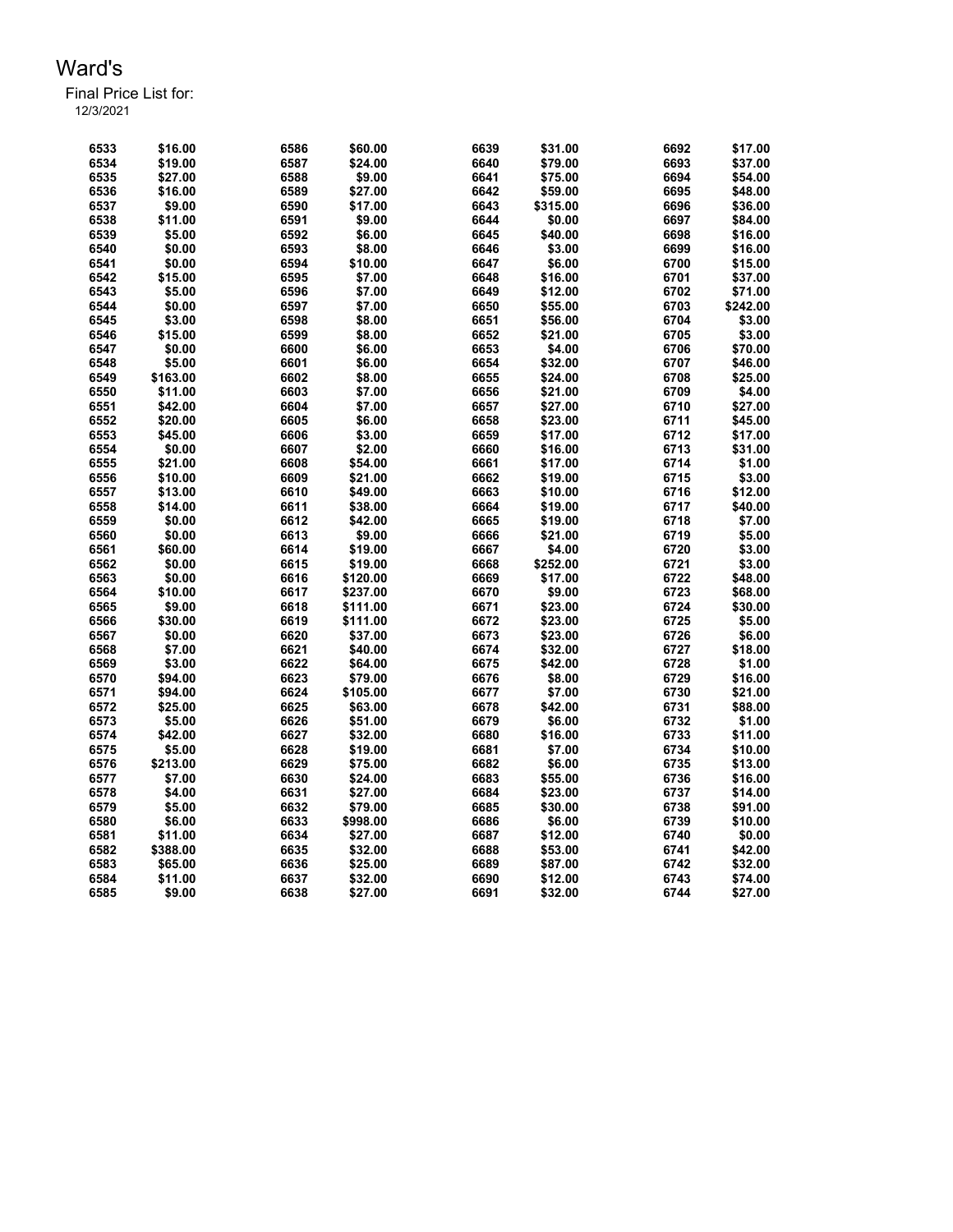Final Price List for: 12/3/2021

> \$16.00 6586 \$60.00 6639 \$31.00 6692 \$17.00 \$19.00 6587 \$24.00 6640 \$79.00 6693 \$37.00 \$27.00 6588 \$9.00 6641 \$75.00 6694 \$54.00 \$16.00 6589 \$27.00 6642 \$59.00 6695 \$48.00 \$9.00 6590 \$17.00 6643 \$315.00 6696 \$36.00 \$11.00 6591 \$9.00 6644 \$0.00 6697 \$84.00 \$5.00 6592 \$6.00 6645 \$40.00 6698 \$16.00 \$0.00 6593 \$8.00 6646 \$3.00 6699 \$16.00 \$0.00 6594 \$10.00 6647 \$6.00 6700 \$15.00 \$15.00 6595 \$7.00 6648 \$16.00 6701 \$37.00 \$5.00 6596 \$7.00 6649 \$12.00 6702 \$71.00 \$0.00 6597 \$7.00 6650 \$55.00 6703 \$242.00 \$3.00 6598 \$8.00 6651 \$56.00 6704 \$3.00 \$15.00 6599 \$8.00 6652 \$21.00 6705 \$3.00 \$0.00 6600 \$6.00 6653 \$4.00 6706 \$70.00 \$5.00 6601 \$6.00 6654 \$32.00 6707 \$46.00 \$163.00 6602 \$8.00 6655 \$24.00 6708 \$25.00 \$11.00 6603 \$7.00 6656 \$21.00 6709 \$4.00 \$42.00 6604 \$7.00 6657 \$27.00 6710 \$27.00 \$20.00 6605 \$6.00 6658 \$23.00 6711 \$45.00 \$45.00 6606 \$3.00 6659 \$17.00 6712 \$17.00 \$0.00 6607 \$2.00 6660 \$16.00 6713 \$31.00 \$21.00 6608 \$54.00 6661 \$17.00 6714 \$1.00 \$10.00 6609 \$21.00 6662 \$19.00 6715 \$3.00 \$13.00 6610 \$49.00 6663 \$10.00 6716 \$12.00 \$14.00 6611 \$38.00 6664 \$19.00 6717 \$40.00 \$0.00 6612 \$42.00 6665 \$19.00 6718 \$7.00 \$0.00 6613 \$9.00 6666 \$21.00 6719 \$5.00 \$60.00 6614 \$19.00 6667 \$4.00 6720 \$3.00 \$0.00 6615 \$19.00 6668 \$252.00 6721 \$3.00 \$0.00 6616 \$120.00 6669 \$17.00 6722 \$48.00 \$10.00 6617 \$237.00 6670 \$9.00 6723 \$68.00 \$9.00 6618 \$111.00 6671 \$23.00 6724 \$30.00 \$30.00 6619 \$111.00 6672 \$23.00 6725 \$5.00 \$0.00 6620 \$37.00 6673 \$23.00 6726 \$6.00 \$7.00 6621 \$40.00 6674 \$32.00 6727 \$18.00 \$3.00 6622 \$64.00 6675 \$42.00 6728 \$1.00 \$94.00 6623 \$79.00 6676 \$8.00 6729 \$16.00 \$94.00 6624 \$105.00 6677 \$7.00 6730 \$21.00 \$25.00 6625 \$63.00 6678 \$42.00 6731 \$88.00 \$5.00 6626 \$51.00 6679 \$6.00 6732 \$1.00 \$42.00 6627 \$32.00 6680 \$16.00 6733 \$11.00 \$5.00 6628 \$19.00 6681 \$7.00 6734 \$10.00 \$213.00 6629 \$75.00 6682 \$6.00 6735 \$13.00 \$7.00 6630 \$24.00 6683 \$55.00 6736 \$16.00 \$4.00 6631 \$27.00 6684 \$23.00 6737 \$14.00 \$5.00 6632 \$79.00 6685 \$30.00 6738 \$91.00 \$6.00 6633 \$998.00 6686 \$6.00 6739 \$10.00 \$11.00 6634 \$27.00 6687 \$12.00 6740 \$0.00 \$388.00 6635 \$32.00 6688 \$53.00 6741 \$42.00 \$65.00 6636 \$25.00 6689 \$87.00 6742 \$32.00 \$11.00 6637 \$32.00 6690 \$12.00 6743 \$74.00 \$9.00 6638 \$27.00 6691 \$32.00 6744 \$27.00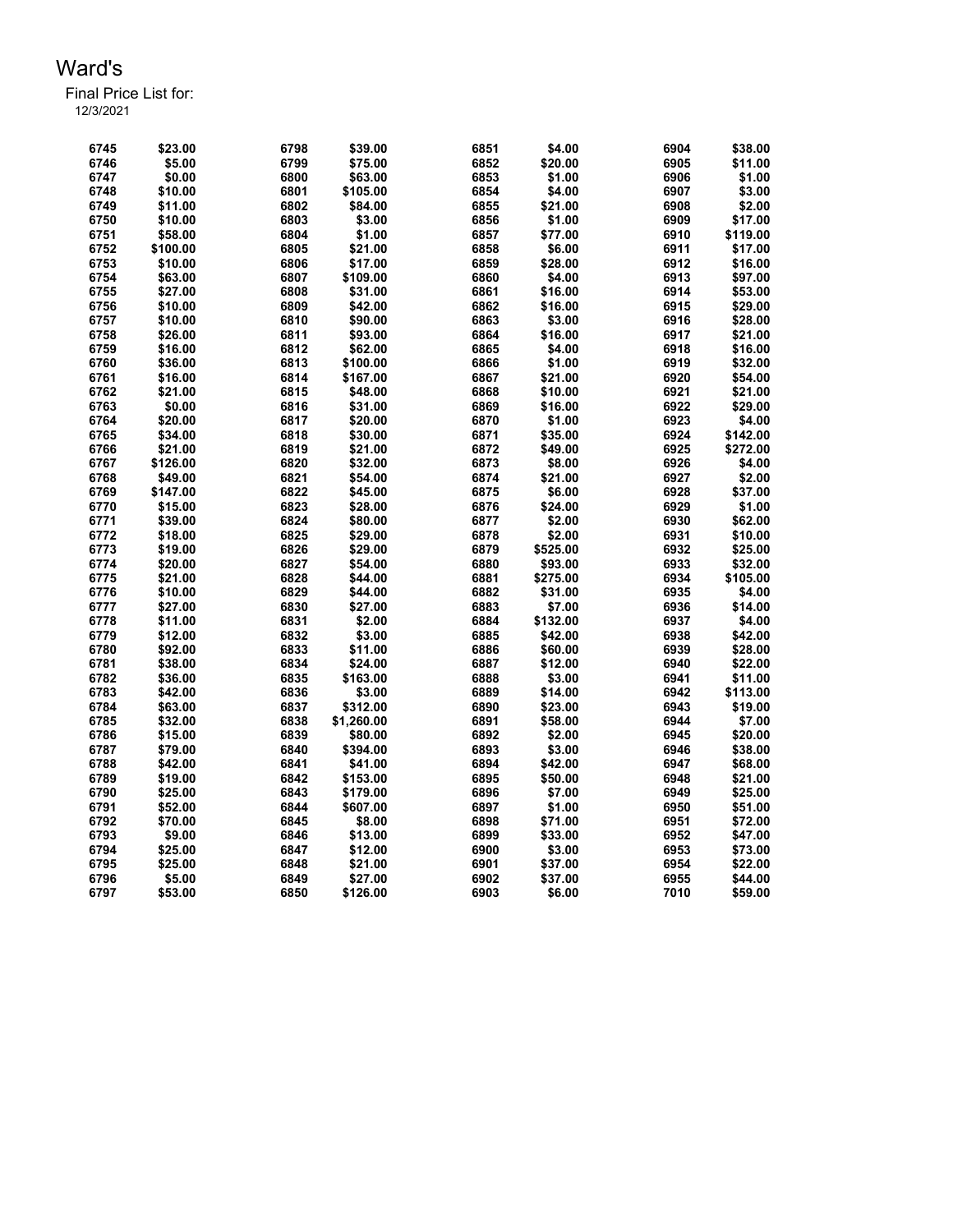Final Price List for: 12/3/2021

> \$23.00 6798 \$39.00 6851 \$4.00 6904 \$38.00 \$5.00 6799 \$75.00 6852 \$20.00 6905 \$11.00 \$0.00 6800 \$63.00 6853 \$1.00 6906 \$1.00 \$10.00 6801 \$105.00 6854 \$4.00 6907 \$3.00 \$11.00 6802 \$84.00 6855 \$21.00 6908 \$2.00 \$10.00 6803 \$3.00 6856 \$1.00 6909 \$17.00 \$58.00 6804 \$1.00 6857 \$77.00 6910 \$119.00 \$100.00 6805 \$21.00 6858 \$6.00 6911 \$17.00 \$10.00 6806 \$17.00 6859 \$28.00 6912 \$16.00 \$63.00 6807 \$109.00 6860 \$4.00 6913 \$97.00 \$27.00 6808 \$31.00 6861 \$16.00 6914 \$53.00 \$10.00 6809 \$42.00 6862 \$16.00 6915 \$29.00 \$10.00 6810 \$90.00 6863 \$3.00 6916 \$28.00 \$26.00 6811 \$93.00 6864 \$16.00 6917 \$21.00 \$16.00 6812 \$62.00 6865 \$4.00 6918 \$16.00 \$36.00 6813 \$100.00 6866 \$1.00 6919 \$32.00 \$16.00 6814 \$167.00 6867 \$21.00 6920 \$54.00 \$21.00 6815 \$48.00 6868 \$10.00 6921 \$21.00 \$0.00 6816 \$31.00 6869 \$16.00 6922 \$29.00 \$20.00 6817 \$20.00 6870 \$1.00 6923 \$4.00 \$34.00 6818 \$30.00 6871 \$35.00 6924 \$142.00 \$21.00 6819 \$21.00 6872 \$49.00 6925 \$272.00 \$126.00 6820 \$32.00 6873 \$8.00 6926 \$4.00 \$49.00 6821 \$54.00 6874 \$21.00 6927 \$2.00 \$147.00 6822 \$45.00 6875 \$6.00 6928 \$37.00 \$15.00 6823 \$28.00 6876 \$24.00 6929 \$1.00 \$39.00 6824 \$80.00 6877 \$2.00 6930 \$62.00 \$18.00 6825 \$29.00 6878 \$2.00 6931 \$10.00 \$19.00 6826 \$29.00 6879 \$525.00 6932 \$25.00 \$20.00 6827 \$54.00 6880 \$93.00 6933 \$32.00 \$21.00 6828 \$44.00 6881 \$275.00 6934 \$105.00 \$10.00 6829 \$44.00 6882 \$31.00 6935 \$4.00 \$27.00 6830 \$27.00 6883 \$7.00 6936 \$14.00 \$11.00 6831 \$2.00 6884 \$132.00 6937 \$4.00 \$12.00 6832 \$3.00 6885 \$42.00 6938 \$42.00 \$92.00 6833 \$11.00 6886 \$60.00 6939 \$28.00 \$38.00 6834 \$24.00 6887 \$12.00 6940 \$22.00 \$36.00 6835 \$163.00 6888 \$3.00 6941 \$11.00 \$42.00 6836 \$3.00 6889 \$14.00 6942 \$113.00 \$63.00 6837 \$312.00 6890 \$23.00 6943 \$19.00 \$32.00 6838 \$1,260.00 6891 \$58.00 6944 \$7.00 \$15.00 6839 \$80.00 6892 \$2.00 6945 \$20.00 \$79.00 6840 \$394.00 6893 \$3.00 6946 \$38.00 \$42.00 6841 \$41.00 6894 \$42.00 6947 \$68.00 \$19.00 6842 \$153.00 6895 \$50.00 6948 \$21.00 \$25.00 6843 \$179.00 6896 \$7.00 6949 \$25.00 \$52.00 6844 \$607.00 6897 \$1.00 6950 \$51.00 \$70.00 6845 \$8.00 6898 \$71.00 6951 \$72.00 \$9.00 6846 \$13.00 6899 \$33.00 6952 \$47.00 \$25.00 6847 \$12.00 6900 \$3.00 6953 \$73.00 \$25.00 6848 \$21.00 6901 \$37.00 6954 \$22.00 \$5.00 6849 \$27.00 6902 \$37.00 6955 \$44.00 \$53.00 6850 \$126.00 6903 \$6.00 7010 \$59.00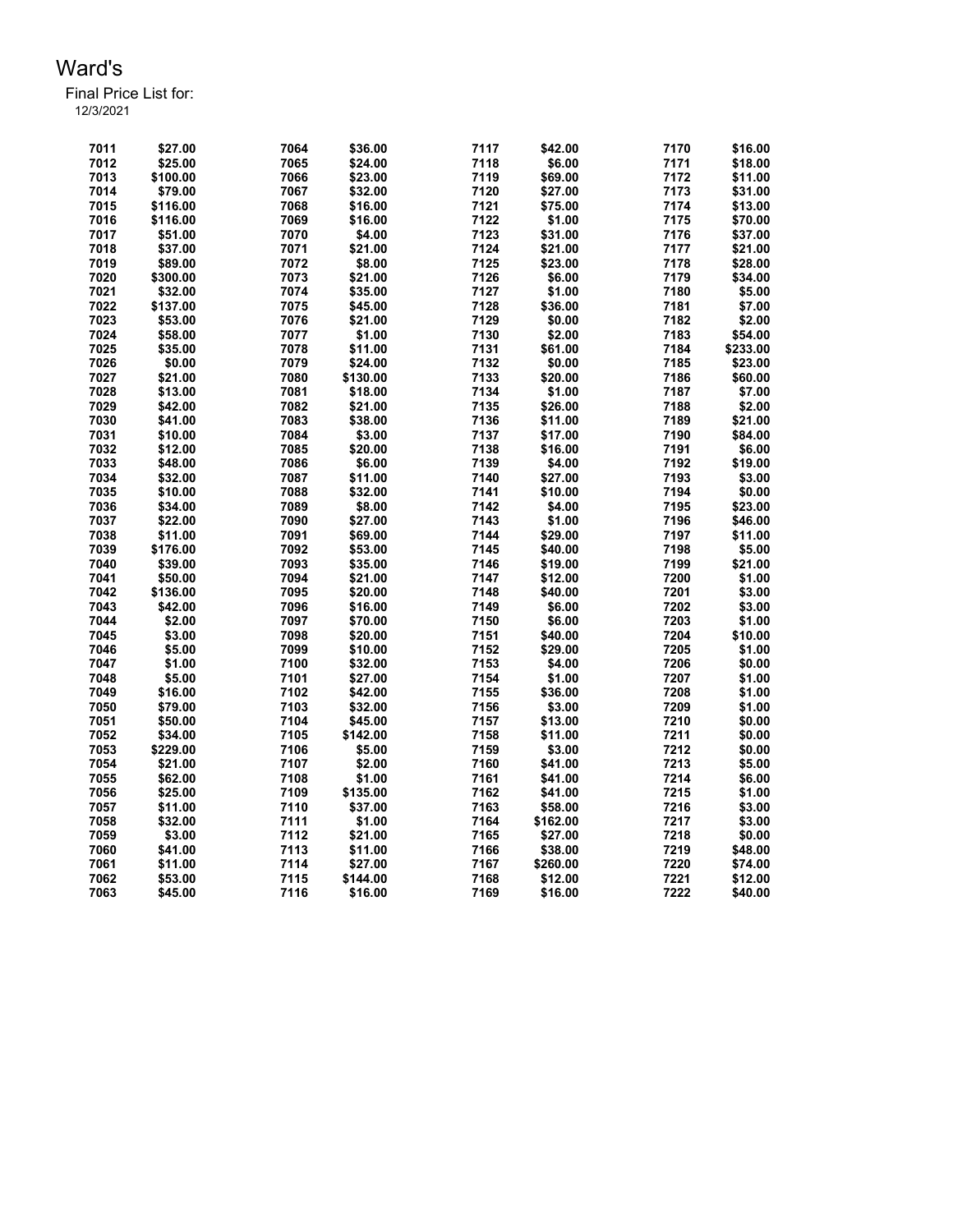| 7011 | \$27.00  | 7064 | \$36.00  | 7117 | \$42.00  | 7170 | \$16.00  |
|------|----------|------|----------|------|----------|------|----------|
| 7012 | \$25.00  | 7065 | \$24.00  | 7118 | \$6.00   | 7171 | \$18.00  |
| 7013 | \$100.00 | 7066 | \$23.00  | 7119 | \$69.00  | 7172 | \$11.00  |
| 7014 | \$79.00  | 7067 | \$32.00  | 7120 | \$27.00  | 7173 | \$31.00  |
| 7015 | \$116.00 | 7068 | \$16.00  | 7121 | \$75.00  | 7174 | \$13.00  |
| 7016 | \$116.00 | 7069 | \$16.00  | 7122 | \$1.00   | 7175 | \$70.00  |
| 7017 | \$51.00  | 7070 | \$4.00   | 7123 | \$31.00  | 7176 | \$37.00  |
| 7018 | \$37.00  | 7071 | \$21.00  | 7124 | \$21.00  | 7177 | \$21.00  |
| 7019 | \$89.00  | 7072 | \$8.00   | 7125 | \$23.00  | 7178 | \$28.00  |
| 7020 | \$300.00 | 7073 | \$21.00  | 7126 | \$6.00   | 7179 | \$34.00  |
| 7021 | \$32.00  | 7074 | \$35.00  | 7127 | \$1.00   | 7180 | \$5.00   |
| 7022 | \$137.00 | 7075 | \$45.00  | 7128 | \$36.00  | 7181 | \$7.00   |
| 7023 | \$53.00  | 7076 | \$21.00  | 7129 | \$0.00   | 7182 | \$2.00   |
| 7024 | \$58.00  | 7077 | \$1.00   | 7130 | \$2.00   | 7183 | \$54.00  |
| 7025 | \$35.00  | 7078 | \$11.00  | 7131 | \$61.00  | 7184 | \$233.00 |
| 7026 | \$0.00   | 7079 | \$24.00  | 7132 | \$0.00   | 7185 | \$23.00  |
| 7027 | \$21.00  | 7080 | \$130.00 | 7133 | \$20.00  | 7186 | \$60.00  |
| 7028 | \$13.00  | 7081 | \$18.00  | 7134 | \$1.00   | 7187 | \$7.00   |
| 7029 | \$42.00  | 7082 | \$21.00  | 7135 | \$26.00  | 7188 | \$2.00   |
| 7030 | \$41.00  | 7083 | \$38.00  | 7136 | \$11.00  | 7189 | \$21.00  |
| 7031 | \$10.00  | 7084 | \$3.00   | 7137 | \$17.00  | 7190 | \$84.00  |
| 7032 | \$12.00  | 7085 | \$20.00  | 7138 | \$16.00  | 7191 | \$6.00   |
| 7033 | \$48.00  | 7086 | \$6.00   | 7139 | \$4.00   | 7192 | \$19.00  |
| 7034 | \$32.00  | 7087 | \$11.00  | 7140 | \$27.00  | 7193 | \$3.00   |
| 7035 | \$10.00  | 7088 | \$32.00  | 7141 | \$10.00  | 7194 | \$0.00   |
| 7036 | \$34.00  | 7089 | \$8.00   | 7142 | \$4.00   | 7195 | \$23.00  |
| 7037 | \$22.00  | 7090 | \$27.00  | 7143 | \$1.00   | 7196 | \$46.00  |
| 7038 | \$11.00  | 7091 | \$69.00  | 7144 | \$29.00  | 7197 | \$11.00  |
| 7039 | \$176.00 | 7092 | \$53.00  | 7145 | \$40.00  | 7198 | \$5.00   |
| 7040 | \$39.00  | 7093 | \$35.00  | 7146 | \$19.00  | 7199 | \$21.00  |
| 7041 | \$50.00  | 7094 | \$21.00  | 7147 | \$12.00  | 7200 | \$1.00   |
| 7042 | \$136.00 | 7095 | \$20.00  | 7148 | \$40.00  | 7201 | \$3.00   |
| 7043 | \$42.00  | 7096 | \$16.00  | 7149 | \$6.00   | 7202 | \$3.00   |
| 7044 | \$2.00   | 7097 | \$70.00  | 7150 | \$6.00   | 7203 | \$1.00   |
| 7045 | \$3.00   | 7098 | \$20.00  | 7151 | \$40.00  | 7204 | \$10.00  |
| 7046 | \$5.00   | 7099 | \$10.00  | 7152 | \$29.00  | 7205 | \$1.00   |
| 7047 | \$1.00   | 7100 | \$32.00  | 7153 | \$4.00   | 7206 | \$0.00   |
| 7048 | \$5.00   | 7101 | \$27.00  | 7154 | \$1.00   | 7207 | \$1.00   |
| 7049 | \$16.00  | 7102 | \$42.00  | 7155 | \$36.00  | 7208 | \$1.00   |
| 7050 | \$79.00  | 7103 | \$32.00  | 7156 | \$3.00   | 7209 | \$1.00   |
| 7051 | \$50.00  | 7104 | \$45.00  | 7157 | \$13.00  | 7210 | \$0.00   |
| 7052 | \$34.00  | 7105 | \$142.00 | 7158 | \$11.00  | 7211 | \$0.00   |
| 7053 | \$229.00 | 7106 | \$5.00   | 7159 | \$3.00   | 7212 | \$0.00   |
| 7054 | \$21.00  | 7107 | \$2.00   | 7160 | \$41.00  | 7213 | \$5.00   |
| 7055 | \$62.00  | 7108 | \$1.00   | 7161 | \$41.00  | 7214 | \$6.00   |
| 7056 | \$25.00  | 7109 | \$135.00 | 7162 | \$41.00  | 7215 | \$1.00   |
| 7057 | \$11.00  | 7110 | \$37.00  | 7163 | \$58.00  | 7216 | \$3.00   |
| 7058 | \$32.00  | 7111 | \$1.00   | 7164 | \$162.00 | 7217 | \$3.00   |
| 7059 | \$3.00   | 7112 | \$21.00  | 7165 | \$27.00  | 7218 | \$0.00   |
| 7060 | \$41.00  | 7113 | \$11.00  | 7166 | \$38.00  | 7219 | \$48.00  |
| 7061 | \$11.00  | 7114 | \$27.00  | 7167 | \$260.00 | 7220 | \$74.00  |
| 7062 | \$53.00  | 7115 | \$144.00 | 7168 | \$12.00  | 7221 | \$12.00  |
|      |          |      |          |      |          |      |          |
| 7063 | \$45.00  | 7116 | \$16.00  | 7169 | \$16.00  | 7222 | \$40.00  |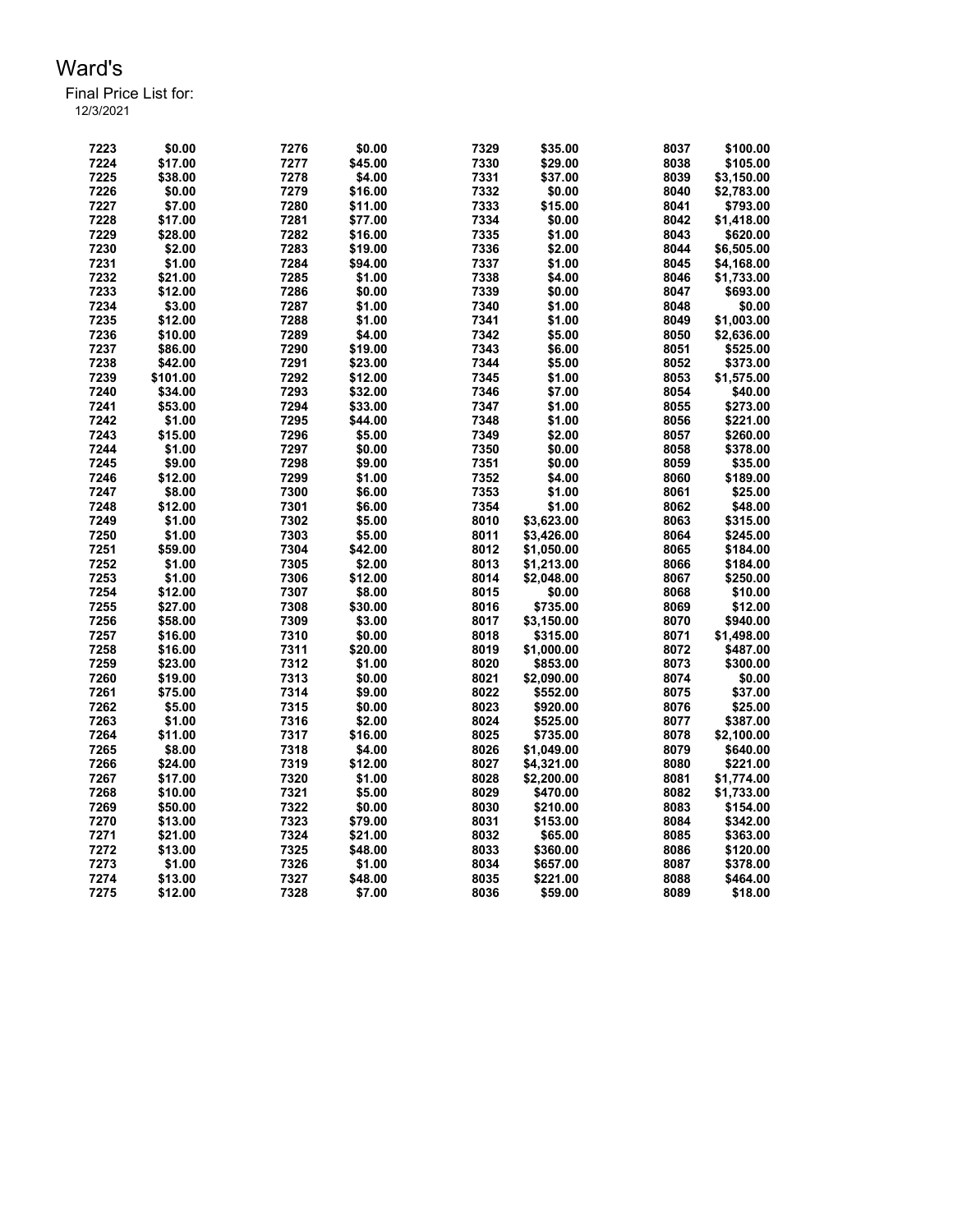Final Price List for:

| 7224<br>\$17.00<br>7277<br>\$45.00<br>7330<br>\$29.00<br>8038<br>\$105.00<br>7225<br>\$38.00<br>7331<br>8039<br>7278<br>\$4.00<br>\$37.00<br>\$3,150.00<br>7332<br>7226<br>\$0.00<br>7279<br>\$16.00<br>\$0.00<br>8040<br>\$2,783.00<br>7333<br>7227<br>\$7.00<br>7280<br>\$15.00<br>8041<br>\$11.00<br>\$793.00<br>7228<br>\$17.00<br>7281<br>7334<br>\$0.00<br>8042<br>\$1,418.00<br>\$77.00<br>7229<br>7335<br>\$1.00<br>\$28.00<br>7282<br>\$16.00<br>8043<br>\$620.00<br>7230<br>7336<br>\$2.00<br>\$2.00<br>7283<br>\$19.00<br>8044<br>\$6,505.00<br>7337<br>7231<br>\$1.00<br>7284<br>\$1.00<br>8045<br>\$94.00<br>\$4,168.00<br>7232<br>\$21.00<br>7285<br>\$1.00<br>7338<br>\$4.00<br>8046<br>\$1,733.00<br>7233<br>\$12.00<br>7286<br>\$0.00<br>7339<br>\$0.00<br>8047<br>\$693.00<br>7234<br>\$3.00<br>7287<br>\$1.00<br>7340<br>\$1.00<br>\$0.00<br>8048<br>7235<br>7341<br>\$1.00<br>\$12.00<br>7288<br>\$1.00<br>8049<br>\$1,003.00<br>7236<br>\$10.00<br>7289<br>\$4.00<br>7342<br>\$5.00<br>8050<br>\$2,636.00<br>7237<br>\$86.00<br>7290<br>\$19.00<br>7343<br>\$6.00<br>8051<br>\$525.00<br>7238<br>7291<br>7344<br>\$42.00<br>\$23.00<br>\$5.00<br>8052<br>\$373.00<br>7239<br>\$101.00<br>7292<br>\$12.00<br>7345<br>\$1.00<br>8053<br>\$1,575.00<br>7240<br>\$34.00<br>7293<br>\$32.00<br>7346<br>\$7.00<br>8054<br>\$40.00<br>7241<br>\$53.00<br>7294<br>7347<br>\$1.00<br>8055<br>\$273.00<br>\$33.00<br>7242<br>\$1.00<br>7295<br>\$44.00<br>7348<br>\$1.00<br>8056<br>\$221.00<br>7243<br>7296<br>7349<br>\$2.00<br>\$15.00<br>\$5.00<br>8057<br>\$260.00<br>7297<br>7350<br>7244<br>\$1.00<br>\$0.00<br>\$0.00<br>8058<br>\$378.00<br>7245<br>\$9.00<br>7298<br>\$9.00<br>7351<br>\$0.00<br>8059<br>\$35.00<br>7246<br>7299<br>\$1.00<br>7352<br>\$4.00<br>8060<br>\$12.00<br>\$189.00<br>7300<br>\$6.00<br>7353<br>\$1.00<br>8061<br>\$25.00<br>7247<br>\$8.00<br>7354<br>\$1.00<br>7248<br>\$12.00<br>7301<br>\$6.00<br>8062<br>\$48.00<br>7249<br>7302<br>8010<br>\$3,623.00<br>8063<br>\$315.00<br>\$1.00<br>\$5.00<br>7250<br>\$1.00<br>7303<br>\$5.00<br>8011<br>\$3,426.00<br>8064<br>\$245.00<br>7251<br>\$59.00<br>7304<br>\$42.00<br>8012<br>\$1,050.00<br>8065<br>\$184.00<br>8013<br>7252<br>\$1.00<br>7305<br>\$2.00<br>\$1,213.00<br>8066<br>\$184.00<br>7253<br>7306<br>8014<br>8067<br>\$1.00<br>\$12.00<br>\$2,048.00<br>\$250.00<br>7254<br>7307<br>8015<br>8068<br>\$12.00<br>\$8.00<br>\$0.00<br>\$10.00<br>7255<br>7308<br>\$12.00<br>\$27.00<br>\$30.00<br>8016<br>\$735.00<br>8069<br>7256<br>\$58.00<br>7309<br>\$3.00<br>8017<br>8070<br>\$940.00<br>\$3,150.00<br>7257<br>8018<br>\$1,498.00<br>\$16.00<br>7310<br>\$0.00<br>\$315.00<br>8071<br>7258<br>7311<br>8019<br>\$16.00<br>\$20.00<br>\$1,000.00<br>8072<br>\$487.00<br>7259<br>7312<br>8020<br>8073<br>\$300.00<br>\$23.00<br>\$1.00<br>\$853.00<br>7260<br>\$19.00<br>7313<br>\$0.00<br>8021<br>8074<br>\$0.00<br>\$2,090.00<br>8022<br>7261<br>\$75.00<br>7314<br>\$9.00<br>\$552.00<br>8075<br>\$37.00<br>7262<br>\$5.00<br>7315<br>\$0.00<br>8023<br>\$920.00<br>8076<br>\$25.00<br>7263<br>7316<br>8024<br>\$1.00<br>\$2.00<br>\$525.00<br>8077<br>\$387.00<br>7264<br>7317<br>\$11.00<br>\$16.00<br>8025<br>\$735.00<br>8078<br>\$2,100.00<br>7265<br>\$8.00<br>7318<br>\$4.00<br>8026<br>8079<br>\$1,049.00<br>\$640.00 | 7223 | \$0.00  | 7276 | \$0.00  | 7329 | \$35.00    | 8037 | \$100.00   |
|----------------------------------------------------------------------------------------------------------------------------------------------------------------------------------------------------------------------------------------------------------------------------------------------------------------------------------------------------------------------------------------------------------------------------------------------------------------------------------------------------------------------------------------------------------------------------------------------------------------------------------------------------------------------------------------------------------------------------------------------------------------------------------------------------------------------------------------------------------------------------------------------------------------------------------------------------------------------------------------------------------------------------------------------------------------------------------------------------------------------------------------------------------------------------------------------------------------------------------------------------------------------------------------------------------------------------------------------------------------------------------------------------------------------------------------------------------------------------------------------------------------------------------------------------------------------------------------------------------------------------------------------------------------------------------------------------------------------------------------------------------------------------------------------------------------------------------------------------------------------------------------------------------------------------------------------------------------------------------------------------------------------------------------------------------------------------------------------------------------------------------------------------------------------------------------------------------------------------------------------------------------------------------------------------------------------------------------------------------------------------------------------------------------------------------------------------------------------------------------------------------------------------------------------------------------------------------------------------------------------------------------------------------------------------------------------------------------------------------------------------------------------------------------------------------------------------------------------------------------------------------------------------------------------------------------------------------------------------------------------------------------------------------------------------------------------------------------------------------------------------------------------------------------------------------------------------------------------------------------------------------------------------------------------------------------------------------------------|------|---------|------|---------|------|------------|------|------------|
|                                                                                                                                                                                                                                                                                                                                                                                                                                                                                                                                                                                                                                                                                                                                                                                                                                                                                                                                                                                                                                                                                                                                                                                                                                                                                                                                                                                                                                                                                                                                                                                                                                                                                                                                                                                                                                                                                                                                                                                                                                                                                                                                                                                                                                                                                                                                                                                                                                                                                                                                                                                                                                                                                                                                                                                                                                                                                                                                                                                                                                                                                                                                                                                                                                                                                                                                              |      |         |      |         |      |            |      |            |
|                                                                                                                                                                                                                                                                                                                                                                                                                                                                                                                                                                                                                                                                                                                                                                                                                                                                                                                                                                                                                                                                                                                                                                                                                                                                                                                                                                                                                                                                                                                                                                                                                                                                                                                                                                                                                                                                                                                                                                                                                                                                                                                                                                                                                                                                                                                                                                                                                                                                                                                                                                                                                                                                                                                                                                                                                                                                                                                                                                                                                                                                                                                                                                                                                                                                                                                                              |      |         |      |         |      |            |      |            |
|                                                                                                                                                                                                                                                                                                                                                                                                                                                                                                                                                                                                                                                                                                                                                                                                                                                                                                                                                                                                                                                                                                                                                                                                                                                                                                                                                                                                                                                                                                                                                                                                                                                                                                                                                                                                                                                                                                                                                                                                                                                                                                                                                                                                                                                                                                                                                                                                                                                                                                                                                                                                                                                                                                                                                                                                                                                                                                                                                                                                                                                                                                                                                                                                                                                                                                                                              |      |         |      |         |      |            |      |            |
|                                                                                                                                                                                                                                                                                                                                                                                                                                                                                                                                                                                                                                                                                                                                                                                                                                                                                                                                                                                                                                                                                                                                                                                                                                                                                                                                                                                                                                                                                                                                                                                                                                                                                                                                                                                                                                                                                                                                                                                                                                                                                                                                                                                                                                                                                                                                                                                                                                                                                                                                                                                                                                                                                                                                                                                                                                                                                                                                                                                                                                                                                                                                                                                                                                                                                                                                              |      |         |      |         |      |            |      |            |
|                                                                                                                                                                                                                                                                                                                                                                                                                                                                                                                                                                                                                                                                                                                                                                                                                                                                                                                                                                                                                                                                                                                                                                                                                                                                                                                                                                                                                                                                                                                                                                                                                                                                                                                                                                                                                                                                                                                                                                                                                                                                                                                                                                                                                                                                                                                                                                                                                                                                                                                                                                                                                                                                                                                                                                                                                                                                                                                                                                                                                                                                                                                                                                                                                                                                                                                                              |      |         |      |         |      |            |      |            |
|                                                                                                                                                                                                                                                                                                                                                                                                                                                                                                                                                                                                                                                                                                                                                                                                                                                                                                                                                                                                                                                                                                                                                                                                                                                                                                                                                                                                                                                                                                                                                                                                                                                                                                                                                                                                                                                                                                                                                                                                                                                                                                                                                                                                                                                                                                                                                                                                                                                                                                                                                                                                                                                                                                                                                                                                                                                                                                                                                                                                                                                                                                                                                                                                                                                                                                                                              |      |         |      |         |      |            |      |            |
|                                                                                                                                                                                                                                                                                                                                                                                                                                                                                                                                                                                                                                                                                                                                                                                                                                                                                                                                                                                                                                                                                                                                                                                                                                                                                                                                                                                                                                                                                                                                                                                                                                                                                                                                                                                                                                                                                                                                                                                                                                                                                                                                                                                                                                                                                                                                                                                                                                                                                                                                                                                                                                                                                                                                                                                                                                                                                                                                                                                                                                                                                                                                                                                                                                                                                                                                              |      |         |      |         |      |            |      |            |
|                                                                                                                                                                                                                                                                                                                                                                                                                                                                                                                                                                                                                                                                                                                                                                                                                                                                                                                                                                                                                                                                                                                                                                                                                                                                                                                                                                                                                                                                                                                                                                                                                                                                                                                                                                                                                                                                                                                                                                                                                                                                                                                                                                                                                                                                                                                                                                                                                                                                                                                                                                                                                                                                                                                                                                                                                                                                                                                                                                                                                                                                                                                                                                                                                                                                                                                                              |      |         |      |         |      |            |      |            |
|                                                                                                                                                                                                                                                                                                                                                                                                                                                                                                                                                                                                                                                                                                                                                                                                                                                                                                                                                                                                                                                                                                                                                                                                                                                                                                                                                                                                                                                                                                                                                                                                                                                                                                                                                                                                                                                                                                                                                                                                                                                                                                                                                                                                                                                                                                                                                                                                                                                                                                                                                                                                                                                                                                                                                                                                                                                                                                                                                                                                                                                                                                                                                                                                                                                                                                                                              |      |         |      |         |      |            |      |            |
|                                                                                                                                                                                                                                                                                                                                                                                                                                                                                                                                                                                                                                                                                                                                                                                                                                                                                                                                                                                                                                                                                                                                                                                                                                                                                                                                                                                                                                                                                                                                                                                                                                                                                                                                                                                                                                                                                                                                                                                                                                                                                                                                                                                                                                                                                                                                                                                                                                                                                                                                                                                                                                                                                                                                                                                                                                                                                                                                                                                                                                                                                                                                                                                                                                                                                                                                              |      |         |      |         |      |            |      |            |
|                                                                                                                                                                                                                                                                                                                                                                                                                                                                                                                                                                                                                                                                                                                                                                                                                                                                                                                                                                                                                                                                                                                                                                                                                                                                                                                                                                                                                                                                                                                                                                                                                                                                                                                                                                                                                                                                                                                                                                                                                                                                                                                                                                                                                                                                                                                                                                                                                                                                                                                                                                                                                                                                                                                                                                                                                                                                                                                                                                                                                                                                                                                                                                                                                                                                                                                                              |      |         |      |         |      |            |      |            |
|                                                                                                                                                                                                                                                                                                                                                                                                                                                                                                                                                                                                                                                                                                                                                                                                                                                                                                                                                                                                                                                                                                                                                                                                                                                                                                                                                                                                                                                                                                                                                                                                                                                                                                                                                                                                                                                                                                                                                                                                                                                                                                                                                                                                                                                                                                                                                                                                                                                                                                                                                                                                                                                                                                                                                                                                                                                                                                                                                                                                                                                                                                                                                                                                                                                                                                                                              |      |         |      |         |      |            |      |            |
|                                                                                                                                                                                                                                                                                                                                                                                                                                                                                                                                                                                                                                                                                                                                                                                                                                                                                                                                                                                                                                                                                                                                                                                                                                                                                                                                                                                                                                                                                                                                                                                                                                                                                                                                                                                                                                                                                                                                                                                                                                                                                                                                                                                                                                                                                                                                                                                                                                                                                                                                                                                                                                                                                                                                                                                                                                                                                                                                                                                                                                                                                                                                                                                                                                                                                                                                              |      |         |      |         |      |            |      |            |
|                                                                                                                                                                                                                                                                                                                                                                                                                                                                                                                                                                                                                                                                                                                                                                                                                                                                                                                                                                                                                                                                                                                                                                                                                                                                                                                                                                                                                                                                                                                                                                                                                                                                                                                                                                                                                                                                                                                                                                                                                                                                                                                                                                                                                                                                                                                                                                                                                                                                                                                                                                                                                                                                                                                                                                                                                                                                                                                                                                                                                                                                                                                                                                                                                                                                                                                                              |      |         |      |         |      |            |      |            |
|                                                                                                                                                                                                                                                                                                                                                                                                                                                                                                                                                                                                                                                                                                                                                                                                                                                                                                                                                                                                                                                                                                                                                                                                                                                                                                                                                                                                                                                                                                                                                                                                                                                                                                                                                                                                                                                                                                                                                                                                                                                                                                                                                                                                                                                                                                                                                                                                                                                                                                                                                                                                                                                                                                                                                                                                                                                                                                                                                                                                                                                                                                                                                                                                                                                                                                                                              |      |         |      |         |      |            |      |            |
|                                                                                                                                                                                                                                                                                                                                                                                                                                                                                                                                                                                                                                                                                                                                                                                                                                                                                                                                                                                                                                                                                                                                                                                                                                                                                                                                                                                                                                                                                                                                                                                                                                                                                                                                                                                                                                                                                                                                                                                                                                                                                                                                                                                                                                                                                                                                                                                                                                                                                                                                                                                                                                                                                                                                                                                                                                                                                                                                                                                                                                                                                                                                                                                                                                                                                                                                              |      |         |      |         |      |            |      |            |
|                                                                                                                                                                                                                                                                                                                                                                                                                                                                                                                                                                                                                                                                                                                                                                                                                                                                                                                                                                                                                                                                                                                                                                                                                                                                                                                                                                                                                                                                                                                                                                                                                                                                                                                                                                                                                                                                                                                                                                                                                                                                                                                                                                                                                                                                                                                                                                                                                                                                                                                                                                                                                                                                                                                                                                                                                                                                                                                                                                                                                                                                                                                                                                                                                                                                                                                                              |      |         |      |         |      |            |      |            |
|                                                                                                                                                                                                                                                                                                                                                                                                                                                                                                                                                                                                                                                                                                                                                                                                                                                                                                                                                                                                                                                                                                                                                                                                                                                                                                                                                                                                                                                                                                                                                                                                                                                                                                                                                                                                                                                                                                                                                                                                                                                                                                                                                                                                                                                                                                                                                                                                                                                                                                                                                                                                                                                                                                                                                                                                                                                                                                                                                                                                                                                                                                                                                                                                                                                                                                                                              |      |         |      |         |      |            |      |            |
|                                                                                                                                                                                                                                                                                                                                                                                                                                                                                                                                                                                                                                                                                                                                                                                                                                                                                                                                                                                                                                                                                                                                                                                                                                                                                                                                                                                                                                                                                                                                                                                                                                                                                                                                                                                                                                                                                                                                                                                                                                                                                                                                                                                                                                                                                                                                                                                                                                                                                                                                                                                                                                                                                                                                                                                                                                                                                                                                                                                                                                                                                                                                                                                                                                                                                                                                              |      |         |      |         |      |            |      |            |
|                                                                                                                                                                                                                                                                                                                                                                                                                                                                                                                                                                                                                                                                                                                                                                                                                                                                                                                                                                                                                                                                                                                                                                                                                                                                                                                                                                                                                                                                                                                                                                                                                                                                                                                                                                                                                                                                                                                                                                                                                                                                                                                                                                                                                                                                                                                                                                                                                                                                                                                                                                                                                                                                                                                                                                                                                                                                                                                                                                                                                                                                                                                                                                                                                                                                                                                                              |      |         |      |         |      |            |      |            |
|                                                                                                                                                                                                                                                                                                                                                                                                                                                                                                                                                                                                                                                                                                                                                                                                                                                                                                                                                                                                                                                                                                                                                                                                                                                                                                                                                                                                                                                                                                                                                                                                                                                                                                                                                                                                                                                                                                                                                                                                                                                                                                                                                                                                                                                                                                                                                                                                                                                                                                                                                                                                                                                                                                                                                                                                                                                                                                                                                                                                                                                                                                                                                                                                                                                                                                                                              |      |         |      |         |      |            |      |            |
|                                                                                                                                                                                                                                                                                                                                                                                                                                                                                                                                                                                                                                                                                                                                                                                                                                                                                                                                                                                                                                                                                                                                                                                                                                                                                                                                                                                                                                                                                                                                                                                                                                                                                                                                                                                                                                                                                                                                                                                                                                                                                                                                                                                                                                                                                                                                                                                                                                                                                                                                                                                                                                                                                                                                                                                                                                                                                                                                                                                                                                                                                                                                                                                                                                                                                                                                              |      |         |      |         |      |            |      |            |
|                                                                                                                                                                                                                                                                                                                                                                                                                                                                                                                                                                                                                                                                                                                                                                                                                                                                                                                                                                                                                                                                                                                                                                                                                                                                                                                                                                                                                                                                                                                                                                                                                                                                                                                                                                                                                                                                                                                                                                                                                                                                                                                                                                                                                                                                                                                                                                                                                                                                                                                                                                                                                                                                                                                                                                                                                                                                                                                                                                                                                                                                                                                                                                                                                                                                                                                                              |      |         |      |         |      |            |      |            |
|                                                                                                                                                                                                                                                                                                                                                                                                                                                                                                                                                                                                                                                                                                                                                                                                                                                                                                                                                                                                                                                                                                                                                                                                                                                                                                                                                                                                                                                                                                                                                                                                                                                                                                                                                                                                                                                                                                                                                                                                                                                                                                                                                                                                                                                                                                                                                                                                                                                                                                                                                                                                                                                                                                                                                                                                                                                                                                                                                                                                                                                                                                                                                                                                                                                                                                                                              |      |         |      |         |      |            |      |            |
|                                                                                                                                                                                                                                                                                                                                                                                                                                                                                                                                                                                                                                                                                                                                                                                                                                                                                                                                                                                                                                                                                                                                                                                                                                                                                                                                                                                                                                                                                                                                                                                                                                                                                                                                                                                                                                                                                                                                                                                                                                                                                                                                                                                                                                                                                                                                                                                                                                                                                                                                                                                                                                                                                                                                                                                                                                                                                                                                                                                                                                                                                                                                                                                                                                                                                                                                              |      |         |      |         |      |            |      |            |
|                                                                                                                                                                                                                                                                                                                                                                                                                                                                                                                                                                                                                                                                                                                                                                                                                                                                                                                                                                                                                                                                                                                                                                                                                                                                                                                                                                                                                                                                                                                                                                                                                                                                                                                                                                                                                                                                                                                                                                                                                                                                                                                                                                                                                                                                                                                                                                                                                                                                                                                                                                                                                                                                                                                                                                                                                                                                                                                                                                                                                                                                                                                                                                                                                                                                                                                                              |      |         |      |         |      |            |      |            |
|                                                                                                                                                                                                                                                                                                                                                                                                                                                                                                                                                                                                                                                                                                                                                                                                                                                                                                                                                                                                                                                                                                                                                                                                                                                                                                                                                                                                                                                                                                                                                                                                                                                                                                                                                                                                                                                                                                                                                                                                                                                                                                                                                                                                                                                                                                                                                                                                                                                                                                                                                                                                                                                                                                                                                                                                                                                                                                                                                                                                                                                                                                                                                                                                                                                                                                                                              |      |         |      |         |      |            |      |            |
|                                                                                                                                                                                                                                                                                                                                                                                                                                                                                                                                                                                                                                                                                                                                                                                                                                                                                                                                                                                                                                                                                                                                                                                                                                                                                                                                                                                                                                                                                                                                                                                                                                                                                                                                                                                                                                                                                                                                                                                                                                                                                                                                                                                                                                                                                                                                                                                                                                                                                                                                                                                                                                                                                                                                                                                                                                                                                                                                                                                                                                                                                                                                                                                                                                                                                                                                              |      |         |      |         |      |            |      |            |
|                                                                                                                                                                                                                                                                                                                                                                                                                                                                                                                                                                                                                                                                                                                                                                                                                                                                                                                                                                                                                                                                                                                                                                                                                                                                                                                                                                                                                                                                                                                                                                                                                                                                                                                                                                                                                                                                                                                                                                                                                                                                                                                                                                                                                                                                                                                                                                                                                                                                                                                                                                                                                                                                                                                                                                                                                                                                                                                                                                                                                                                                                                                                                                                                                                                                                                                                              |      |         |      |         |      |            |      |            |
|                                                                                                                                                                                                                                                                                                                                                                                                                                                                                                                                                                                                                                                                                                                                                                                                                                                                                                                                                                                                                                                                                                                                                                                                                                                                                                                                                                                                                                                                                                                                                                                                                                                                                                                                                                                                                                                                                                                                                                                                                                                                                                                                                                                                                                                                                                                                                                                                                                                                                                                                                                                                                                                                                                                                                                                                                                                                                                                                                                                                                                                                                                                                                                                                                                                                                                                                              |      |         |      |         |      |            |      |            |
|                                                                                                                                                                                                                                                                                                                                                                                                                                                                                                                                                                                                                                                                                                                                                                                                                                                                                                                                                                                                                                                                                                                                                                                                                                                                                                                                                                                                                                                                                                                                                                                                                                                                                                                                                                                                                                                                                                                                                                                                                                                                                                                                                                                                                                                                                                                                                                                                                                                                                                                                                                                                                                                                                                                                                                                                                                                                                                                                                                                                                                                                                                                                                                                                                                                                                                                                              |      |         |      |         |      |            |      |            |
|                                                                                                                                                                                                                                                                                                                                                                                                                                                                                                                                                                                                                                                                                                                                                                                                                                                                                                                                                                                                                                                                                                                                                                                                                                                                                                                                                                                                                                                                                                                                                                                                                                                                                                                                                                                                                                                                                                                                                                                                                                                                                                                                                                                                                                                                                                                                                                                                                                                                                                                                                                                                                                                                                                                                                                                                                                                                                                                                                                                                                                                                                                                                                                                                                                                                                                                                              |      |         |      |         |      |            |      |            |
|                                                                                                                                                                                                                                                                                                                                                                                                                                                                                                                                                                                                                                                                                                                                                                                                                                                                                                                                                                                                                                                                                                                                                                                                                                                                                                                                                                                                                                                                                                                                                                                                                                                                                                                                                                                                                                                                                                                                                                                                                                                                                                                                                                                                                                                                                                                                                                                                                                                                                                                                                                                                                                                                                                                                                                                                                                                                                                                                                                                                                                                                                                                                                                                                                                                                                                                                              |      |         |      |         |      |            |      |            |
|                                                                                                                                                                                                                                                                                                                                                                                                                                                                                                                                                                                                                                                                                                                                                                                                                                                                                                                                                                                                                                                                                                                                                                                                                                                                                                                                                                                                                                                                                                                                                                                                                                                                                                                                                                                                                                                                                                                                                                                                                                                                                                                                                                                                                                                                                                                                                                                                                                                                                                                                                                                                                                                                                                                                                                                                                                                                                                                                                                                                                                                                                                                                                                                                                                                                                                                                              |      |         |      |         |      |            |      |            |
|                                                                                                                                                                                                                                                                                                                                                                                                                                                                                                                                                                                                                                                                                                                                                                                                                                                                                                                                                                                                                                                                                                                                                                                                                                                                                                                                                                                                                                                                                                                                                                                                                                                                                                                                                                                                                                                                                                                                                                                                                                                                                                                                                                                                                                                                                                                                                                                                                                                                                                                                                                                                                                                                                                                                                                                                                                                                                                                                                                                                                                                                                                                                                                                                                                                                                                                                              |      |         |      |         |      |            |      |            |
|                                                                                                                                                                                                                                                                                                                                                                                                                                                                                                                                                                                                                                                                                                                                                                                                                                                                                                                                                                                                                                                                                                                                                                                                                                                                                                                                                                                                                                                                                                                                                                                                                                                                                                                                                                                                                                                                                                                                                                                                                                                                                                                                                                                                                                                                                                                                                                                                                                                                                                                                                                                                                                                                                                                                                                                                                                                                                                                                                                                                                                                                                                                                                                                                                                                                                                                                              |      |         |      |         |      |            |      |            |
|                                                                                                                                                                                                                                                                                                                                                                                                                                                                                                                                                                                                                                                                                                                                                                                                                                                                                                                                                                                                                                                                                                                                                                                                                                                                                                                                                                                                                                                                                                                                                                                                                                                                                                                                                                                                                                                                                                                                                                                                                                                                                                                                                                                                                                                                                                                                                                                                                                                                                                                                                                                                                                                                                                                                                                                                                                                                                                                                                                                                                                                                                                                                                                                                                                                                                                                                              |      |         |      |         |      |            |      |            |
|                                                                                                                                                                                                                                                                                                                                                                                                                                                                                                                                                                                                                                                                                                                                                                                                                                                                                                                                                                                                                                                                                                                                                                                                                                                                                                                                                                                                                                                                                                                                                                                                                                                                                                                                                                                                                                                                                                                                                                                                                                                                                                                                                                                                                                                                                                                                                                                                                                                                                                                                                                                                                                                                                                                                                                                                                                                                                                                                                                                                                                                                                                                                                                                                                                                                                                                                              |      |         |      |         |      |            |      |            |
|                                                                                                                                                                                                                                                                                                                                                                                                                                                                                                                                                                                                                                                                                                                                                                                                                                                                                                                                                                                                                                                                                                                                                                                                                                                                                                                                                                                                                                                                                                                                                                                                                                                                                                                                                                                                                                                                                                                                                                                                                                                                                                                                                                                                                                                                                                                                                                                                                                                                                                                                                                                                                                                                                                                                                                                                                                                                                                                                                                                                                                                                                                                                                                                                                                                                                                                                              |      |         |      |         |      |            |      |            |
|                                                                                                                                                                                                                                                                                                                                                                                                                                                                                                                                                                                                                                                                                                                                                                                                                                                                                                                                                                                                                                                                                                                                                                                                                                                                                                                                                                                                                                                                                                                                                                                                                                                                                                                                                                                                                                                                                                                                                                                                                                                                                                                                                                                                                                                                                                                                                                                                                                                                                                                                                                                                                                                                                                                                                                                                                                                                                                                                                                                                                                                                                                                                                                                                                                                                                                                                              |      |         |      |         |      |            |      |            |
|                                                                                                                                                                                                                                                                                                                                                                                                                                                                                                                                                                                                                                                                                                                                                                                                                                                                                                                                                                                                                                                                                                                                                                                                                                                                                                                                                                                                                                                                                                                                                                                                                                                                                                                                                                                                                                                                                                                                                                                                                                                                                                                                                                                                                                                                                                                                                                                                                                                                                                                                                                                                                                                                                                                                                                                                                                                                                                                                                                                                                                                                                                                                                                                                                                                                                                                                              |      |         |      |         |      |            |      |            |
|                                                                                                                                                                                                                                                                                                                                                                                                                                                                                                                                                                                                                                                                                                                                                                                                                                                                                                                                                                                                                                                                                                                                                                                                                                                                                                                                                                                                                                                                                                                                                                                                                                                                                                                                                                                                                                                                                                                                                                                                                                                                                                                                                                                                                                                                                                                                                                                                                                                                                                                                                                                                                                                                                                                                                                                                                                                                                                                                                                                                                                                                                                                                                                                                                                                                                                                                              |      |         |      |         |      |            |      |            |
|                                                                                                                                                                                                                                                                                                                                                                                                                                                                                                                                                                                                                                                                                                                                                                                                                                                                                                                                                                                                                                                                                                                                                                                                                                                                                                                                                                                                                                                                                                                                                                                                                                                                                                                                                                                                                                                                                                                                                                                                                                                                                                                                                                                                                                                                                                                                                                                                                                                                                                                                                                                                                                                                                                                                                                                                                                                                                                                                                                                                                                                                                                                                                                                                                                                                                                                                              | 7266 | \$24.00 | 7319 | \$12.00 | 8027 | \$4,321.00 | 8080 | \$221.00   |
| 8028<br>7267<br>\$17.00<br>7320<br>\$1.00<br>8081<br>\$2,200.00                                                                                                                                                                                                                                                                                                                                                                                                                                                                                                                                                                                                                                                                                                                                                                                                                                                                                                                                                                                                                                                                                                                                                                                                                                                                                                                                                                                                                                                                                                                                                                                                                                                                                                                                                                                                                                                                                                                                                                                                                                                                                                                                                                                                                                                                                                                                                                                                                                                                                                                                                                                                                                                                                                                                                                                                                                                                                                                                                                                                                                                                                                                                                                                                                                                                              |      |         |      |         |      |            |      | \$1,774.00 |
| 7268<br>7321<br>8029<br>\$10.00<br>\$5.00<br>\$470.00<br>8082                                                                                                                                                                                                                                                                                                                                                                                                                                                                                                                                                                                                                                                                                                                                                                                                                                                                                                                                                                                                                                                                                                                                                                                                                                                                                                                                                                                                                                                                                                                                                                                                                                                                                                                                                                                                                                                                                                                                                                                                                                                                                                                                                                                                                                                                                                                                                                                                                                                                                                                                                                                                                                                                                                                                                                                                                                                                                                                                                                                                                                                                                                                                                                                                                                                                                |      |         |      |         |      |            |      | \$1,733.00 |
| 8030<br>7269<br>\$50.00<br>7322<br>\$0.00<br>\$210.00<br>8083                                                                                                                                                                                                                                                                                                                                                                                                                                                                                                                                                                                                                                                                                                                                                                                                                                                                                                                                                                                                                                                                                                                                                                                                                                                                                                                                                                                                                                                                                                                                                                                                                                                                                                                                                                                                                                                                                                                                                                                                                                                                                                                                                                                                                                                                                                                                                                                                                                                                                                                                                                                                                                                                                                                                                                                                                                                                                                                                                                                                                                                                                                                                                                                                                                                                                |      |         |      |         |      |            |      | \$154.00   |
| 7323<br>7270<br>\$79.00<br>8031<br>\$153.00<br>8084<br>\$13.00                                                                                                                                                                                                                                                                                                                                                                                                                                                                                                                                                                                                                                                                                                                                                                                                                                                                                                                                                                                                                                                                                                                                                                                                                                                                                                                                                                                                                                                                                                                                                                                                                                                                                                                                                                                                                                                                                                                                                                                                                                                                                                                                                                                                                                                                                                                                                                                                                                                                                                                                                                                                                                                                                                                                                                                                                                                                                                                                                                                                                                                                                                                                                                                                                                                                               |      |         |      |         |      |            |      | \$342.00   |
| 7271<br>\$21.00<br>7324<br>8032<br>\$21.00<br>\$65.00<br>8085                                                                                                                                                                                                                                                                                                                                                                                                                                                                                                                                                                                                                                                                                                                                                                                                                                                                                                                                                                                                                                                                                                                                                                                                                                                                                                                                                                                                                                                                                                                                                                                                                                                                                                                                                                                                                                                                                                                                                                                                                                                                                                                                                                                                                                                                                                                                                                                                                                                                                                                                                                                                                                                                                                                                                                                                                                                                                                                                                                                                                                                                                                                                                                                                                                                                                |      |         |      |         |      |            |      | \$363.00   |
| 8033<br>7272<br>\$13.00<br>7325<br>\$48.00<br>\$360.00<br>8086                                                                                                                                                                                                                                                                                                                                                                                                                                                                                                                                                                                                                                                                                                                                                                                                                                                                                                                                                                                                                                                                                                                                                                                                                                                                                                                                                                                                                                                                                                                                                                                                                                                                                                                                                                                                                                                                                                                                                                                                                                                                                                                                                                                                                                                                                                                                                                                                                                                                                                                                                                                                                                                                                                                                                                                                                                                                                                                                                                                                                                                                                                                                                                                                                                                                               |      |         |      |         |      |            |      | \$120.00   |
| 7326<br>8034<br>7273<br>\$1.00<br>\$1.00<br>8087<br>\$657.00                                                                                                                                                                                                                                                                                                                                                                                                                                                                                                                                                                                                                                                                                                                                                                                                                                                                                                                                                                                                                                                                                                                                                                                                                                                                                                                                                                                                                                                                                                                                                                                                                                                                                                                                                                                                                                                                                                                                                                                                                                                                                                                                                                                                                                                                                                                                                                                                                                                                                                                                                                                                                                                                                                                                                                                                                                                                                                                                                                                                                                                                                                                                                                                                                                                                                 |      |         |      |         |      |            |      | \$378.00   |
| 7274<br>\$13.00<br>7327<br>\$48.00<br>8035<br>\$221.00<br>8088                                                                                                                                                                                                                                                                                                                                                                                                                                                                                                                                                                                                                                                                                                                                                                                                                                                                                                                                                                                                                                                                                                                                                                                                                                                                                                                                                                                                                                                                                                                                                                                                                                                                                                                                                                                                                                                                                                                                                                                                                                                                                                                                                                                                                                                                                                                                                                                                                                                                                                                                                                                                                                                                                                                                                                                                                                                                                                                                                                                                                                                                                                                                                                                                                                                                               |      |         |      |         |      |            |      | \$464.00   |
| 7275<br>7328<br>\$7.00<br>8036<br>\$59.00<br>8089<br>\$12.00                                                                                                                                                                                                                                                                                                                                                                                                                                                                                                                                                                                                                                                                                                                                                                                                                                                                                                                                                                                                                                                                                                                                                                                                                                                                                                                                                                                                                                                                                                                                                                                                                                                                                                                                                                                                                                                                                                                                                                                                                                                                                                                                                                                                                                                                                                                                                                                                                                                                                                                                                                                                                                                                                                                                                                                                                                                                                                                                                                                                                                                                                                                                                                                                                                                                                 |      |         |      |         |      |            |      | \$18.00    |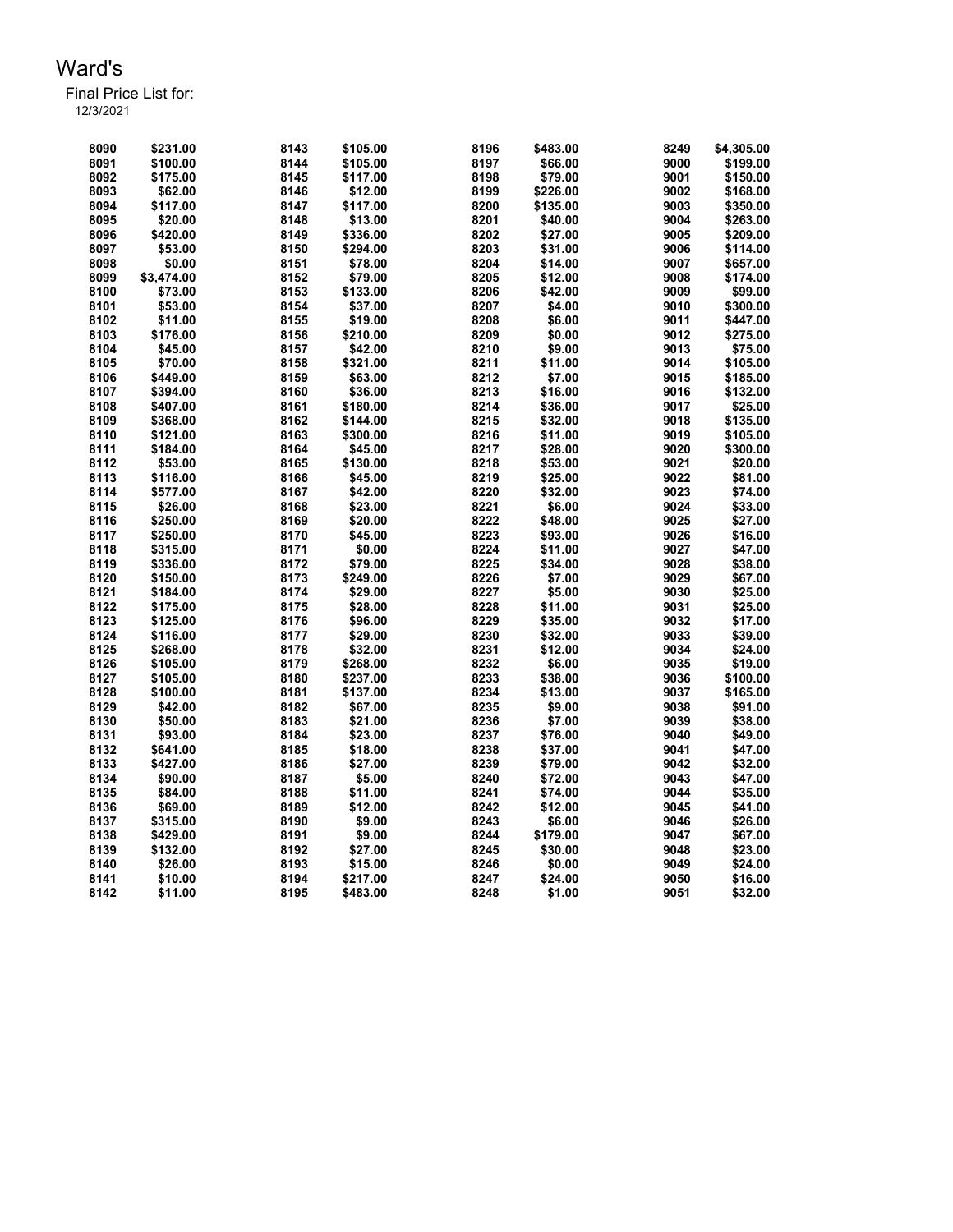Final Price List for:

| 8090 | \$231.00   | 8143 | \$105.00 | 8196 | \$483.00 | 8249 | \$4,305.00 |
|------|------------|------|----------|------|----------|------|------------|
| 8091 | \$100.00   | 8144 | \$105.00 | 8197 | \$66.00  | 9000 | \$199.00   |
| 8092 | \$175.00   | 8145 | \$117.00 | 8198 | \$79.00  | 9001 | \$150.00   |
| 8093 | \$62.00    | 8146 | \$12.00  | 8199 | \$226.00 | 9002 | \$168.00   |
| 8094 | \$117.00   | 8147 | \$117.00 | 8200 | \$135.00 | 9003 | \$350.00   |
| 8095 | \$20.00    | 8148 | \$13.00  | 8201 | \$40.00  | 9004 | \$263.00   |
| 8096 | \$420.00   | 8149 | \$336.00 | 8202 | \$27.00  | 9005 | \$209.00   |
| 8097 | \$53.00    | 8150 | \$294.00 | 8203 | \$31.00  | 9006 | \$114.00   |
| 8098 | \$0.00     | 8151 | \$78.00  | 8204 | \$14.00  | 9007 | \$657.00   |
| 8099 | \$3,474.00 | 8152 | \$79.00  | 8205 | \$12.00  | 9008 | \$174.00   |
| 8100 | \$73.00    | 8153 | \$133.00 | 8206 | \$42.00  | 9009 | \$99.00    |
| 8101 | \$53.00    | 8154 | \$37.00  | 8207 | \$4.00   | 9010 | \$300.00   |
| 8102 | \$11.00    | 8155 | \$19.00  | 8208 | \$6.00   | 9011 | \$447.00   |
| 8103 | \$176.00   | 8156 | \$210.00 | 8209 | \$0.00   | 9012 | \$275.00   |
| 8104 | \$45.00    | 8157 | \$42.00  | 8210 | \$9.00   | 9013 | \$75.00    |
| 8105 | \$70.00    | 8158 | \$321.00 | 8211 | \$11.00  | 9014 | \$105.00   |
| 8106 | \$449.00   | 8159 | \$63.00  | 8212 | \$7.00   | 9015 | \$185.00   |
| 8107 | \$394.00   | 8160 | \$36.00  | 8213 | \$16.00  | 9016 | \$132.00   |
| 8108 | \$407.00   | 8161 | \$180.00 | 8214 | \$36.00  | 9017 | \$25.00    |
| 8109 | \$368.00   | 8162 | \$144.00 | 8215 | \$32.00  | 9018 | \$135.00   |
| 8110 | \$121.00   | 8163 | \$300.00 | 8216 | \$11.00  | 9019 | \$105.00   |
| 8111 | \$184.00   | 8164 | \$45.00  | 8217 | \$28.00  | 9020 | \$300.00   |
| 8112 | \$53.00    | 8165 | \$130.00 | 8218 | \$53.00  | 9021 | \$20.00    |
| 8113 | \$116.00   | 8166 | \$45.00  | 8219 | \$25.00  | 9022 | \$81.00    |
| 8114 | \$577.00   | 8167 | \$42.00  | 8220 | \$32.00  | 9023 | \$74.00    |
| 8115 | \$26.00    | 8168 | \$23.00  | 8221 | \$6.00   | 9024 | \$33.00    |
| 8116 | \$250.00   | 8169 | \$20.00  | 8222 | \$48.00  | 9025 | \$27.00    |
| 8117 | \$250.00   | 8170 | \$45.00  | 8223 | \$93.00  | 9026 | \$16.00    |
|      |            |      |          |      |          |      |            |
| 8118 | \$315.00   | 8171 | \$0.00   | 8224 | \$11.00  | 9027 | \$47.00    |
| 8119 | \$336.00   | 8172 | \$79.00  | 8225 | \$34.00  | 9028 | \$38.00    |
| 8120 | \$150.00   | 8173 | \$249.00 | 8226 | \$7.00   | 9029 | \$67.00    |
| 8121 | \$184.00   | 8174 | \$29.00  | 8227 | \$5.00   | 9030 | \$25.00    |
| 8122 | \$175.00   | 8175 | \$28.00  | 8228 | \$11.00  | 9031 | \$25.00    |
| 8123 | \$125.00   | 8176 | \$96.00  | 8229 | \$35.00  | 9032 | \$17.00    |
| 8124 | \$116.00   | 8177 | \$29.00  | 8230 | \$32.00  | 9033 | \$39.00    |
| 8125 | \$268.00   | 8178 | \$32.00  | 8231 | \$12.00  | 9034 | \$24.00    |
| 8126 | \$105.00   | 8179 | \$268.00 | 8232 | \$6.00   | 9035 | \$19.00    |
| 8127 | \$105.00   | 8180 | \$237.00 | 8233 | \$38.00  | 9036 | \$100.00   |
| 8128 | \$100.00   | 8181 | \$137.00 | 8234 | \$13.00  | 9037 | \$165.00   |
| 8129 | \$42.00    | 8182 | \$67.00  | 8235 | \$9.00   | 9038 | \$91.00    |
| 8130 | \$50.00    | 8183 | \$21.00  | 8236 | \$7.00   | 9039 | \$38.00    |
| 8131 | \$93.00    | 8184 | \$23.00  | 8237 | \$76.00  | 9040 | \$49.00    |
| 8132 | \$641.00   | 8185 | \$18.00  | 8238 | \$37.00  | 9041 | \$47.00    |
| 8133 | \$427.00   | 8186 | \$27.00  | 8239 | \$79.00  | 9042 | \$32.00    |
| 8134 | \$90.00    | 8187 | \$5.00   | 8240 | \$72.00  | 9043 | \$47.00    |
| 8135 | \$84.00    | 8188 | \$11.00  | 8241 | \$74.00  | 9044 | \$35.00    |
| 8136 | \$69.00    | 8189 | \$12.00  | 8242 | \$12.00  | 9045 | \$41.00    |
| 8137 | \$315.00   | 8190 | \$9.00   | 8243 | \$6.00   | 9046 | \$26.00    |
| 8138 | \$429.00   | 8191 | \$9.00   | 8244 | \$179.00 | 9047 | \$67.00    |
| 8139 | \$132.00   | 8192 | \$27.00  | 8245 | \$30.00  | 9048 | \$23.00    |
| 8140 | \$26.00    | 8193 | \$15.00  | 8246 | \$0.00   | 9049 | \$24.00    |
| 8141 | \$10.00    | 8194 | \$217.00 | 8247 | \$24.00  | 9050 | \$16.00    |
| 8142 | \$11.00    | 8195 | \$483.00 | 8248 | \$1.00   | 9051 | \$32.00    |
|      |            |      |          |      |          |      |            |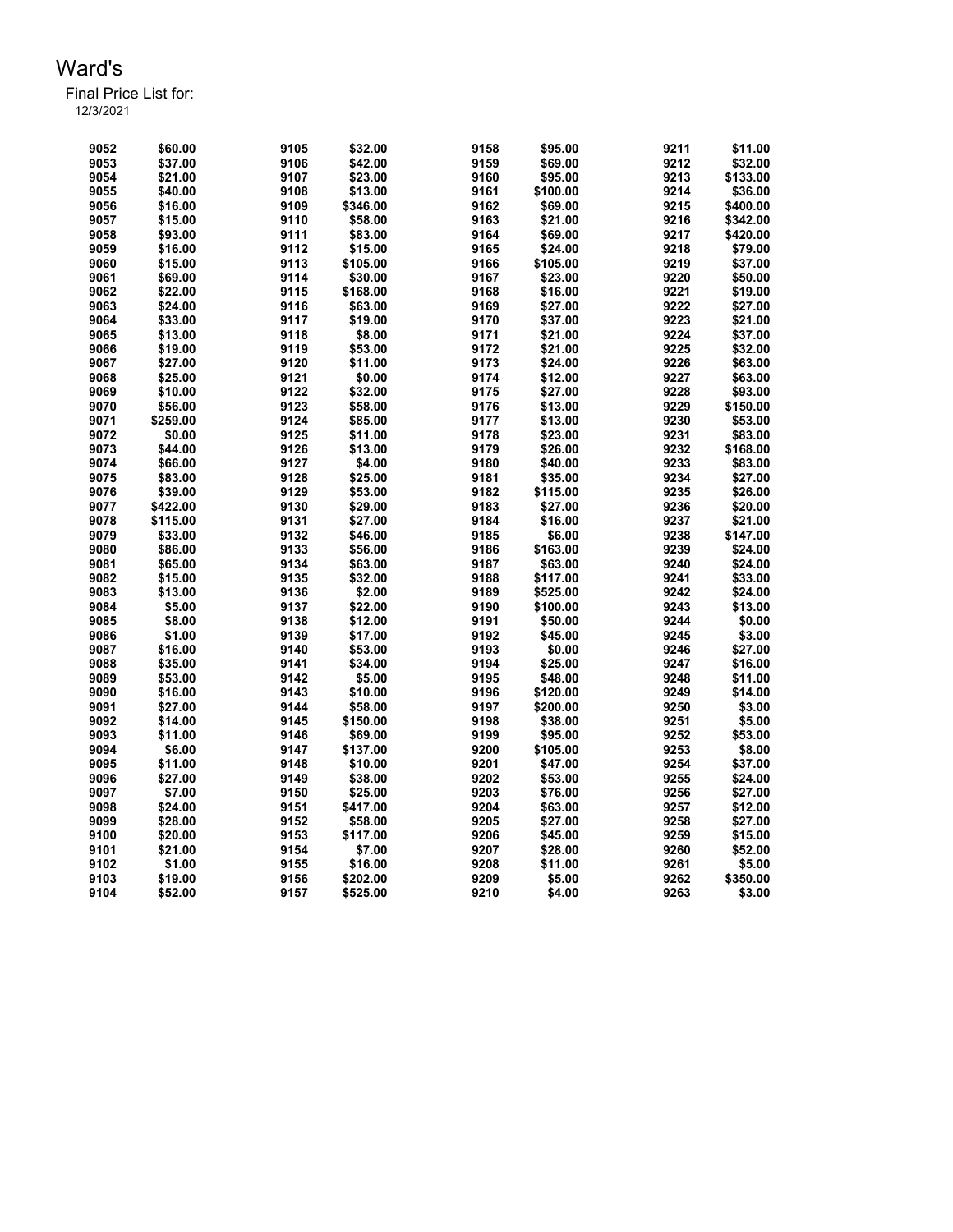Final Price List for:

| 9052 | \$60.00  | 9105 | \$32.00  | 9158 | \$95.00  | 9211 | \$11.00  |
|------|----------|------|----------|------|----------|------|----------|
|      |          |      |          |      |          |      |          |
| 9053 | \$37.00  | 9106 | \$42.00  | 9159 | \$69.00  | 9212 | \$32.00  |
| 9054 | \$21.00  | 9107 | \$23.00  | 9160 | \$95.00  | 9213 | \$133.00 |
| 9055 | \$40.00  | 9108 | \$13.00  | 9161 | \$100.00 | 9214 | \$36.00  |
| 9056 | \$16.00  | 9109 | \$346.00 | 9162 | \$69.00  | 9215 | \$400.00 |
| 9057 | \$15.00  | 9110 | \$58.00  | 9163 | \$21.00  | 9216 | \$342.00 |
| 9058 | \$93.00  | 9111 | \$83.00  | 9164 | \$69.00  | 9217 | \$420.00 |
| 9059 | \$16.00  | 9112 | \$15.00  | 9165 | \$24.00  | 9218 | \$79.00  |
| 9060 | \$15.00  | 9113 | \$105.00 | 9166 | \$105.00 | 9219 | \$37.00  |
| 9061 | \$69.00  | 9114 | \$30.00  | 9167 | \$23.00  | 9220 | \$50.00  |
| 9062 | \$22.00  | 9115 | \$168.00 | 9168 | \$16.00  | 9221 | \$19.00  |
| 9063 | \$24.00  | 9116 | \$63.00  | 9169 | \$27.00  | 9222 | \$27.00  |
| 9064 | \$33.00  | 9117 | \$19.00  | 9170 | \$37.00  | 9223 | \$21.00  |
| 9065 | \$13.00  | 9118 | \$8.00   | 9171 | \$21.00  | 9224 | \$37.00  |
| 9066 | \$19.00  | 9119 |          | 9172 |          | 9225 |          |
|      |          |      | \$53.00  |      | \$21.00  |      | \$32.00  |
| 9067 | \$27.00  | 9120 | \$11.00  | 9173 | \$24.00  | 9226 | \$63.00  |
| 9068 | \$25.00  | 9121 | \$0.00   | 9174 | \$12.00  | 9227 | \$63.00  |
| 9069 | \$10.00  | 9122 | \$32.00  | 9175 | \$27.00  | 9228 | \$93.00  |
| 9070 | \$56.00  | 9123 | \$58.00  | 9176 | \$13.00  | 9229 | \$150.00 |
| 9071 | \$259.00 | 9124 | \$85.00  | 9177 | \$13.00  | 9230 | \$53.00  |
| 9072 | \$0.00   | 9125 | \$11.00  | 9178 | \$23.00  | 9231 | \$83.00  |
| 9073 | \$44.00  | 9126 | \$13.00  | 9179 | \$26.00  | 9232 | \$168.00 |
| 9074 | \$66.00  | 9127 | \$4.00   | 9180 | \$40.00  | 9233 | \$83.00  |
| 9075 | \$83.00  | 9128 | \$25.00  | 9181 | \$35.00  | 9234 | \$27.00  |
| 9076 | \$39.00  | 9129 | \$53.00  | 9182 | \$115.00 | 9235 | \$26.00  |
| 9077 | \$422.00 | 9130 | \$29.00  | 9183 | \$27.00  | 9236 | \$20.00  |
| 9078 | \$115.00 | 9131 | \$27.00  | 9184 | \$16.00  | 9237 | \$21.00  |
| 9079 | \$33.00  | 9132 | \$46.00  | 9185 | \$6.00   | 9238 | \$147.00 |
| 9080 | \$86.00  | 9133 | \$56.00  | 9186 | \$163.00 | 9239 | \$24.00  |
| 9081 | \$65.00  | 9134 | \$63.00  | 9187 | \$63.00  | 9240 | \$24.00  |
| 9082 | \$15.00  | 9135 | \$32.00  | 9188 | \$117.00 | 9241 | \$33.00  |
| 9083 | \$13.00  | 9136 | \$2.00   | 9189 | \$525.00 | 9242 | \$24.00  |
| 9084 | \$5.00   | 9137 | \$22.00  | 9190 | \$100.00 | 9243 | \$13.00  |
| 9085 | \$8.00   | 9138 |          | 9191 |          | 9244 |          |
|      |          |      | \$12.00  |      | \$50.00  |      | \$0.00   |
| 9086 | \$1.00   | 9139 | \$17.00  | 9192 | \$45.00  | 9245 | \$3.00   |
| 9087 | \$16.00  | 9140 | \$53.00  | 9193 | \$0.00   | 9246 | \$27.00  |
| 9088 | \$35.00  | 9141 | \$34.00  | 9194 | \$25.00  | 9247 | \$16.00  |
| 9089 | \$53.00  | 9142 | \$5.00   | 9195 | \$48.00  | 9248 | \$11.00  |
| 9090 | \$16.00  | 9143 | \$10.00  | 9196 | \$120.00 | 9249 | \$14.00  |
| 9091 | \$27.00  | 9144 | \$58.00  | 9197 | \$200.00 | 9250 | \$3.00   |
| 9092 | \$14.00  | 9145 | \$150.00 | 9198 | \$38.00  | 9251 | \$5.00   |
| 9093 | \$11.00  | 9146 | \$69.00  | 9199 | \$95.00  | 9252 | \$53.00  |
| 9094 | \$6.00   | 9147 | \$137.00 | 9200 | \$105.00 | 9253 | \$8.00   |
| 9095 | \$11.00  | 9148 | \$10.00  | 9201 | \$47.00  | 9254 | \$37.00  |
| 9096 | \$27.00  | 9149 | \$38.00  | 9202 | \$53.00  | 9255 | \$24.00  |
| 9097 | \$7.00   | 9150 | \$25.00  | 9203 | \$76.00  | 9256 | \$27.00  |
| 9098 | \$24.00  | 9151 | \$417.00 | 9204 | \$63.00  | 9257 | \$12.00  |
| 9099 | \$28.00  | 9152 | \$58.00  | 9205 | \$27.00  | 9258 | \$27.00  |
| 9100 | \$20.00  | 9153 | \$117.00 | 9206 | \$45.00  | 9259 | \$15.00  |
| 9101 | \$21.00  | 9154 | \$7.00   | 9207 | \$28.00  | 9260 | \$52.00  |
| 9102 | \$1.00   | 9155 | \$16.00  | 9208 | \$11.00  | 9261 | \$5.00   |
| 9103 | \$19.00  | 9156 | \$202.00 | 9209 | \$5.00   | 9262 | \$350.00 |
| 9104 | \$52.00  | 9157 | \$525.00 | 9210 | \$4.00   | 9263 | \$3.00   |
|      |          |      |          |      |          |      |          |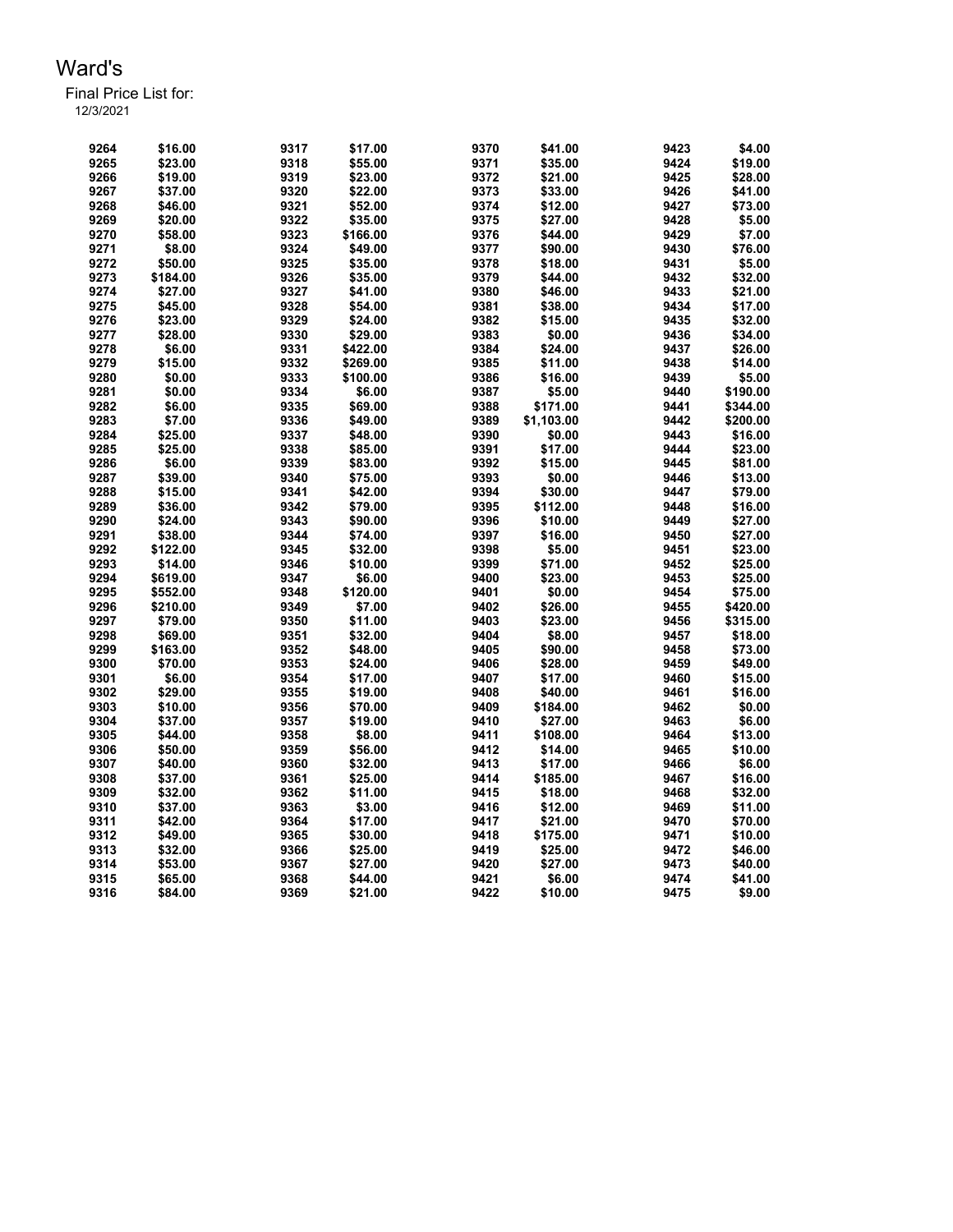Final Price List for:

| 9264 | \$16.00  | 9317 | \$17.00  | 9370 | \$41.00    | 9423 | \$4.00   |
|------|----------|------|----------|------|------------|------|----------|
| 9265 | \$23.00  | 9318 | \$55.00  | 9371 | \$35.00    | 9424 | \$19.00  |
| 9266 | \$19.00  | 9319 | \$23.00  | 9372 | \$21.00    | 9425 | \$28.00  |
| 9267 | \$37.00  | 9320 | \$22.00  | 9373 | \$33.00    | 9426 | \$41.00  |
| 9268 | \$46.00  | 9321 | \$52.00  | 9374 | \$12.00    | 9427 | \$73.00  |
| 9269 | \$20.00  | 9322 | \$35.00  | 9375 | \$27.00    | 9428 | \$5.00   |
| 9270 | \$58.00  | 9323 | \$166.00 | 9376 | \$44.00    | 9429 | \$7.00   |
| 9271 | \$8.00   | 9324 | \$49.00  | 9377 | \$90.00    | 9430 | \$76.00  |
| 9272 | \$50.00  | 9325 | \$35.00  | 9378 | \$18.00    | 9431 | \$5.00   |
| 9273 |          | 9326 | \$35.00  | 9379 | \$44.00    | 9432 | \$32.00  |
| 9274 | \$184.00 |      |          | 9380 |            | 9433 | \$21.00  |
|      | \$27.00  | 9327 | \$41.00  |      | \$46.00    |      |          |
| 9275 | \$45.00  | 9328 | \$54.00  | 9381 | \$38.00    | 9434 | \$17.00  |
| 9276 | \$23.00  | 9329 | \$24.00  | 9382 | \$15.00    | 9435 | \$32.00  |
| 9277 | \$28.00  | 9330 | \$29.00  | 9383 | \$0.00     | 9436 | \$34.00  |
| 9278 | \$6.00   | 9331 | \$422.00 | 9384 | \$24.00    | 9437 | \$26.00  |
| 9279 | \$15.00  | 9332 | \$269.00 | 9385 | \$11.00    | 9438 | \$14.00  |
| 9280 | \$0.00   | 9333 | \$100.00 | 9386 | \$16.00    | 9439 | \$5.00   |
| 9281 | \$0.00   | 9334 | \$6.00   | 9387 | \$5.00     | 9440 | \$190.00 |
| 9282 | \$6.00   | 9335 | \$69.00  | 9388 | \$171.00   | 9441 | \$344.00 |
| 9283 | \$7.00   | 9336 | \$49.00  | 9389 | \$1,103.00 | 9442 | \$200.00 |
| 9284 | \$25.00  | 9337 | \$48.00  | 9390 | \$0.00     | 9443 | \$16.00  |
| 9285 | \$25.00  | 9338 | \$85.00  | 9391 | \$17.00    | 9444 | \$23.00  |
| 9286 | \$6.00   | 9339 | \$83.00  | 9392 | \$15.00    | 9445 | \$81.00  |
| 9287 | \$39.00  | 9340 | \$75.00  | 9393 | \$0.00     | 9446 | \$13.00  |
| 9288 | \$15.00  | 9341 | \$42.00  | 9394 | \$30.00    | 9447 | \$79.00  |
| 9289 | \$36.00  | 9342 | \$79.00  | 9395 | \$112.00   | 9448 | \$16.00  |
| 9290 | \$24.00  | 9343 | \$90.00  | 9396 | \$10.00    | 9449 | \$27.00  |
| 9291 | \$38.00  | 9344 | \$74.00  | 9397 | \$16.00    | 9450 | \$27.00  |
| 9292 | \$122.00 | 9345 | \$32.00  | 9398 | \$5.00     | 9451 | \$23.00  |
| 9293 | \$14.00  | 9346 | \$10.00  | 9399 | \$71.00    | 9452 | \$25.00  |
| 9294 | \$619.00 | 9347 | \$6.00   | 9400 | \$23.00    | 9453 | \$25.00  |
| 9295 | \$552.00 | 9348 | \$120.00 | 9401 | \$0.00     | 9454 | \$75.00  |
| 9296 | \$210.00 | 9349 | \$7.00   | 9402 | \$26.00    | 9455 | \$420.00 |
| 9297 |          |      |          | 9403 | \$23.00    |      |          |
|      | \$79.00  | 9350 | \$11.00  |      |            | 9456 | \$315.00 |
| 9298 | \$69.00  | 9351 | \$32.00  | 9404 | \$8.00     | 9457 | \$18.00  |
| 9299 | \$163.00 | 9352 | \$48.00  | 9405 | \$90.00    | 9458 | \$73.00  |
| 9300 | \$70.00  | 9353 | \$24.00  | 9406 | \$28.00    | 9459 | \$49.00  |
| 9301 | \$6.00   | 9354 | \$17.00  | 9407 | \$17.00    | 9460 | \$15.00  |
| 9302 | \$29.00  | 9355 | \$19.00  | 9408 | \$40.00    | 9461 | \$16.00  |
| 9303 | \$10.00  | 9356 | \$70.00  | 9409 | \$184.00   | 9462 | \$0.00   |
| 9304 | \$37.00  | 9357 | \$19.00  | 9410 | \$27.00    | 9463 | \$6.00   |
| 9305 | \$44.00  | 9358 | \$8.00   | 9411 | \$108.00   | 9464 | \$13.00  |
| 9306 | \$50.00  | 9359 | \$56.00  | 9412 | \$14.00    | 9465 | \$10.00  |
| 9307 | \$40.00  | 9360 | \$32.00  | 9413 | \$17.00    | 9466 | \$6.00   |
| 9308 | \$37.00  | 9361 | \$25.00  | 9414 | \$185.00   | 9467 | \$16.00  |
| 9309 | \$32.00  | 9362 | \$11.00  | 9415 | \$18.00    | 9468 | \$32.00  |
| 9310 | \$37.00  | 9363 | \$3.00   | 9416 | \$12.00    | 9469 | \$11.00  |
| 9311 | \$42.00  | 9364 | \$17.00  | 9417 | \$21.00    | 9470 | \$70.00  |
| 9312 | \$49.00  | 9365 | \$30.00  | 9418 | \$175.00   | 9471 | \$10.00  |
| 9313 | \$32.00  | 9366 | \$25.00  | 9419 | \$25.00    | 9472 | \$46.00  |
| 9314 | \$53.00  | 9367 | \$27.00  | 9420 | \$27.00    | 9473 | \$40.00  |
| 9315 | \$65.00  | 9368 | \$44.00  | 9421 | \$6.00     | 9474 | \$41.00  |
| 9316 | \$84.00  | 9369 | \$21.00  | 9422 | \$10.00    | 9475 | \$9.00   |
|      |          |      |          |      |            |      |          |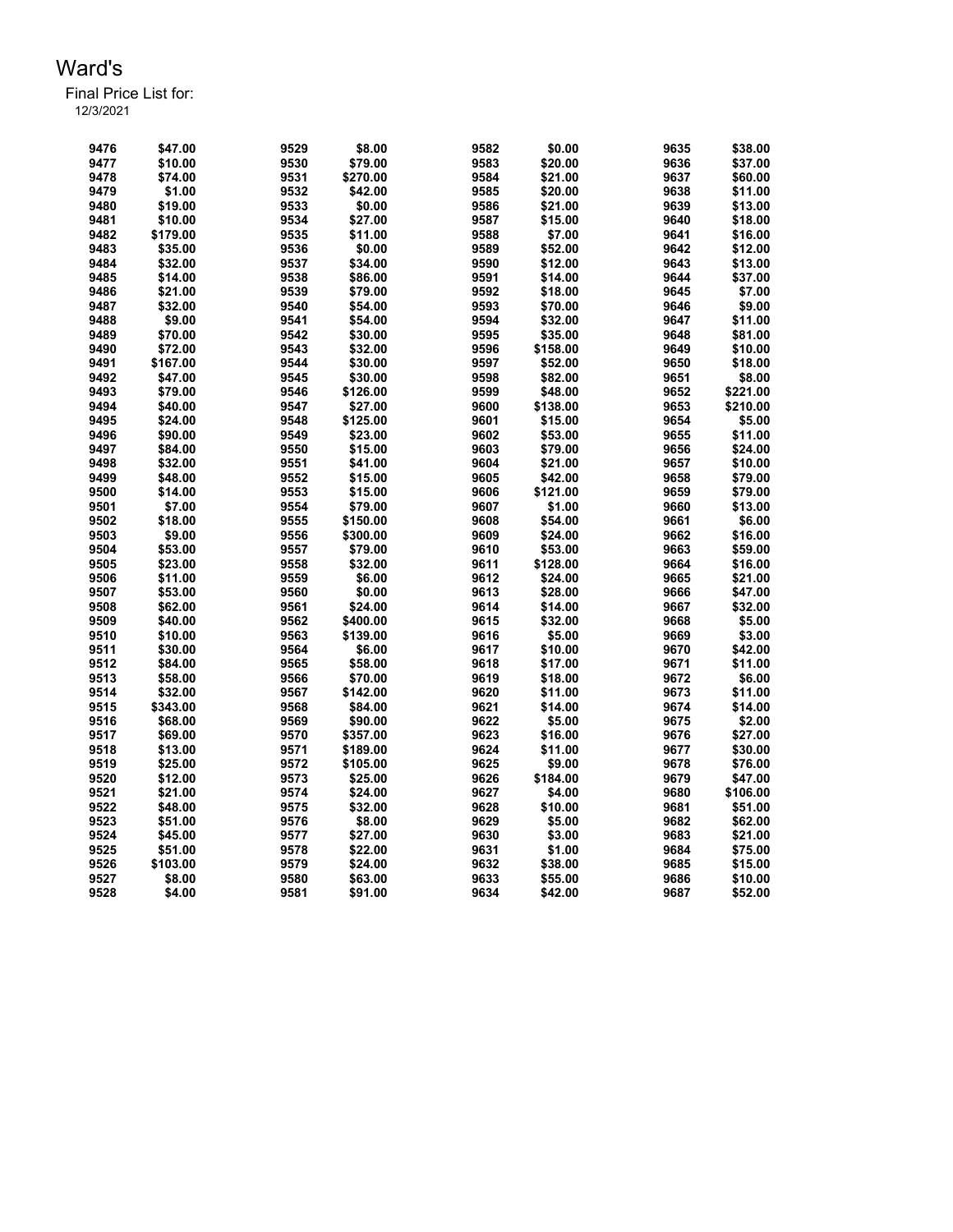| 9476 | \$47.00  | 9529 | \$8.00   | 9582 | \$0.00   | 9635 | \$38.00  |
|------|----------|------|----------|------|----------|------|----------|
| 9477 | \$10.00  | 9530 | \$79.00  | 9583 | \$20.00  | 9636 | \$37.00  |
| 9478 | \$74.00  | 9531 | \$270.00 | 9584 | \$21.00  | 9637 | \$60.00  |
| 9479 | \$1.00   | 9532 | \$42.00  | 9585 | \$20.00  | 9638 | \$11.00  |
| 9480 | \$19.00  | 9533 | \$0.00   | 9586 | \$21.00  | 9639 | \$13.00  |
| 9481 | \$10.00  | 9534 | \$27.00  | 9587 | \$15.00  | 9640 | \$18.00  |
| 9482 | \$179.00 | 9535 | \$11.00  | 9588 | \$7.00   | 9641 | \$16.00  |
| 9483 | \$35.00  | 9536 | \$0.00   | 9589 | \$52.00  | 9642 | \$12.00  |
| 9484 | \$32.00  | 9537 | \$34.00  | 9590 | \$12.00  | 9643 | \$13.00  |
| 9485 | \$14.00  | 9538 | \$86.00  | 9591 | \$14.00  | 9644 | \$37.00  |
| 9486 | \$21.00  | 9539 | \$79.00  | 9592 | \$18.00  | 9645 | \$7.00   |
| 9487 | \$32.00  | 9540 | \$54.00  | 9593 | \$70.00  | 9646 | \$9.00   |
| 9488 | \$9.00   | 9541 | \$54.00  | 9594 | \$32.00  | 9647 | \$11.00  |
| 9489 | \$70.00  | 9542 | \$30.00  | 9595 | \$35.00  | 9648 | \$81.00  |
| 9490 | \$72.00  | 9543 | \$32.00  | 9596 | \$158.00 | 9649 | \$10.00  |
| 9491 | \$167.00 | 9544 | \$30.00  | 9597 | \$52.00  | 9650 | \$18.00  |
| 9492 | \$47.00  | 9545 | \$30.00  | 9598 | \$82.00  | 9651 | \$8.00   |
| 9493 | \$79.00  | 9546 | \$126.00 | 9599 | \$48.00  | 9652 | \$221.00 |
| 9494 | \$40.00  | 9547 | \$27.00  | 9600 | \$138.00 | 9653 | \$210.00 |
| 9495 | \$24.00  | 9548 | \$125.00 | 9601 | \$15.00  | 9654 | \$5.00   |
| 9496 | \$90.00  | 9549 | \$23.00  | 9602 | \$53.00  | 9655 | \$11.00  |
| 9497 | \$84.00  | 9550 | \$15.00  | 9603 | \$79.00  | 9656 | \$24.00  |
| 9498 | \$32.00  | 9551 | \$41.00  | 9604 | \$21.00  | 9657 | \$10.00  |
| 9499 | \$48.00  | 9552 | \$15.00  | 9605 | \$42.00  | 9658 | \$79.00  |
| 9500 | \$14.00  | 9553 | \$15.00  | 9606 | \$121.00 | 9659 | \$79.00  |
| 9501 | \$7.00   | 9554 | \$79.00  | 9607 | \$1.00   | 9660 | \$13.00  |
| 9502 | \$18.00  | 9555 | \$150.00 | 9608 | \$54.00  | 9661 | \$6.00   |
| 9503 | \$9.00   | 9556 | \$300.00 | 9609 | \$24.00  | 9662 | \$16.00  |
| 9504 | \$53.00  | 9557 | \$79.00  | 9610 | \$53.00  | 9663 | \$59.00  |
| 9505 | \$23.00  | 9558 | \$32.00  | 9611 | \$128.00 | 9664 | \$16.00  |
| 9506 | \$11.00  | 9559 | \$6.00   | 9612 | \$24.00  | 9665 | \$21.00  |
| 9507 | \$53.00  | 9560 | \$0.00   | 9613 | \$28.00  | 9666 | \$47.00  |
| 9508 | \$62.00  | 9561 | \$24.00  | 9614 | \$14.00  | 9667 | \$32.00  |
| 9509 | \$40.00  | 9562 | \$400.00 | 9615 | \$32.00  | 9668 | \$5.00   |
| 9510 | \$10.00  | 9563 | \$139.00 | 9616 | \$5.00   | 9669 | \$3.00   |
| 9511 | \$30.00  | 9564 | \$6.00   | 9617 | \$10.00  | 9670 | \$42.00  |
| 9512 | \$84.00  | 9565 | \$58.00  | 9618 | \$17.00  | 9671 | \$11.00  |
| 9513 | \$58.00  | 9566 | \$70.00  | 9619 | \$18.00  | 9672 | \$6.00   |
| 9514 | \$32.00  | 9567 | \$142.00 | 9620 | \$11.00  | 9673 | \$11.00  |
| 9515 | \$343.00 | 9568 | \$84.00  | 9621 | \$14.00  | 9674 | \$14.00  |
| 9516 | \$68.00  | 9569 | \$90.00  | 9622 | \$5.00   | 9675 | \$2.00   |
| 9517 | \$69.00  | 9570 | \$357.00 | 9623 | \$16.00  | 9676 | \$27.00  |
| 9518 | \$13.00  | 9571 | \$189.00 | 9624 | \$11.00  | 9677 | \$30.00  |
| 9519 | \$25.00  | 9572 | \$105.00 | 9625 | \$9.00   | 9678 | \$76.00  |
| 9520 | \$12.00  | 9573 | \$25.00  | 9626 | \$184.00 | 9679 | \$47.00  |
| 9521 | \$21.00  | 9574 | \$24.00  | 9627 | \$4.00   | 9680 | \$106.00 |
| 9522 | \$48.00  | 9575 | \$32.00  | 9628 | \$10.00  | 9681 | \$51.00  |
| 9523 | \$51.00  | 9576 | \$8.00   | 9629 | \$5.00   | 9682 | \$62.00  |
| 9524 | \$45.00  | 9577 | \$27.00  | 9630 | \$3.00   | 9683 | \$21.00  |
| 9525 | \$51.00  | 9578 | \$22.00  | 9631 | \$1.00   | 9684 | \$75.00  |
| 9526 | \$103.00 | 9579 | \$24.00  | 9632 | \$38.00  | 9685 | \$15.00  |
| 9527 | \$8.00   | 9580 | \$63.00  | 9633 | \$55.00  | 9686 | \$10.00  |
| 9528 | \$4.00   | 9581 | \$91.00  | 9634 | \$42.00  | 9687 | \$52.00  |
|      |          |      |          |      |          |      |          |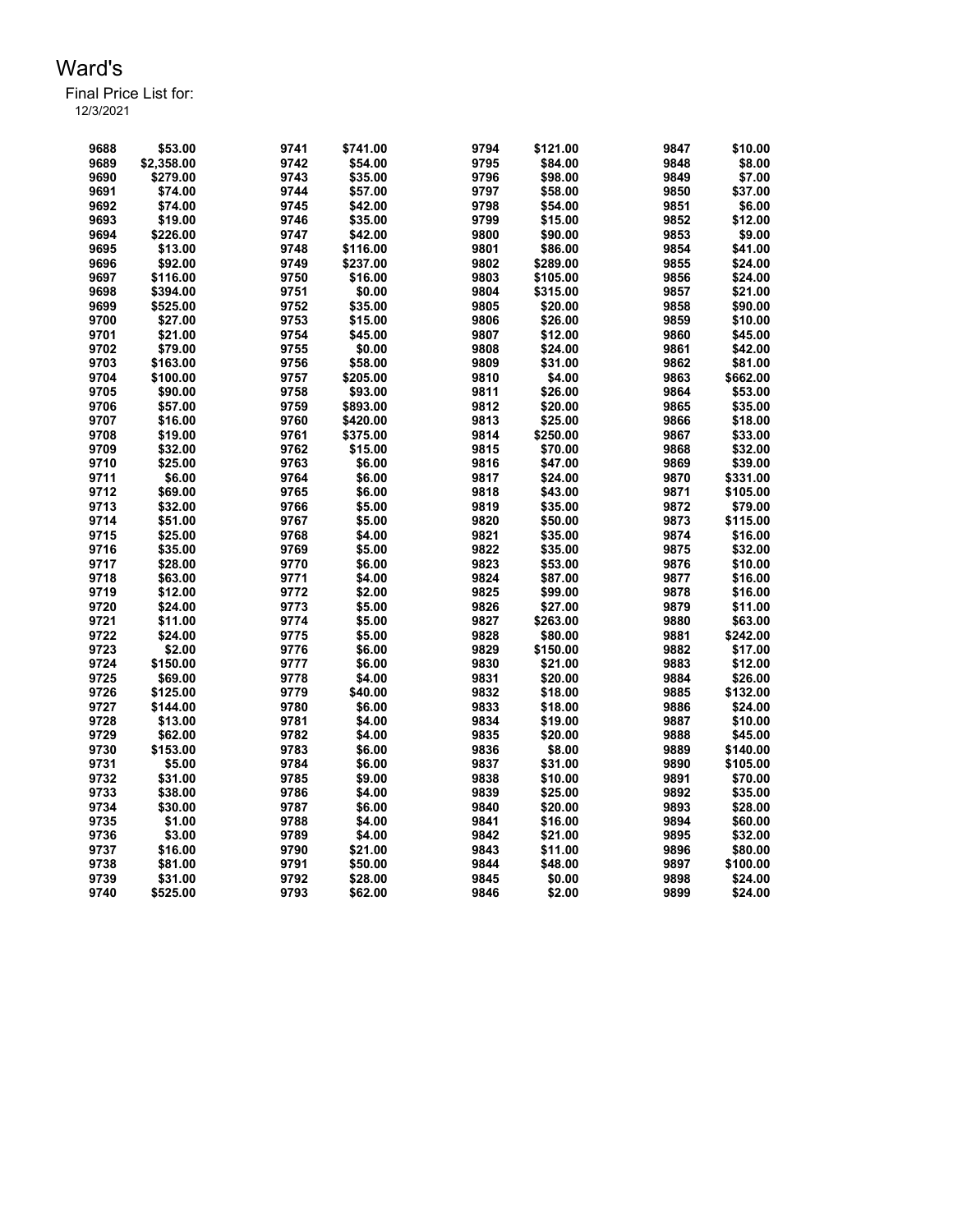| 9688 | \$53.00    | 9741 | \$741.00 | 9794 | \$121.00 | 9847 | \$10.00  |
|------|------------|------|----------|------|----------|------|----------|
| 9689 | \$2,358.00 | 9742 | \$54.00  | 9795 | \$84.00  | 9848 | \$8.00   |
| 9690 | \$279.00   | 9743 | \$35.00  | 9796 | \$98.00  | 9849 | \$7.00   |
| 9691 | \$74.00    | 9744 | \$57.00  | 9797 | \$58.00  | 9850 | \$37.00  |
| 9692 | \$74.00    | 9745 | \$42.00  | 9798 | \$54.00  | 9851 | \$6.00   |
| 9693 | \$19.00    | 9746 | \$35.00  | 9799 | \$15.00  | 9852 | \$12.00  |
| 9694 | \$226.00   | 9747 | \$42.00  | 9800 | \$90.00  | 9853 | \$9.00   |
| 9695 | \$13.00    | 9748 | \$116.00 | 9801 | \$86.00  | 9854 | \$41.00  |
| 9696 | \$92.00    | 9749 | \$237.00 | 9802 | \$289.00 | 9855 | \$24.00  |
| 9697 | \$116.00   | 9750 | \$16.00  | 9803 | \$105.00 | 9856 | \$24.00  |
| 9698 | \$394.00   | 9751 | \$0.00   | 9804 | \$315.00 | 9857 | \$21.00  |
| 9699 | \$525.00   | 9752 | \$35.00  | 9805 | \$20.00  | 9858 | \$90.00  |
| 9700 | \$27.00    | 9753 | \$15.00  | 9806 | \$26.00  | 9859 | \$10.00  |
| 9701 | \$21.00    | 9754 | \$45.00  | 9807 | \$12.00  | 9860 | \$45.00  |
| 9702 | \$79.00    | 9755 | \$0.00   | 9808 | \$24.00  | 9861 | \$42.00  |
| 9703 | \$163.00   | 9756 | \$58.00  | 9809 | \$31.00  | 9862 | \$81.00  |
| 9704 | \$100.00   | 9757 | \$205.00 | 9810 | \$4.00   | 9863 | \$662.00 |
| 9705 | \$90.00    | 9758 | \$93.00  | 9811 | \$26.00  | 9864 | \$53.00  |
| 9706 | \$57.00    | 9759 | \$893.00 | 9812 | \$20.00  | 9865 | \$35.00  |
| 9707 | \$16.00    | 9760 | \$420.00 | 9813 | \$25.00  | 9866 | \$18.00  |
| 9708 | \$19.00    | 9761 | \$375.00 | 9814 | \$250.00 | 9867 | \$33.00  |
| 9709 | \$32.00    | 9762 | \$15.00  | 9815 | \$70.00  | 9868 | \$32.00  |
| 9710 | \$25.00    | 9763 | \$6.00   | 9816 | \$47.00  | 9869 | \$39.00  |
| 9711 | \$6.00     | 9764 | \$6.00   | 9817 | \$24.00  | 9870 | \$331.00 |
| 9712 | \$69.00    | 9765 | \$6.00   | 9818 | \$43.00  | 9871 | \$105.00 |
| 9713 | \$32.00    | 9766 | \$5.00   | 9819 | \$35.00  | 9872 | \$79.00  |
| 9714 | \$51.00    | 9767 | \$5.00   | 9820 | \$50.00  | 9873 | \$115.00 |
| 9715 | \$25.00    | 9768 | \$4.00   | 9821 | \$35.00  | 9874 | \$16.00  |
| 9716 | \$35.00    | 9769 | \$5.00   | 9822 | \$35.00  | 9875 | \$32.00  |
| 9717 | \$28.00    | 9770 | \$6.00   | 9823 | \$53.00  | 9876 | \$10.00  |
| 9718 | \$63.00    | 9771 | \$4.00   | 9824 | \$87.00  | 9877 | \$16.00  |
| 9719 | \$12.00    | 9772 | \$2.00   | 9825 | \$99.00  | 9878 | \$16.00  |
| 9720 | \$24.00    | 9773 | \$5.00   | 9826 | \$27.00  | 9879 | \$11.00  |
| 9721 | \$11.00    | 9774 | \$5.00   | 9827 | \$263.00 | 9880 | \$63.00  |
| 9722 | \$24.00    | 9775 | \$5.00   | 9828 | \$80.00  | 9881 | \$242.00 |
| 9723 | \$2.00     | 9776 | \$6.00   | 9829 | \$150.00 | 9882 | \$17.00  |
| 9724 | \$150.00   | 9777 | \$6.00   | 9830 | \$21.00  | 9883 | \$12.00  |
| 9725 | \$69.00    | 9778 | \$4.00   | 9831 | \$20.00  | 9884 | \$26.00  |
| 9726 | \$125.00   | 9779 | \$40.00  | 9832 | \$18.00  | 9885 | \$132.00 |
| 9727 | \$144.00   | 9780 | \$6.00   | 9833 | \$18.00  | 9886 | \$24.00  |
| 9728 | \$13.00    | 9781 | \$4.00   | 9834 | \$19.00  | 9887 | \$10.00  |
| 9729 | \$62.00    | 9782 | \$4.00   | 9835 | \$20.00  | 9888 | \$45.00  |
| 9730 | \$153.00   | 9783 | \$6.00   | 9836 | \$8.00   | 9889 | \$140.00 |
| 9731 | \$5.00     | 9784 | \$6.00   | 9837 | \$31.00  | 9890 | \$105.00 |
| 9732 | \$31.00    | 9785 | \$9.00   | 9838 | \$10.00  | 9891 | \$70.00  |
| 9733 | \$38.00    | 9786 | \$4.00   | 9839 | \$25.00  | 9892 | \$35.00  |
| 9734 | \$30.00    | 9787 | \$6.00   | 9840 | \$20.00  | 9893 | \$28.00  |
| 9735 | \$1.00     | 9788 | \$4.00   | 9841 | \$16.00  | 9894 | \$60.00  |
| 9736 | \$3.00     | 9789 | \$4.00   | 9842 | \$21.00  | 9895 | \$32.00  |
| 9737 | \$16.00    | 9790 | \$21.00  | 9843 | \$11.00  | 9896 | \$80.00  |
| 9738 | \$81.00    | 9791 | \$50.00  | 9844 | \$48.00  | 9897 | \$100.00 |
| 9739 | \$31.00    | 9792 | \$28.00  | 9845 | \$0.00   | 9898 | \$24.00  |
| 9740 | \$525.00   | 9793 | \$62.00  | 9846 | \$2.00   | 9899 | \$24.00  |
|      |            |      |          |      |          |      |          |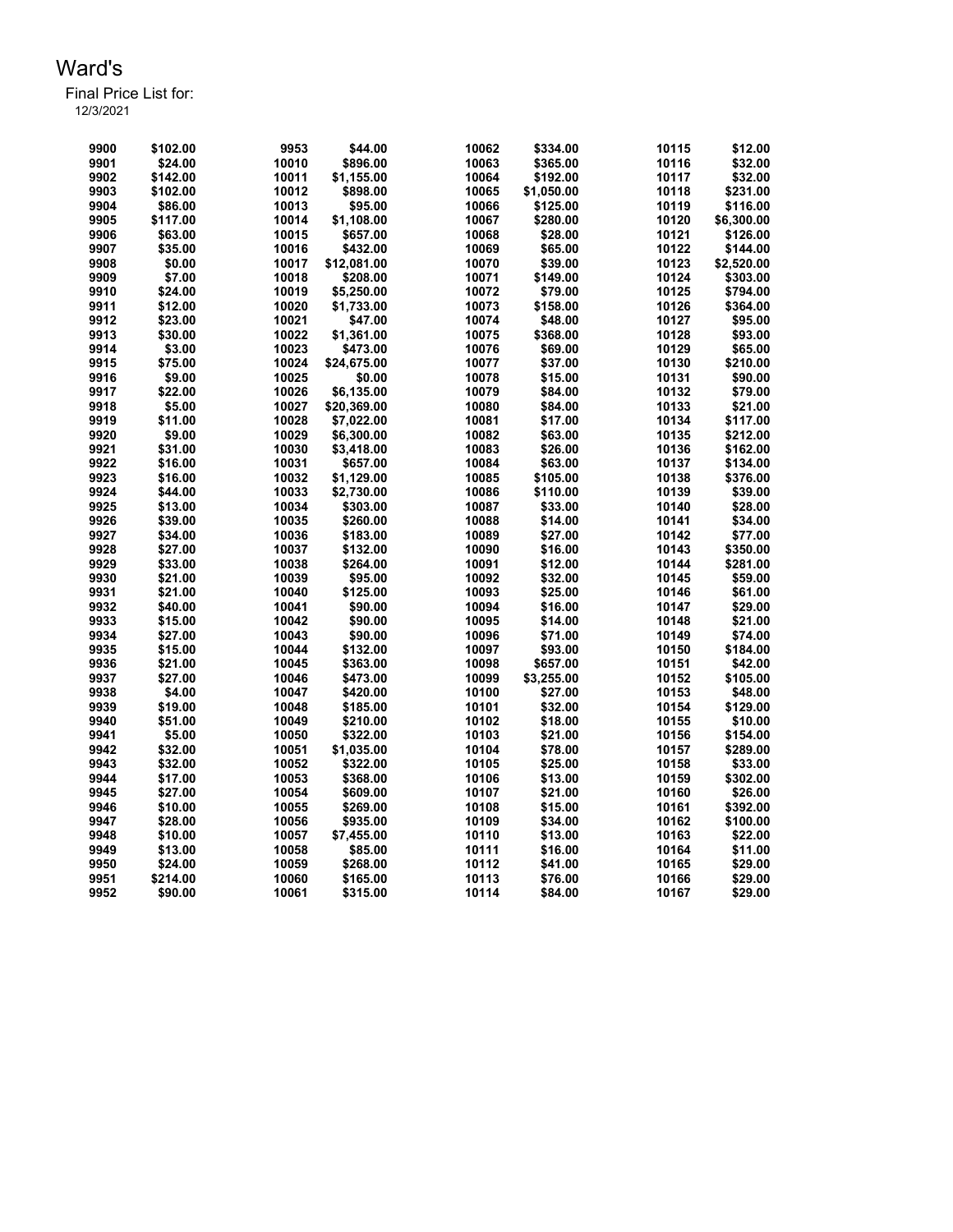Final Price List for:

| 9900 | \$102.00 | 9953  | \$44.00     | 10062          | \$334.00   | 10115 | \$12.00    |
|------|----------|-------|-------------|----------------|------------|-------|------------|
| 9901 | \$24.00  | 10010 | \$896.00    | 10063          | \$365.00   | 10116 | \$32.00    |
| 9902 | \$142.00 | 10011 | \$1,155.00  | 10064          | \$192.00   | 10117 | \$32.00    |
| 9903 | \$102.00 | 10012 | \$898.00    | 10065          | \$1,050.00 | 10118 | \$231.00   |
| 9904 | \$86.00  | 10013 | \$95.00     | 10066          | \$125.00   | 10119 | \$116.00   |
| 9905 | \$117.00 | 10014 | \$1,108.00  | 10067          | \$280.00   | 10120 | \$6,300.00 |
| 9906 | \$63.00  | 10015 | \$657.00    | 10068          | \$28.00    | 10121 | \$126.00   |
| 9907 | \$35.00  | 10016 | \$432.00    | 10069          | \$65.00    | 10122 | \$144.00   |
| 9908 | \$0.00   | 10017 | \$12,081.00 | 10070          | \$39.00    | 10123 | \$2,520.00 |
| 9909 | \$7.00   | 10018 | \$208.00    | 10071          | \$149.00   | 10124 | \$303.00   |
| 9910 | \$24.00  | 10019 | \$5,250.00  | 10072          | \$79.00    | 10125 | \$794.00   |
| 9911 | \$12.00  | 10020 | \$1,733.00  | 10073          | \$158.00   | 10126 | \$364.00   |
| 9912 | \$23.00  | 10021 | \$47.00     | 10074          | \$48.00    | 10127 | \$95.00    |
| 9913 | \$30.00  | 10022 | \$1,361.00  | 10075          | \$368.00   | 10128 | \$93.00    |
| 9914 | \$3.00   | 10023 | \$473.00    | 10076          | \$69.00    | 10129 | \$65.00    |
| 9915 | \$75.00  | 10024 | \$24.675.00 | 10077          | \$37.00    | 10130 | \$210.00   |
| 9916 | \$9.00   | 10025 | \$0.00      | 10078          | \$15.00    | 10131 | \$90.00    |
| 9917 | \$22.00  | 10026 | \$6.135.00  | 10079          | \$84.00    | 10132 | \$79.00    |
| 9918 | \$5.00   | 10027 | \$20,369.00 |                | \$84.00    | 10133 | \$21.00    |
|      |          |       |             | 10080          |            |       |            |
| 9919 | \$11.00  | 10028 | \$7,022.00  | 10081          | \$17.00    | 10134 | \$117.00   |
| 9920 | \$9.00   | 10029 | \$6,300.00  | 10082          | \$63.00    | 10135 | \$212.00   |
| 9921 | \$31.00  | 10030 | \$3,418.00  | 10083          | \$26.00    | 10136 | \$162.00   |
| 9922 | \$16.00  | 10031 | \$657.00    | 10084          | \$63.00    | 10137 | \$134.00   |
| 9923 | \$16.00  | 10032 | \$1,129.00  | 10085          | \$105.00   | 10138 | \$376.00   |
| 9924 | \$44.00  | 10033 | \$2,730.00  | 10086          | \$110.00   | 10139 | \$39.00    |
| 9925 | \$13.00  | 10034 | \$303.00    | 10087          | \$33.00    | 10140 | \$28.00    |
| 9926 | \$39.00  | 10035 | \$260.00    | 10088          | \$14.00    | 10141 | \$34.00    |
| 9927 | \$34.00  | 10036 | \$183.00    | 10089          | \$27.00    | 10142 | \$77.00    |
| 9928 | \$27.00  | 10037 | \$132.00    | 10090          | \$16.00    | 10143 | \$350.00   |
| 9929 | \$33.00  | 10038 | \$264.00    | 10091          | \$12.00    | 10144 | \$281.00   |
| 9930 | \$21.00  | 10039 | \$95.00     | 10092          | \$32.00    | 10145 | \$59.00    |
| 9931 | \$21.00  | 10040 | \$125.00    | 10093          | \$25.00    | 10146 | \$61.00    |
| 9932 | \$40.00  | 10041 | \$90.00     | 10094          | \$16.00    | 10147 | \$29.00    |
| 9933 | \$15.00  | 10042 | \$90.00     | 10095          | \$14.00    | 10148 | \$21.00    |
| 9934 | \$27.00  | 10043 | \$90.00     | 10096          | \$71.00    | 10149 | \$74.00    |
| 9935 | \$15.00  | 10044 | \$132.00    | 10097          | \$93.00    | 10150 | \$184.00   |
| 9936 | \$21.00  | 10045 | \$363.00    | 10098          | \$657.00   | 10151 | \$42.00    |
| 9937 | \$27.00  | 10046 | \$473.00    | 10099          | \$3,255.00 | 10152 | \$105.00   |
| 9938 | \$4.00   | 10047 | \$420.00    | 10100          | \$27.00    | 10153 | \$48.00    |
| 9939 | \$19.00  | 10048 | \$185.00    | 10101          | \$32.00    | 10154 | \$129.00   |
| 9940 | \$51.00  | 10049 | \$210.00    | 10102          | \$18.00    | 10155 | \$10.00    |
| 9941 | \$5.00   | 10050 | \$322.00    | 10103          | \$21.00    | 10156 | \$154.00   |
| 9942 | \$32.00  | 10051 | \$1,035.00  | 10104          | \$78.00    | 10157 | \$289.00   |
| 9943 | \$32.00  | 10052 | \$322.00    | 10105          | \$25.00    | 10158 | \$33.00    |
| 9944 | \$17.00  | 10053 | \$368.00    | 10106          | \$13.00    | 10159 | \$302.00   |
|      |          |       |             |                |            |       |            |
| 9945 | \$27.00  | 10054 | \$609.00    | 10107<br>10108 | \$21.00    | 10160 | \$26.00    |
| 9946 | \$10.00  | 10055 | \$269.00    |                | \$15.00    | 10161 | \$392.00   |
| 9947 | \$28.00  | 10056 | \$935.00    | 10109          | \$34.00    | 10162 | \$100.00   |
| 9948 | \$10.00  | 10057 | \$7,455.00  | 10110          | \$13.00    | 10163 | \$22.00    |
| 9949 | \$13.00  | 10058 | \$85.00     | 10111          | \$16.00    | 10164 | \$11.00    |
| 9950 | \$24.00  | 10059 | \$268.00    | 10112          | \$41.00    | 10165 | \$29.00    |
| 9951 | \$214.00 | 10060 | \$165.00    | 10113          | \$76.00    | 10166 | \$29.00    |
| 9952 | \$90.00  | 10061 | \$315.00    | 10114          | \$84.00    | 10167 | \$29.00    |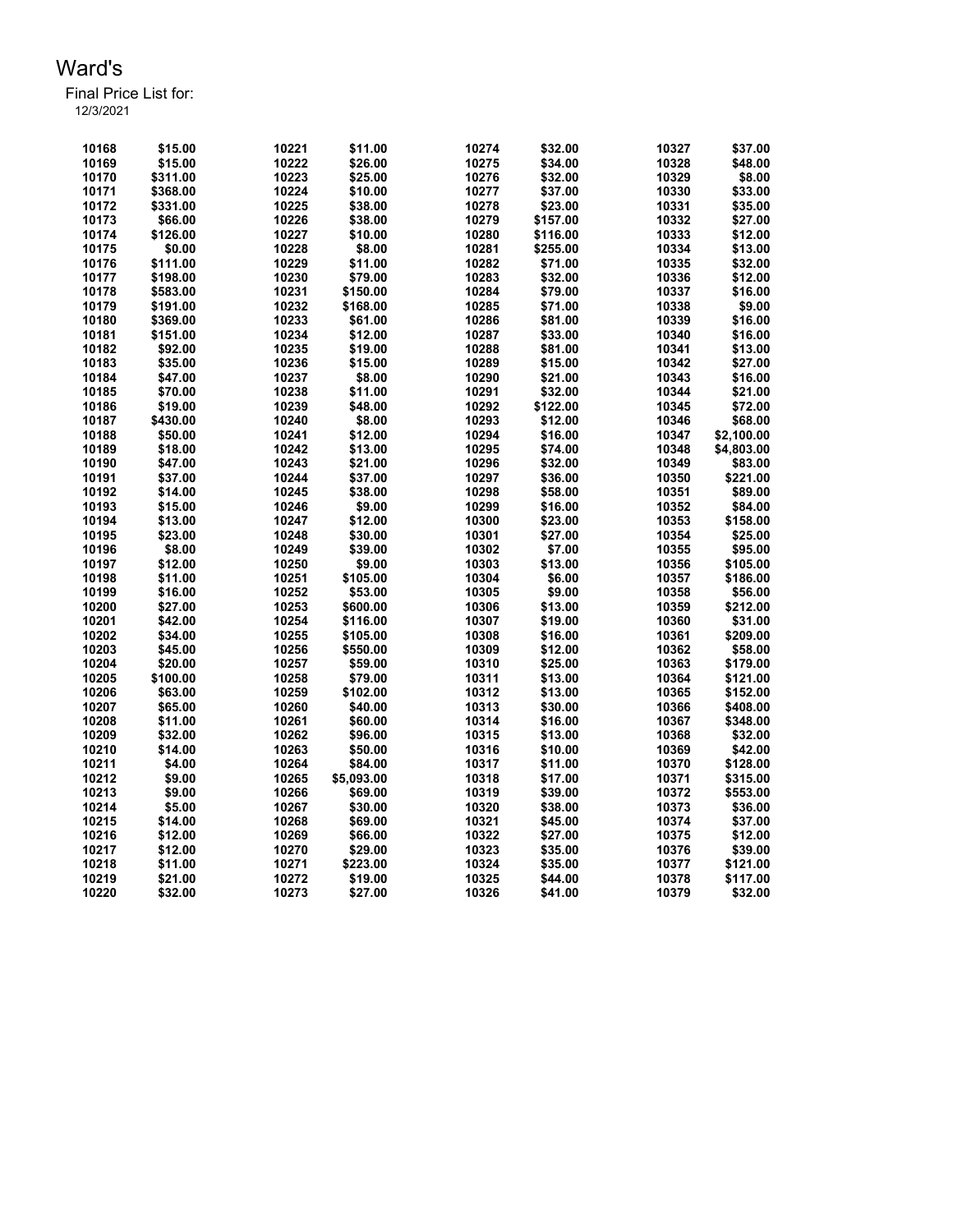| 10168 | \$15.00  | 10221 | \$11.00             | 10274          | \$32.00  | 10327 | \$37.00    |
|-------|----------|-------|---------------------|----------------|----------|-------|------------|
| 10169 | \$15.00  | 10222 | \$26.00             | 10275          | \$34.00  | 10328 | \$48.00    |
| 10170 | \$311.00 | 10223 | \$25.00             | 10276          | \$32.00  | 10329 | \$8.00     |
| 10171 | \$368.00 | 10224 | \$10.00             | 10277          | \$37.00  | 10330 | \$33.00    |
| 10172 | \$331.00 | 10225 | \$38.00             | 10278          | \$23.00  | 10331 | \$35.00    |
| 10173 | \$66.00  | 10226 | \$38.00             | 10279          | \$157.00 | 10332 | \$27.00    |
| 10174 | \$126.00 | 10227 | \$10.00             | 10280          | \$116.00 | 10333 | \$12.00    |
| 10175 | \$0.00   | 10228 | \$8.00              | 10281          | \$255.00 | 10334 | \$13.00    |
| 10176 | \$111.00 | 10229 | \$11.00             | 10282          | \$71.00  | 10335 | \$32.00    |
| 10177 | \$198.00 | 10230 | \$79.00             | 10283          | \$32.00  | 10336 | \$12.00    |
| 10178 | \$583.00 | 10231 | \$150.00            | 10284          | \$79.00  | 10337 | \$16.00    |
| 10179 | \$191.00 | 10232 | \$168.00            | 10285          | \$71.00  | 10338 | \$9.00     |
| 10180 | \$369.00 | 10233 | \$61.00             | 10286          | \$81.00  | 10339 | \$16.00    |
| 10181 | \$151.00 | 10234 | \$12.00             | 10287          | \$33.00  | 10340 | \$16.00    |
| 10182 | \$92.00  | 10235 | \$19.00             | 10288          | \$81.00  | 10341 | \$13.00    |
| 10183 | \$35.00  | 10236 | \$15.00             | 10289          | \$15.00  | 10342 | \$27.00    |
| 10184 | \$47.00  | 10237 | \$8.00              | 10290          | \$21.00  | 10343 | \$16.00    |
| 10185 | \$70.00  | 10238 | \$11.00             | 10291          | \$32.00  | 10344 | \$21.00    |
| 10186 | \$19.00  | 10239 | \$48.00             | 10292          | \$122.00 | 10345 | \$72.00    |
| 10187 | \$430.00 | 10240 | \$8.00              | 10293          | \$12.00  | 10346 | \$68.00    |
| 10188 | \$50.00  | 10241 | \$12.00             | 10294          | \$16.00  | 10347 | \$2,100.00 |
| 10189 | \$18.00  | 10242 | \$13.00             | 10295          | \$74.00  | 10348 | \$4,803.00 |
| 10190 | \$47.00  | 10243 | \$21.00             | 10296          | \$32.00  | 10349 | \$83.00    |
| 10191 | \$37.00  | 10244 | \$37.00             | 10297          | \$36.00  | 10350 | \$221.00   |
| 10192 | \$14.00  | 10245 | \$38.00             | 10298          | \$58.00  | 10351 | \$89.00    |
| 10193 | \$15.00  | 10246 | \$9.00              | 10299          | \$16.00  | 10352 | \$84.00    |
| 10194 | \$13.00  | 10247 | \$12.00             | 10300          | \$23.00  | 10353 | \$158.00   |
| 10195 | \$23.00  | 10248 | \$30.00             | 10301          | \$27.00  | 10354 | \$25.00    |
| 10196 | \$8.00   | 10249 | \$39.00             | 10302          | \$7.00   | 10355 | \$95.00    |
| 10197 | \$12.00  | 10250 | \$9.00              | 10303          | \$13.00  | 10356 | \$105.00   |
| 10198 | \$11.00  | 10251 | \$105.00            | 10304          | \$6.00   | 10357 | \$186.00   |
| 10199 | \$16.00  | 10252 | \$53.00             | 10305          | \$9.00   | 10358 | \$56.00    |
| 10200 | \$27.00  | 10253 | \$600.00            | 10306          | \$13.00  | 10359 | \$212.00   |
| 10201 | \$42.00  | 10254 | \$116.00            | 10307          | \$19.00  | 10360 | \$31.00    |
| 10202 | \$34.00  | 10255 | \$105.00            | 10308          | \$16.00  | 10361 | \$209.00   |
| 10203 | \$45.00  | 10256 | \$550.00            | 10309          | \$12.00  | 10362 | \$58.00    |
| 10204 | \$20.00  | 10257 | \$59.00             | 10310          | \$25.00  | 10363 | \$179.00   |
| 10205 | \$100.00 | 10258 | \$79.00             | 10311          | \$13.00  | 10364 | \$121.00   |
| 10206 | \$63.00  | 10259 | \$102.00            | 10312          | \$13.00  | 10365 | \$152.00   |
| 10207 | \$65.00  | 10260 | \$40.00             | 10313          | \$30.00  | 10366 | \$408.00   |
| 10208 | \$11.00  | 10261 | \$60.00             | 10314          | \$16.00  | 10367 | \$348.00   |
| 10209 | \$32.00  | 10262 | \$96.00             | 10315          | \$13.00  | 10368 | \$32.00    |
| 10210 | \$14.00  | 10263 | \$50.00             | 10316          | \$10.00  | 10369 | \$42.00    |
| 10211 | \$4.00   | 10264 | \$84.00             | 10317          | \$11.00  | 10370 | \$128.00   |
| 10212 | \$9.00   |       | \$5,093.00          | 10318          | \$17.00  | 10371 | \$315.00   |
|       |          | 10265 |                     |                |          |       |            |
| 10213 | \$9.00   | 10266 | \$69.00             | 10319          | \$39.00  | 10372 | \$553.00   |
| 10214 | \$5.00   | 10267 | \$30.00             | 10320          | \$38.00  | 10373 | \$36.00    |
| 10215 | \$14.00  | 10268 | \$69.00             | 10321          | \$45.00  | 10374 | \$37.00    |
| 10216 | \$12.00  | 10269 | \$66.00             | 10322          | \$27.00  | 10375 | \$12.00    |
| 10217 | \$12.00  | 10270 | \$29.00<br>\$223.00 | 10323<br>10324 | \$35.00  | 10376 | \$39.00    |
| 10218 | \$11.00  | 10271 |                     |                | \$35.00  | 10377 | \$121.00   |
| 10219 | \$21.00  | 10272 | \$19.00             | 10325          | \$44.00  | 10378 | \$117.00   |
| 10220 | \$32.00  | 10273 | \$27.00             | 10326          | \$41.00  | 10379 | \$32.00    |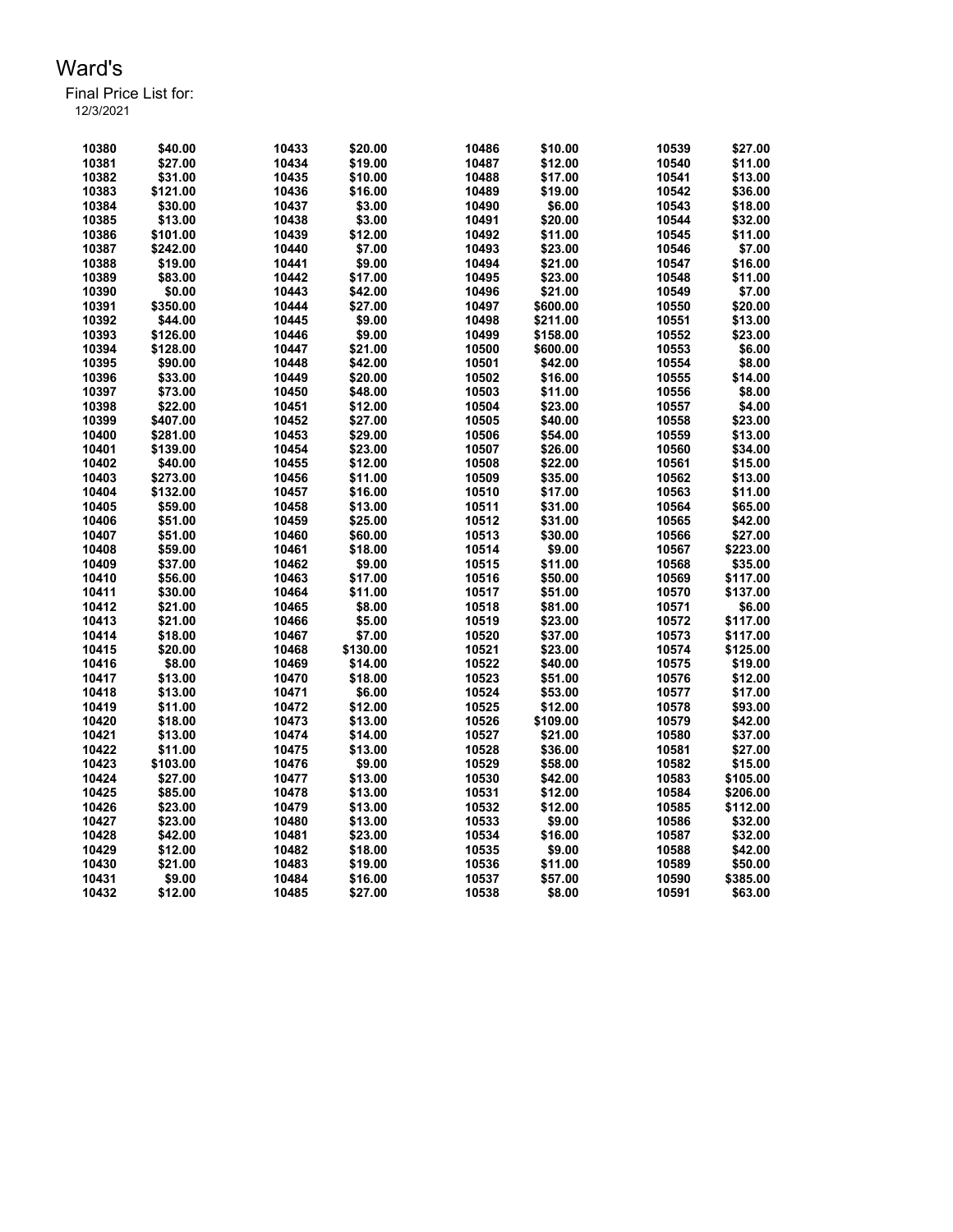Final Price List for: 12/3/2021

> \$40.00 10433 \$20.00 10486 \$10.00 10539 \$27.00 \$27.00 10434 \$19.00 10487 \$12.00 10540 \$11.00 \$31.00 10435 \$10.00 10488 \$17.00 10541 \$13.00 \$121.00 10436 \$16.00 10489 \$19.00 10542 \$36.00 \$30.00 10437 \$3.00 10490 \$6.00 10543 \$18.00 \$13.00 10438 \$3.00 10491 \$20.00 10544 \$32.00 \$101.00 10439 \$12.00 10492 \$11.00 10545 \$11.00 \$242.00 10440 \$7.00 10493 \$23.00 10546 \$7.00 \$19.00 10441 \$9.00 10494 \$21.00 10547 \$16.00 \$83.00 10442 \$17.00 10495 \$23.00 10548 \$11.00 \$0.00 10443 \$42.00 10496 \$21.00 10549 \$7.00 \$350.00 10444 \$27.00 10497 \$600.00 10550 \$20.00 \$44.00 10445 \$9.00 10498 \$211.00 10551 \$13.00 \$126.00 10446 \$9.00 10499 \$158.00 10552 \$23.00 \$128.00 10447 \$21.00 10500 \$600.00 10553 \$6.00 \$90.00 10448 \$42.00 10501 \$42.00 10554 \$8.00 \$33.00 10449 \$20.00 10502 \$16.00 10555 \$14.00 \$73.00 10450 \$48.00 10503 \$11.00 10556 \$8.00 \$22.00 10451 \$12.00 10504 \$23.00 10557 \$4.00 \$407.00 10452 \$27.00 10505 \$40.00 10558 \$23.00 \$281.00 10453 \$29.00 10506 \$54.00 10559 \$13.00 \$139.00 10454 \$23.00 10507 \$26.00 10560 \$34.00 \$40.00 10455 \$12.00 10508 \$22.00 10561 \$15.00 \$273.00 10456 \$11.00 10509 \$35.00 10562 \$13.00 \$132.00 10457 \$16.00 10510 \$17.00 10563 \$11.00 \$59.00 10458 \$13.00 10511 \$31.00 10564 \$65.00 \$51.00 10459 \$25.00 10512 \$31.00 10565 \$42.00 \$51.00 10460 \$60.00 10513 \$30.00 10566 \$27.00 \$59.00 10461 \$18.00 10514 \$9.00 10567 \$223.00 \$37.00 10462 \$9.00 10515 \$11.00 10568 \$35.00 \$56.00 10463 \$17.00 10516 \$50.00 10569 \$117.00 \$30.00 10464 \$11.00 10517 \$51.00 10570 \$137.00 \$21.00 10465 \$8.00 10518 \$81.00 10571 \$6.00 \$21.00 10466 \$5.00 10519 \$23.00 10572 \$117.00 \$18.00 10467 \$7.00 10520 \$37.00 10573 \$117.00 \$20.00 10468 \$130.00 10521 \$23.00 10574 \$125.00 \$8.00 10469 \$14.00 10522 \$40.00 10575 \$19.00 \$13.00 10470 \$18.00 10523 \$51.00 10576 \$12.00 \$13.00 10471 \$6.00 10524 \$53.00 10577 \$17.00 \$11.00 10472 \$12.00 10525 \$12.00 10578 \$93.00 \$18.00 10473 \$13.00 10526 \$109.00 10579 \$42.00 \$13.00 10474 \$14.00 10527 \$21.00 10580 \$37.00 \$11.00 10475 \$13.00 10528 \$36.00 10581 \$27.00 \$103.00 10476 \$9.00 10529 \$58.00 10582 \$15.00 \$27.00 10477 \$13.00 10530 \$42.00 10583 \$105.00 \$85.00 10478 \$13.00 10531 \$12.00 10584 \$206.00 \$23.00 10479 \$13.00 10532 \$12.00 10585 \$112.00 \$23.00 10480 \$13.00 10533 \$9.00 10586 \$32.00 \$42.00 10481 \$23.00 10534 \$16.00 10587 \$32.00 \$12.00 10482 \$18.00 10535 \$9.00 10588 \$42.00 \$21.00 10483 \$19.00 10536 \$11.00 10589 \$50.00 \$9.00 10484 \$16.00 10537 \$57.00 10590 \$385.00 \$12.00 10485 \$27.00 10538 \$8.00 10591 \$63.00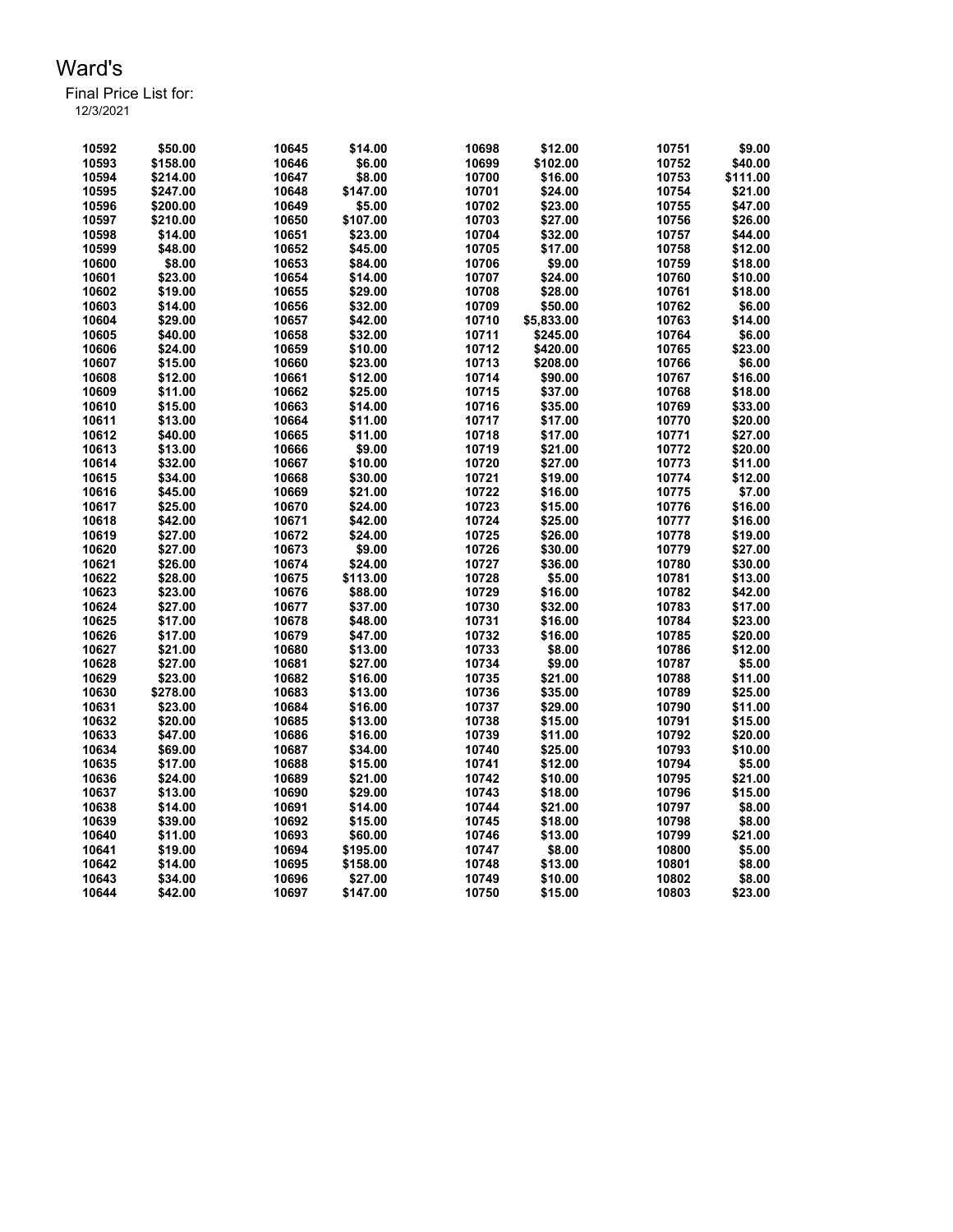| 10592 | \$50.00  | 10645 | \$14.00  | 10698 | \$12.00    | 10751 | \$9.00   |
|-------|----------|-------|----------|-------|------------|-------|----------|
| 10593 | \$158.00 | 10646 | \$6.00   | 10699 | \$102.00   | 10752 | \$40.00  |
| 10594 | \$214.00 | 10647 | \$8.00   | 10700 | \$16.00    | 10753 | \$111.00 |
| 10595 | \$247.00 | 10648 | \$147.00 | 10701 | \$24.00    | 10754 | \$21.00  |
| 10596 | \$200.00 | 10649 | \$5.00   | 10702 | \$23.00    | 10755 | \$47.00  |
| 10597 | \$210.00 | 10650 | \$107.00 | 10703 | \$27.00    | 10756 | \$26.00  |
| 10598 | \$14.00  | 10651 | \$23.00  | 10704 | \$32.00    | 10757 | \$44.00  |
| 10599 | \$48.00  | 10652 | \$45.00  | 10705 | \$17.00    | 10758 | \$12.00  |
| 10600 | \$8.00   | 10653 | \$84.00  | 10706 | \$9.00     | 10759 | \$18.00  |
| 10601 | \$23.00  | 10654 | \$14.00  | 10707 | \$24.00    | 10760 | \$10.00  |
| 10602 | \$19.00  | 10655 | \$29.00  | 10708 | \$28.00    | 10761 | \$18.00  |
| 10603 | \$14.00  | 10656 | \$32.00  | 10709 | \$50.00    | 10762 | \$6.00   |
| 10604 | \$29.00  | 10657 | \$42.00  | 10710 | \$5,833.00 | 10763 | \$14.00  |
| 10605 | \$40.00  | 10658 | \$32.00  | 10711 | \$245.00   | 10764 | \$6.00   |
| 10606 | \$24.00  | 10659 | \$10.00  | 10712 | \$420.00   | 10765 | \$23.00  |
| 10607 | \$15.00  | 10660 | \$23.00  | 10713 | \$208.00   | 10766 | \$6.00   |
| 10608 | \$12.00  | 10661 | \$12.00  | 10714 | \$90.00    | 10767 | \$16.00  |
| 10609 | \$11.00  | 10662 | \$25.00  | 10715 | \$37.00    | 10768 | \$18.00  |
| 10610 | \$15.00  | 10663 | \$14.00  | 10716 | \$35.00    | 10769 | \$33.00  |
| 10611 | \$13.00  | 10664 | \$11.00  | 10717 | \$17.00    | 10770 | \$20.00  |
| 10612 | \$40.00  | 10665 | \$11.00  | 10718 | \$17.00    | 10771 | \$27.00  |
| 10613 | \$13.00  | 10666 | \$9.00   | 10719 | \$21.00    | 10772 | \$20.00  |
| 10614 | \$32.00  | 10667 | \$10.00  | 10720 | \$27.00    | 10773 | \$11.00  |
| 10615 | \$34.00  | 10668 | \$30.00  | 10721 | \$19.00    | 10774 | \$12.00  |
| 10616 | \$45.00  | 10669 | \$21.00  | 10722 | \$16.00    | 10775 | \$7.00   |
| 10617 | \$25.00  | 10670 | \$24.00  | 10723 | \$15.00    | 10776 | \$16.00  |
| 10618 | \$42.00  | 10671 | \$42.00  | 10724 | \$25.00    | 10777 | \$16.00  |
| 10619 | \$27.00  | 10672 | \$24.00  | 10725 | \$26.00    | 10778 | \$19.00  |
| 10620 | \$27.00  | 10673 | \$9.00   | 10726 | \$30.00    | 10779 | \$27.00  |
| 10621 | \$26.00  | 10674 | \$24.00  | 10727 | \$36.00    | 10780 | \$30.00  |
| 10622 | \$28.00  | 10675 | \$113.00 | 10728 | \$5.00     | 10781 | \$13.00  |
| 10623 | \$23.00  | 10676 | \$88.00  | 10729 | \$16.00    | 10782 | \$42.00  |
| 10624 | \$27.00  | 10677 | \$37.00  | 10730 | \$32.00    | 10783 | \$17.00  |
| 10625 | \$17.00  | 10678 | \$48.00  | 10731 | \$16.00    | 10784 | \$23.00  |
| 10626 | \$17.00  | 10679 | \$47.00  | 10732 | \$16.00    | 10785 | \$20.00  |
| 10627 | \$21.00  | 10680 | \$13.00  | 10733 | \$8.00     | 10786 | \$12.00  |
| 10628 | \$27.00  | 10681 | \$27.00  | 10734 | \$9.00     | 10787 | \$5.00   |
| 10629 | \$23.00  | 10682 | \$16.00  | 10735 | \$21.00    | 10788 | \$11.00  |
| 10630 | \$278.00 | 10683 | \$13.00  | 10736 | \$35.00    | 10789 | \$25.00  |
| 10631 | \$23.00  | 10684 | \$16.00  | 10737 | \$29.00    | 10790 | \$11.00  |
| 10632 | \$20.00  | 10685 | \$13.00  | 10738 | \$15.00    | 10791 | \$15.00  |
| 10633 | \$47.00  | 10686 | \$16.00  | 10739 | \$11.00    | 10792 | \$20.00  |
| 10634 | \$69.00  | 10687 | \$34.00  | 10740 | \$25.00    | 10793 | \$10.00  |
| 10635 | \$17.00  | 10688 | \$15.00  | 10741 | \$12.00    | 10794 | \$5.00   |
| 10636 | \$24.00  | 10689 | \$21.00  | 10742 | \$10.00    | 10795 | \$21.00  |
| 10637 | \$13.00  | 10690 | \$29.00  | 10743 | \$18.00    | 10796 | \$15.00  |
| 10638 | \$14.00  | 10691 | \$14.00  | 10744 | \$21.00    | 10797 | \$8.00   |
| 10639 | \$39.00  | 10692 | \$15.00  | 10745 | \$18.00    | 10798 | \$8.00   |
| 10640 | \$11.00  | 10693 | \$60.00  | 10746 | \$13.00    | 10799 | \$21.00  |
| 10641 | \$19.00  | 10694 | \$195.00 | 10747 | \$8.00     | 10800 | \$5.00   |
| 10642 | \$14.00  | 10695 | \$158.00 | 10748 | \$13.00    | 10801 | \$8.00   |
| 10643 | \$34.00  | 10696 | \$27.00  | 10749 | \$10.00    | 10802 | \$8.00   |
| 10644 | \$42.00  | 10697 | \$147.00 | 10750 | \$15.00    | 10803 | \$23.00  |
|       |          |       |          |       |            |       |          |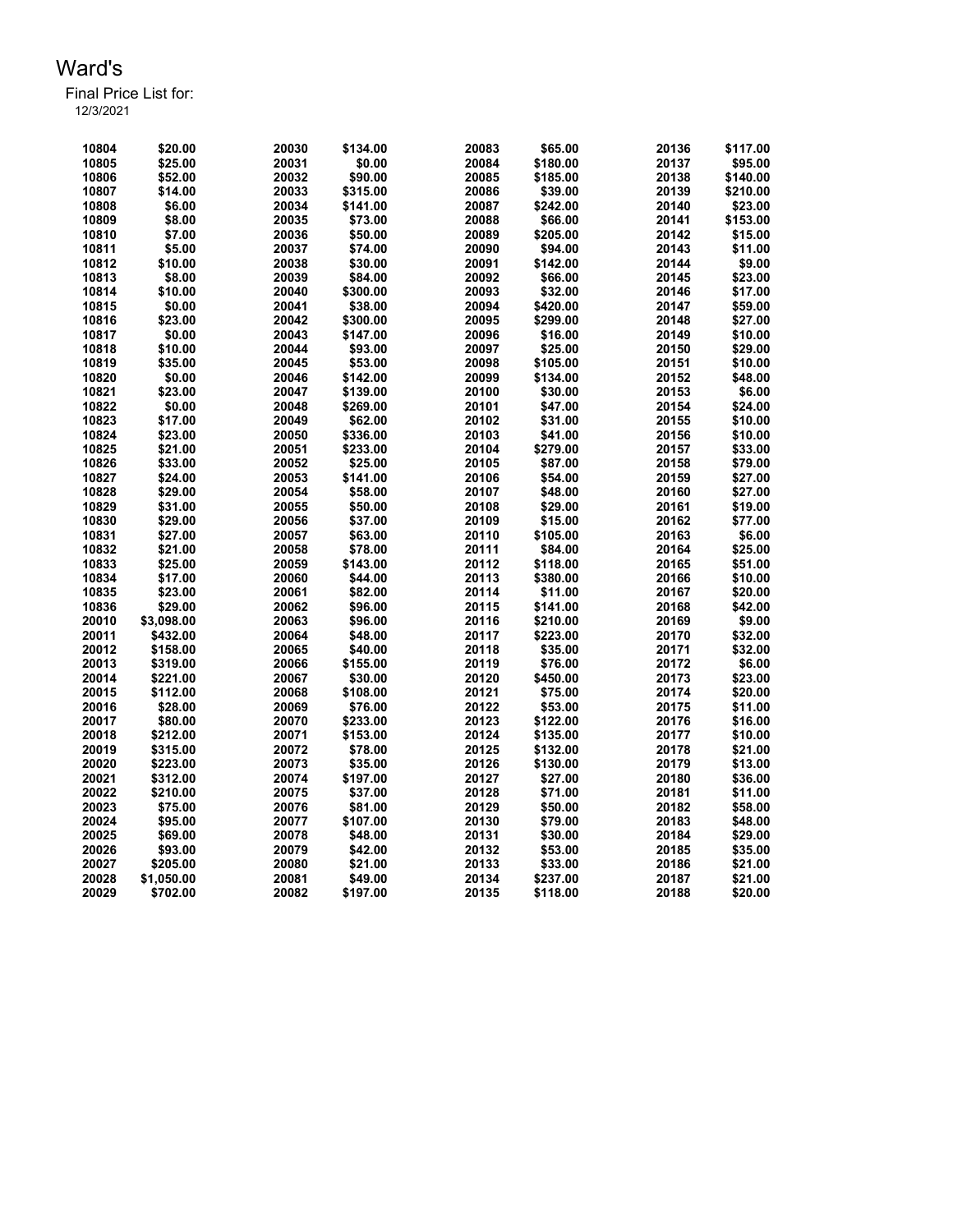Final Price List for: 12/3/2021

> \$20.00 20030 \$134.00 20083 \$65.00 20136 \$117.00 \$25.00 20031 \$0.00 20084 \$180.00 20137 \$95.00 \$52.00 20032 \$90.00 20085 \$185.00 20138 \$140.00 \$14.00 20033 \$315.00 20086 \$39.00 20139 \$210.00 \$6.00 20034 \$141.00 20087 \$242.00 20140 \$23.00 \$8.00 20035 \$73.00 20088 \$66.00 20141 \$153.00 \$7.00 20036 \$50.00 20089 \$205.00 20142 \$15.00 \$5.00 20037 \$74.00 20090 \$94.00 20143 \$11.00 \$10.00 20038 \$30.00 20091 \$142.00 20144 \$9.00 \$8.00 20039 \$84.00 20092 \$66.00 20145 \$23.00 \$10.00 20040 \$300.00 20093 \$32.00 20146 \$17.00 \$0.00 20041 \$38.00 20094 \$420.00 20147 \$59.00 \$23.00 20042 \$300.00 20095 \$299.00 20148 \$27.00 \$0.00 20043 \$147.00 20096 \$16.00 20149 \$10.00 \$10.00 20044 \$93.00 20097 \$25.00 20150 \$29.00 \$35.00 20045 \$53.00 20098 \$105.00 20151 \$10.00 \$0.00 20046 \$142.00 20099 \$134.00 20152 \$48.00 \$23.00 20047 \$139.00 20100 \$30.00 20153 \$6.00 \$0.00 20048 \$269.00 20101 \$47.00 20154 \$24.00 \$17.00 20049 \$62.00 20102 \$31.00 20155 \$10.00 \$23.00 20050 \$336.00 20103 \$41.00 20156 \$10.00 \$21.00 20051 \$233.00 20104 \$279.00 20157 \$33.00 \$33.00 20052 \$25.00 20105 \$87.00 20158 \$79.00 \$24.00 20053 \$141.00 20106 \$54.00 20159 \$27.00 \$29.00 20054 \$58.00 20107 \$48.00 20160 \$27.00 \$31.00 20055 \$50.00 20108 \$29.00 20161 \$19.00 \$29.00 20056 \$37.00 20109 \$15.00 20162 \$77.00 \$27.00 20057 \$63.00 20110 \$105.00 20163 \$6.00 \$21.00 20058 \$78.00 20111 \$84.00 20164 \$25.00 \$25.00 20059 \$143.00 20112 \$118.00 20165 \$51.00 \$17.00 20060 \$44.00 20113 \$380.00 20166 \$10.00 \$23.00 20061 \$82.00 20114 \$11.00 20167 \$20.00 \$29.00 20062 \$96.00 20115 \$141.00 20168 \$42.00 \$3,098.00 20063 \$96.00 20116 \$210.00 20169 \$9.00 \$432.00 20064 \$48.00 20117 \$223.00 20170 \$32.00 \$158.00 20065 \$40.00 20118 \$35.00 20171 \$32.00 \$319.00 20066 \$155.00 20119 \$76.00 20172 \$6.00 \$221.00 20067 \$30.00 20120 \$450.00 20173 \$23.00 \$112.00 20068 \$108.00 20121 \$75.00 20174 \$20.00 \$28.00 20069 \$76.00 20122 \$53.00 20175 \$11.00 \$80.00 20070 \$233.00 20123 \$122.00 20176 \$16.00 \$212.00 20071 \$153.00 20124 \$135.00 20177 \$10.00 \$315.00 20072 \$78.00 20125 \$132.00 20178 \$21.00 \$223.00 20073 \$35.00 20126 \$130.00 20179 \$13.00 \$312.00 20074 \$197.00 20127 \$27.00 20180 \$36.00 \$210.00 20075 \$37.00 20128 \$71.00 20181 \$11.00 \$75.00 20076 \$81.00 20129 \$50.00 20182 \$58.00 \$95.00 20077 \$107.00 20130 \$79.00 20183 \$48.00 \$69.00 20078 \$48.00 20131 \$30.00 20184 \$29.00 \$93.00 20079 \$42.00 20132 \$53.00 20185 \$35.00 \$205.00 20080 \$21.00 20133 \$33.00 20186 \$21.00 \$1,050.00 20081 \$49.00 20134 \$237.00 20187 \$21.00 \$702.00 20082 \$197.00 20135 \$118.00 20188 \$20.00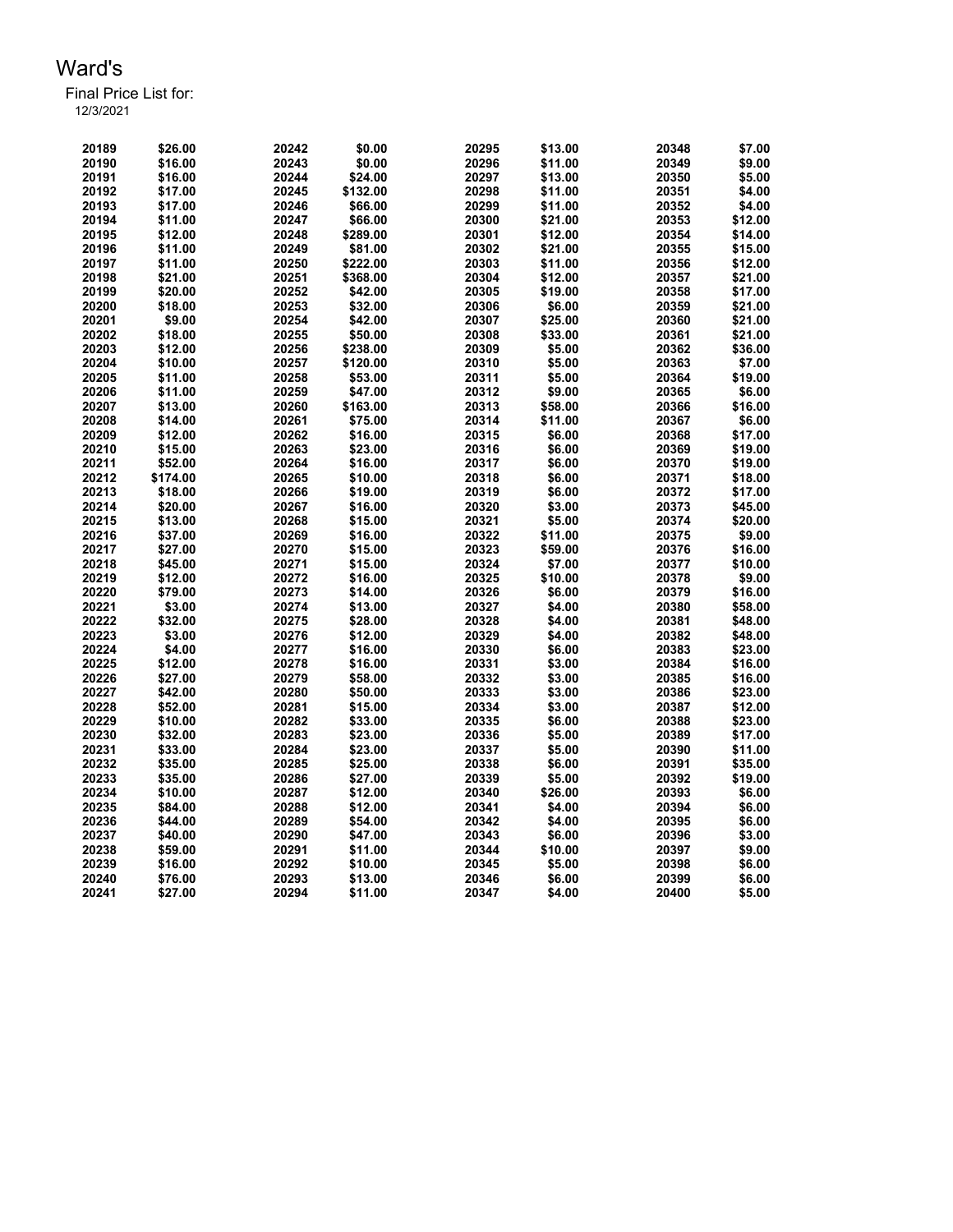| 20189 | \$26.00  | 20242 | \$0.00   | 20295 | \$13.00 | 20348 | \$7.00  |
|-------|----------|-------|----------|-------|---------|-------|---------|
| 20190 | \$16.00  | 20243 | \$0.00   | 20296 | \$11.00 | 20349 | \$9.00  |
| 20191 | \$16.00  | 20244 | \$24.00  | 20297 | \$13.00 | 20350 | \$5.00  |
| 20192 | \$17.00  | 20245 | \$132.00 | 20298 | \$11.00 | 20351 | \$4.00  |
| 20193 | \$17.00  | 20246 | \$66.00  | 20299 | \$11.00 | 20352 | \$4.00  |
| 20194 | \$11.00  | 20247 | \$66.00  | 20300 | \$21.00 | 20353 | \$12.00 |
| 20195 | \$12.00  | 20248 | \$289.00 | 20301 | \$12.00 | 20354 | \$14.00 |
| 20196 | \$11.00  | 20249 | \$81.00  | 20302 | \$21.00 | 20355 | \$15.00 |
| 20197 | \$11.00  | 20250 | \$222.00 | 20303 | \$11.00 | 20356 | \$12.00 |
| 20198 | \$21.00  | 20251 | \$368.00 | 20304 | \$12.00 | 20357 | \$21.00 |
| 20199 | \$20.00  | 20252 | \$42.00  | 20305 | \$19.00 | 20358 | \$17.00 |
| 20200 | \$18.00  | 20253 | \$32.00  | 20306 | \$6.00  | 20359 | \$21.00 |
| 20201 | \$9.00   | 20254 | \$42.00  | 20307 | \$25.00 | 20360 | \$21.00 |
| 20202 | \$18.00  | 20255 | \$50.00  | 20308 | \$33.00 | 20361 | \$21.00 |
| 20203 | \$12.00  | 20256 | \$238.00 | 20309 | \$5.00  | 20362 | \$36.00 |
| 20204 | \$10.00  | 20257 | \$120.00 | 20310 | \$5.00  | 20363 | \$7.00  |
| 20205 | \$11.00  | 20258 | \$53.00  | 20311 | \$5.00  | 20364 | \$19.00 |
| 20206 | \$11.00  | 20259 | \$47.00  | 20312 | \$9.00  | 20365 | \$6.00  |
| 20207 | \$13.00  | 20260 | \$163.00 | 20313 | \$58.00 | 20366 | \$16.00 |
| 20208 | \$14.00  | 20261 | \$75.00  | 20314 | \$11.00 | 20367 | \$6.00  |
| 20209 | \$12.00  | 20262 | \$16.00  | 20315 | \$6.00  | 20368 | \$17.00 |
| 20210 | \$15.00  | 20263 | \$23.00  | 20316 | \$6.00  | 20369 | \$19.00 |
| 20211 | \$52.00  | 20264 | \$16.00  | 20317 | \$6.00  | 20370 | \$19.00 |
| 20212 | \$174.00 | 20265 | \$10.00  | 20318 | \$6.00  | 20371 | \$18.00 |
| 20213 | \$18.00  | 20266 | \$19.00  | 20319 | \$6.00  | 20372 | \$17.00 |
| 20214 | \$20.00  | 20267 | \$16.00  | 20320 | \$3.00  | 20373 | \$45.00 |
| 20215 | \$13.00  | 20268 | \$15.00  | 20321 | \$5.00  | 20374 | \$20.00 |
| 20216 | \$37.00  | 20269 | \$16.00  | 20322 | \$11.00 | 20375 | \$9.00  |
| 20217 | \$27.00  | 20270 | \$15.00  | 20323 | \$59.00 | 20376 | \$16.00 |
| 20218 | \$45.00  | 20271 | \$15.00  | 20324 | \$7.00  | 20377 | \$10.00 |
| 20219 | \$12.00  | 20272 | \$16.00  | 20325 | \$10.00 | 20378 | \$9.00  |
| 20220 | \$79.00  | 20273 | \$14.00  | 20326 | \$6.00  | 20379 | \$16.00 |
| 20221 | \$3.00   | 20274 | \$13.00  | 20327 | \$4.00  | 20380 | \$58.00 |
| 20222 | \$32.00  | 20275 | \$28.00  | 20328 | \$4.00  | 20381 | \$48.00 |
| 20223 | \$3.00   | 20276 | \$12.00  | 20329 | \$4.00  | 20382 | \$48.00 |
| 20224 | \$4.00   | 20277 | \$16.00  | 20330 | \$6.00  | 20383 | \$23.00 |
| 20225 | \$12.00  | 20278 | \$16.00  | 20331 | \$3.00  | 20384 | \$16.00 |
| 20226 | \$27.00  | 20279 | \$58.00  | 20332 | \$3.00  | 20385 | \$16.00 |
| 20227 | \$42.00  | 20280 | \$50.00  | 20333 | \$3.00  | 20386 | \$23.00 |
| 20228 | \$52.00  | 20281 | \$15.00  | 20334 | \$3.00  | 20387 | \$12.00 |
| 20229 | \$10.00  | 20282 | \$33.00  | 20335 | \$6.00  | 20388 | \$23.00 |
| 20230 | \$32.00  | 20283 | \$23.00  | 20336 | \$5.00  | 20389 | \$17.00 |
| 20231 | \$33.00  | 20284 | \$23.00  | 20337 | \$5.00  | 20390 | \$11.00 |
| 20232 | \$35.00  | 20285 | \$25.00  | 20338 | \$6.00  | 20391 | \$35.00 |
| 20233 | \$35.00  | 20286 | \$27.00  | 20339 | \$5.00  | 20392 | \$19.00 |
| 20234 | \$10.00  | 20287 | \$12.00  | 20340 | \$26.00 | 20393 | \$6.00  |
| 20235 | \$84.00  | 20288 | \$12.00  | 20341 | \$4.00  | 20394 | \$6.00  |
| 20236 | \$44.00  | 20289 | \$54.00  | 20342 | \$4.00  | 20395 | \$6.00  |
| 20237 | \$40.00  | 20290 | \$47.00  | 20343 | \$6.00  | 20396 | \$3.00  |
| 20238 | \$59.00  | 20291 | \$11.00  | 20344 | \$10.00 | 20397 | \$9.00  |
| 20239 | \$16.00  | 20292 | \$10.00  | 20345 | \$5.00  | 20398 | \$6.00  |
| 20240 | \$76.00  | 20293 | \$13.00  | 20346 | \$6.00  | 20399 | \$6.00  |
| 20241 | \$27.00  | 20294 | \$11.00  | 20347 | \$4.00  | 20400 | \$5.00  |
|       |          |       |          |       |         |       |         |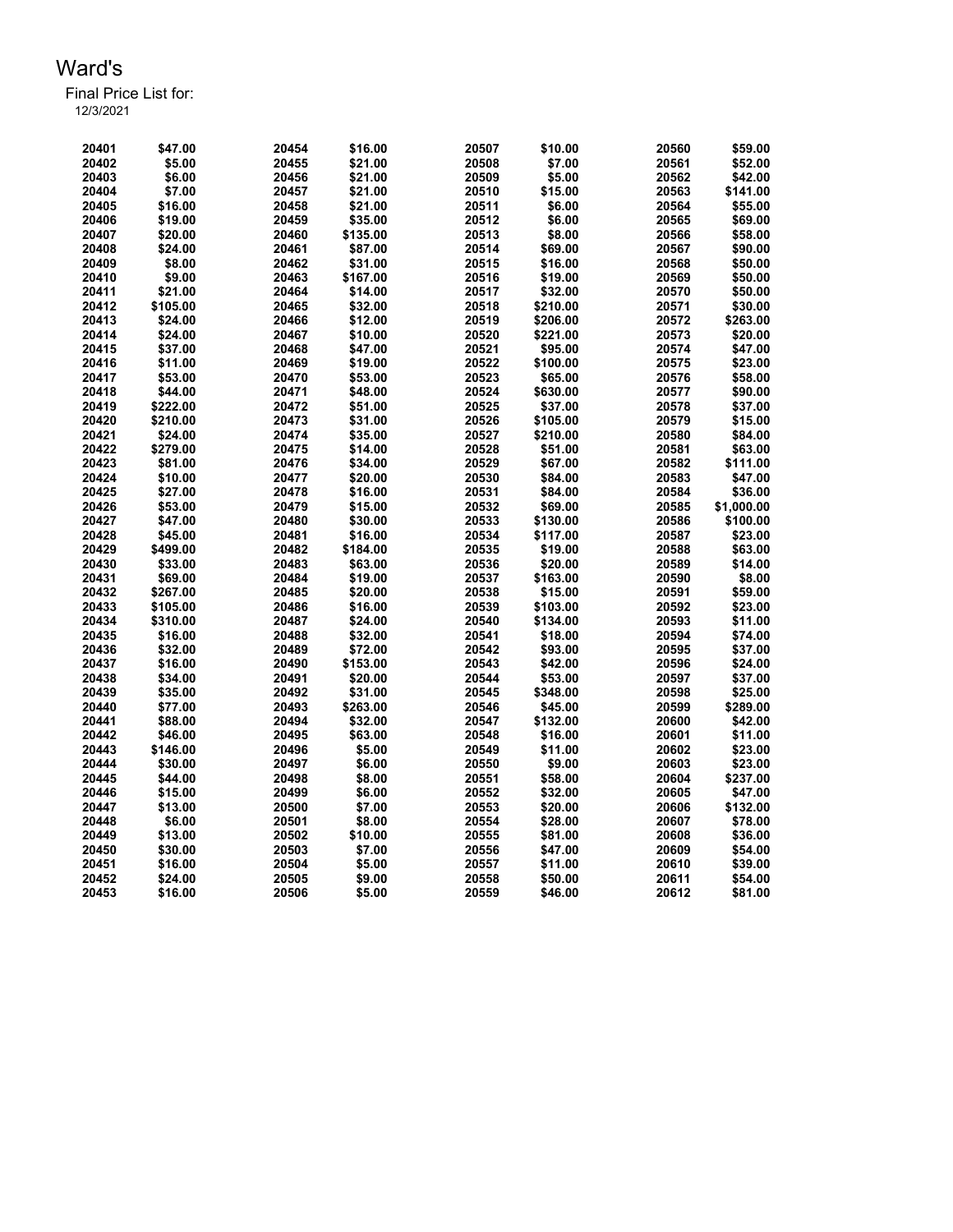Final Price List for: 12/3/2021

> \$47.00 20454 \$16.00 20507 \$10.00 20560 \$59.00 \$5.00 20455 \$21.00 20508 \$7.00 20561 \$52.00 \$6.00 20456 \$21.00 20509 \$5.00 20562 \$42.00 \$7.00 20457 \$21.00 20510 \$15.00 20563 \$141.00 \$16.00 20458 \$21.00 20511 \$6.00 20564 \$55.00 \$19.00 20459 \$35.00 20512 \$6.00 20565 \$69.00 \$20.00 20460 \$135.00 20513 \$8.00 20566 \$58.00 \$24.00 20461 \$87.00 20514 \$69.00 20567 \$90.00 \$8.00 20462 \$31.00 20515 \$16.00 20568 \$50.00 \$9.00 20463 \$167.00 20516 \$19.00 20569 \$50.00 \$21.00 20464 \$14.00 20517 \$32.00 20570 \$50.00 \$105.00 20465 \$32.00 20518 \$210.00 20571 \$30.00 \$24.00 20466 \$12.00 20519 \$206.00 20572 \$263.00 \$24.00 20467 \$10.00 20520 \$221.00 20573 \$20.00 \$37.00 20468 \$47.00 20521 \$95.00 20574 \$47.00 \$11.00 20469 \$19.00 20522 \$100.00 20575 \$23.00 \$53.00 20470 \$53.00 20523 \$65.00 20576 \$58.00 \$44.00 20471 \$48.00 20524 \$630.00 20577 \$90.00 \$222.00 20472 \$51.00 20525 \$37.00 20578 \$37.00 \$210.00 20473 \$31.00 20526 \$105.00 20579 \$15.00 \$24.00 20474 \$35.00 20527 \$210.00 20580 \$84.00 \$279.00 20475 \$14.00 20528 \$51.00 20581 \$63.00 \$81.00 20476 \$34.00 20529 \$67.00 20582 \$111.00 \$10.00 20477 \$20.00 20530 \$84.00 20583 \$47.00 \$27.00 20478 \$16.00 20531 \$84.00 20584 \$36.00 \$53.00 20479 \$15.00 20532 \$69.00 20585 \$1,000.00 \$47.00 20480 \$30.00 20533 \$130.00 20586 \$100.00 \$45.00 20481 \$16.00 20534 \$117.00 20587 \$23.00 \$499.00 20482 \$184.00 20535 \$19.00 20588 \$63.00 \$33.00 20483 \$63.00 20536 \$20.00 20589 \$14.00 \$69.00 20484 \$19.00 20537 \$163.00 20590 \$8.00 \$267.00 20485 \$20.00 20538 \$15.00 20591 \$59.00 \$105.00 20486 \$16.00 20539 \$103.00 20592 \$23.00 \$310.00 20487 \$24.00 20540 \$134.00 20593 \$11.00 \$16.00 20488 \$32.00 20541 \$18.00 20594 \$74.00 \$32.00 20489 \$72.00 20542 \$93.00 20595 \$37.00 \$16.00 20490 \$153.00 20543 \$42.00 20596 \$24.00 \$34.00 20491 \$20.00 20544 \$53.00 20597 \$37.00 \$35.00 20492 \$31.00 20545 \$348.00 20598 \$25.00 \$77.00 20493 \$263.00 20546 \$45.00 20599 \$289.00 \$88.00 20494 \$32.00 20547 \$132.00 20600 \$42.00 \$46.00 20495 \$63.00 20548 \$16.00 20601 \$11.00 \$146.00 20496 \$5.00 20549 \$11.00 20602 \$23.00 \$30.00 20497 \$6.00 20550 \$9.00 20603 \$23.00 \$44.00 20498 \$8.00 20551 \$58.00 20604 \$237.00 \$15.00 20499 \$6.00 20552 \$32.00 20605 \$47.00 \$13.00 20500 \$7.00 20553 \$20.00 20606 \$132.00 \$6.00 20501 \$8.00 20554 \$28.00 20607 \$78.00 \$13.00 20502 \$10.00 20555 \$81.00 20608 \$36.00 \$30.00 20503 \$7.00 20556 \$47.00 20609 \$54.00 \$16.00 20504 \$5.00 20557 \$11.00 20610 \$39.00 \$24.00 20505 \$9.00 20558 \$50.00 20611 \$54.00 \$16.00 20506 \$5.00 20559 \$46.00 20612 \$81.00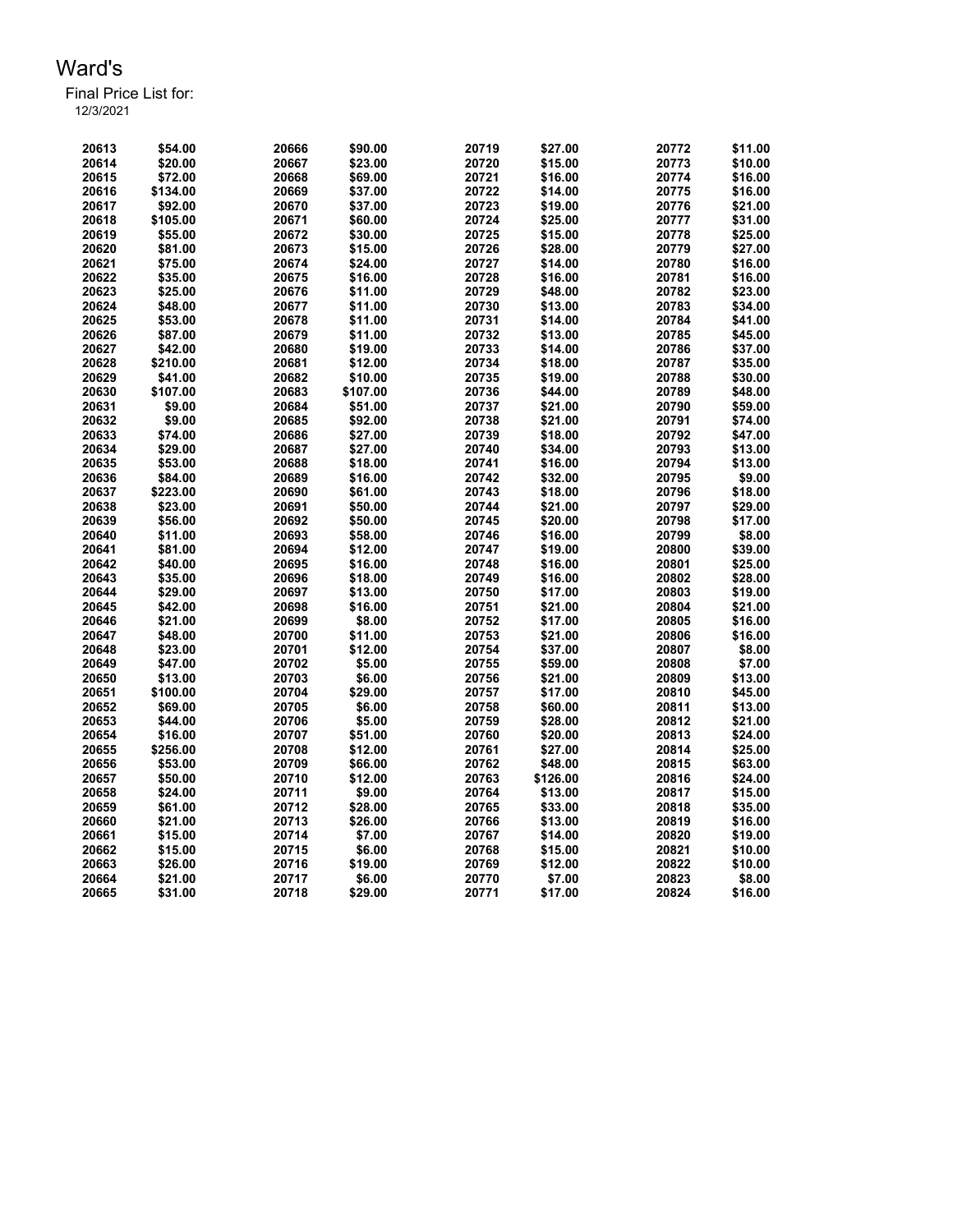Final Price List for: 12/3/2021

> \$54.00 20666 \$90.00 20719 \$27.00 20772 \$11.00 \$20.00 20667 \$23.00 20720 \$15.00 20773 \$10.00 \$72.00 20668 \$69.00 20721 \$16.00 20774 \$16.00 \$134.00 20669 \$37.00 20722 \$14.00 20775 \$16.00 \$92.00 20670 \$37.00 20723 \$19.00 20776 \$21.00 \$105.00 20671 \$60.00 20724 \$25.00 20777 \$31.00 \$55.00 20672 \$30.00 20725 \$15.00 20778 \$25.00 \$81.00 20673 \$15.00 20726 \$28.00 20779 \$27.00 \$75.00 20674 \$24.00 20727 \$14.00 20780 \$16.00 \$35.00 20675 \$16.00 20728 \$16.00 20781 \$16.00 \$25.00 20676 \$11.00 20729 \$48.00 20782 \$23.00 \$48.00 20677 \$11.00 20730 \$13.00 20783 \$34.00 \$53.00 20678 \$11.00 20731 \$14.00 20784 \$41.00 \$87.00 20679 \$11.00 20732 \$13.00 20785 \$45.00 \$42.00 20680 \$19.00 20733 \$14.00 20786 \$37.00 \$210.00 20681 \$12.00 20734 \$18.00 20787 \$35.00 \$41.00 20682 \$10.00 20735 \$19.00 20788 \$30.00 \$107.00 20683 \$107.00 20736 \$44.00 20789 \$48.00 \$9.00 20684 \$51.00 20737 \$21.00 20790 \$59.00 \$9.00 20685 \$92.00 20738 \$21.00 20791 \$74.00 \$74.00 20686 \$27.00 20739 \$18.00 20792 \$47.00 \$29.00 20687 \$27.00 20740 \$34.00 20793 \$13.00 \$53.00 20688 \$18.00 20741 \$16.00 20794 \$13.00 \$84.00 20689 \$16.00 20742 \$32.00 20795 \$9.00 \$223.00 20690 \$61.00 20743 \$18.00 20796 \$18.00 \$23.00 20691 \$50.00 20744 \$21.00 20797 \$29.00 \$56.00 20692 \$50.00 20745 \$20.00 20798 \$17.00 \$11.00 20693 \$58.00 20746 \$16.00 20799 \$8.00 \$81.00 20694 \$12.00 20747 \$19.00 20800 \$39.00 \$40.00 20695 \$16.00 20748 \$16.00 20801 \$25.00 \$35.00 20696 \$18.00 20749 \$16.00 20802 \$28.00 \$29.00 20697 \$13.00 20750 \$17.00 20803 \$19.00 \$42.00 20698 \$16.00 20751 \$21.00 20804 \$21.00 \$21.00 20699 \$8.00 20752 \$17.00 20805 \$16.00 \$48.00 20700 \$11.00 20753 \$21.00 20806 \$16.00 \$23.00 20701 \$12.00 20754 \$37.00 20807 \$8.00 \$47.00 20702 \$5.00 20755 \$59.00 20808 \$7.00 \$13.00 20703 \$6.00 20756 \$21.00 20809 \$13.00 \$100.00 20704 \$29.00 20757 \$17.00 20810 \$45.00 \$69.00 20705 \$6.00 20758 \$60.00 20811 \$13.00 \$44.00 20706 \$5.00 20759 \$28.00 20812 \$21.00 \$16.00 20707 \$51.00 20760 \$20.00 20813 \$24.00 \$256.00 20708 \$12.00 20761 \$27.00 20814 \$25.00 \$53.00 20709 \$66.00 20762 \$48.00 20815 \$63.00 \$50.00 20710 \$12.00 20763 \$126.00 20816 \$24.00 \$24.00 20711 \$9.00 20764 \$13.00 20817 \$15.00 \$61.00 20712 \$28.00 20765 \$33.00 20818 \$35.00 \$21.00 20713 \$26.00 20766 \$13.00 20819 \$16.00 \$15.00 20714 \$7.00 20767 \$14.00 20820 \$19.00 \$15.00 20715 \$6.00 20768 \$15.00 20821 \$10.00 \$26.00 20716 \$19.00 20769 \$12.00 20822 \$10.00 \$21.00 20717 \$6.00 20770 \$7.00 20823 \$8.00 \$31.00 20718 \$29.00 20771 \$17.00 20824 \$16.00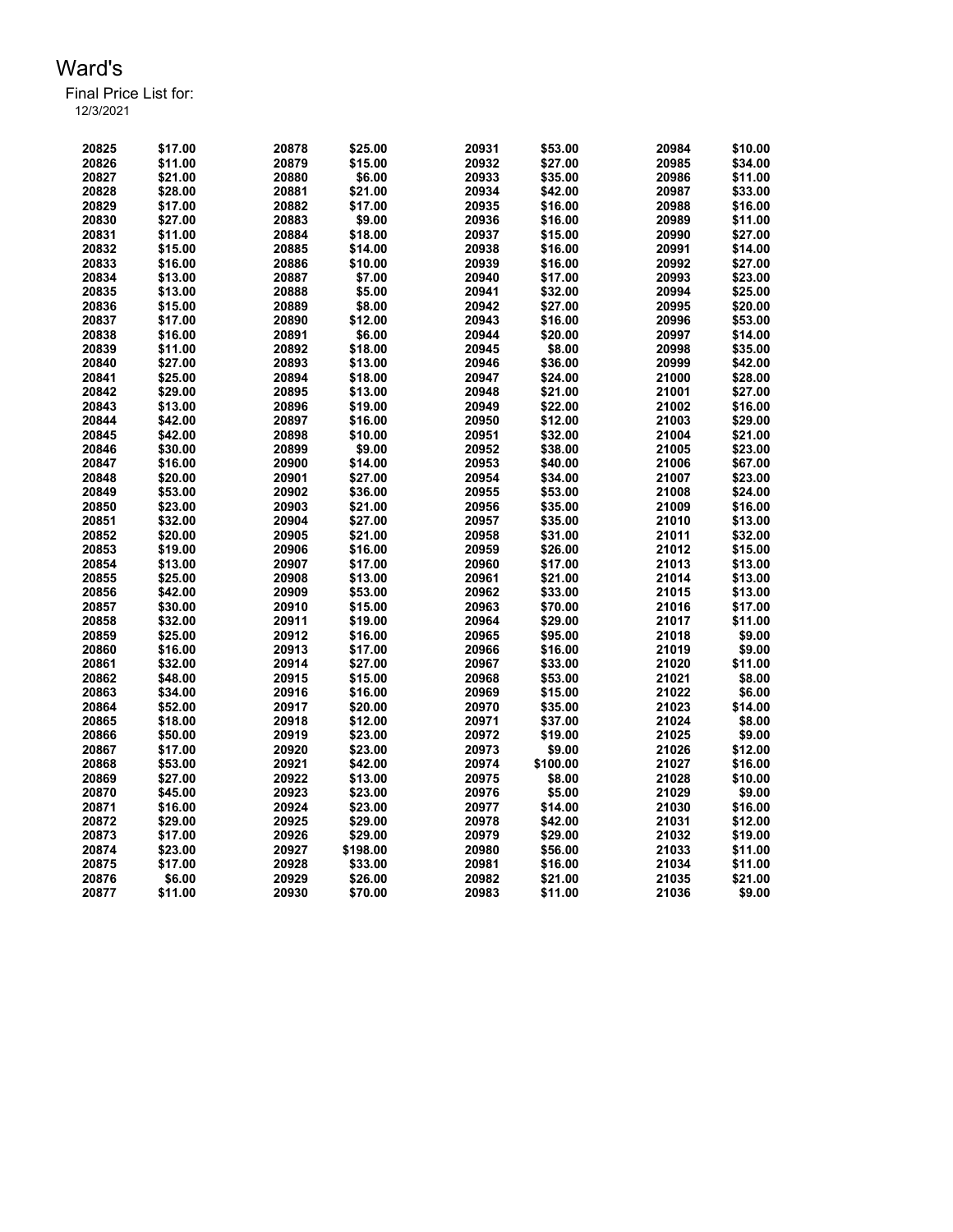Final Price List for: 12/3/2021

> \$17.00 20878 \$25.00 20931 \$53.00 20984 \$10.00 \$11.00 20879 \$15.00 20932 \$27.00 20985 \$34.00 \$21.00 20880 \$6.00 20933 \$35.00 20986 \$11.00 \$28.00 20881 \$21.00 20934 \$42.00 20987 \$33.00 \$17.00 20882 \$17.00 20935 \$16.00 20988 \$16.00 \$27.00 20883 \$9.00 20936 \$16.00 20989 \$11.00 \$11.00 20884 \$18.00 20937 \$15.00 20990 \$27.00 \$15.00 20885 \$14.00 20938 \$16.00 20991 \$14.00 \$16.00 20886 \$10.00 20939 \$16.00 20992 \$27.00 \$13.00 20887 \$7.00 20940 \$17.00 20993 \$23.00 \$13.00 20888 \$5.00 20941 \$32.00 20994 \$25.00 \$15.00 20889 \$8.00 20942 \$27.00 20995 \$20.00 \$17.00 20890 \$12.00 20943 \$16.00 20996 \$53.00 \$16.00 20891 \$6.00 20944 \$20.00 20997 \$14.00 \$11.00 20892 \$18.00 20945 \$8.00 20998 \$35.00 \$27.00 20893 \$13.00 20946 \$36.00 20999 \$42.00 \$25.00 20894 \$18.00 20947 \$24.00 21000 \$28.00 \$29.00 20895 \$13.00 20948 \$21.00 21001 \$27.00 \$13.00 20896 \$19.00 20949 \$22.00 21002 \$16.00 \$42.00 20897 \$16.00 20950 \$12.00 21003 \$29.00 \$42.00 20898 \$10.00 20951 \$32.00 21004 \$21.00 \$30.00 20899 \$9.00 20952 \$38.00 21005 \$23.00 \$16.00 20900 \$14.00 20953 \$40.00 21006 \$67.00 \$20.00 20901 \$27.00 20954 \$34.00 21007 \$23.00 \$53.00 20902 \$36.00 20955 \$53.00 21008 \$24.00 \$23.00 20903 \$21.00 20956 \$35.00 21009 \$16.00 \$32.00 20904 \$27.00 20957 \$35.00 21010 \$13.00 \$20.00 20905 \$21.00 20958 \$31.00 21011 \$32.00 \$19.00 20906 \$16.00 20959 \$26.00 21012 \$15.00 \$13.00 20907 \$17.00 20960 \$17.00 21013 \$13.00 \$25.00 20908 \$13.00 20961 \$21.00 21014 \$13.00 \$42.00 20909 \$53.00 20962 \$33.00 21015 \$13.00 \$30.00 20910 \$15.00 20963 \$70.00 21016 \$17.00 \$32.00 20911 \$19.00 20964 \$29.00 21017 \$11.00 \$25.00 20912 \$16.00 20965 \$95.00 21018 \$9.00 \$16.00 20913 \$17.00 20966 \$16.00 21019 \$9.00 \$32.00 20914 \$27.00 20967 \$33.00 21020 \$11.00 \$48.00 20915 \$15.00 20968 \$53.00 21021 \$8.00 \$34.00 20916 \$16.00 20969 \$15.00 21022 \$6.00 \$52.00 20917 \$20.00 20970 \$35.00 21023 \$14.00 \$18.00 20918 \$12.00 20971 \$37.00 21024 \$8.00 \$50.00 20919 \$23.00 20972 \$19.00 21025 \$9.00 \$17.00 20920 \$23.00 20973 \$9.00 21026 \$12.00 \$53.00 20921 \$42.00 20974 \$100.00 21027 \$16.00 \$27.00 20922 \$13.00 20975 \$8.00 21028 \$10.00 \$45.00 20923 \$23.00 20976 \$5.00 21029 \$9.00 \$16.00 20924 \$23.00 20977 \$14.00 21030 \$16.00 \$29.00 20925 \$29.00 20978 \$42.00 21031 \$12.00 \$17.00 20926 \$29.00 20979 \$29.00 21032 \$19.00 \$23.00 20927 \$198.00 20980 \$56.00 21033 \$11.00 \$17.00 20928 \$33.00 20981 \$16.00 21034 \$11.00 \$6.00 20929 \$26.00 20982 \$21.00 21035 \$21.00 \$11.00 20930 \$70.00 20983 \$11.00 21036 \$9.00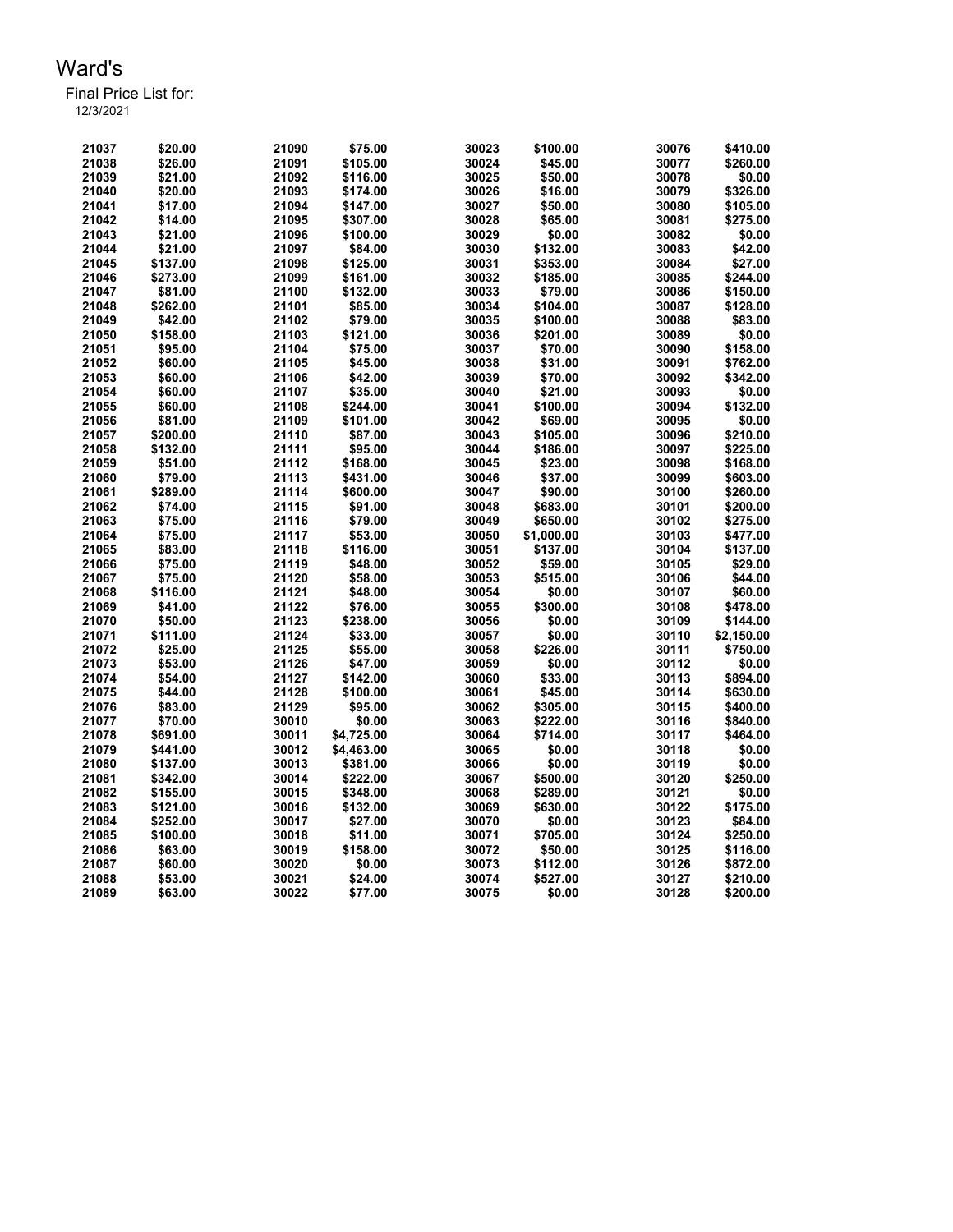Final Price List for:

| 12/3/2021 |  |  |  |
|-----------|--|--|--|
|           |  |  |  |
|           |  |  |  |

| 21037 | \$20.00  | 21090 | \$75.00    | 30023 | \$100.00   | 30076 | \$410.00   |
|-------|----------|-------|------------|-------|------------|-------|------------|
| 21038 | \$26.00  | 21091 | \$105.00   | 30024 | \$45.00    | 30077 | \$260.00   |
| 21039 | \$21.00  | 21092 | \$116.00   | 30025 | \$50.00    | 30078 | \$0.00     |
| 21040 | \$20.00  | 21093 | \$174.00   | 30026 | \$16.00    | 30079 | \$326.00   |
| 21041 | \$17.00  | 21094 | \$147.00   | 30027 | \$50.00    | 30080 | \$105.00   |
| 21042 | \$14.00  | 21095 | \$307.00   | 30028 | \$65.00    | 30081 | \$275.00   |
| 21043 | \$21.00  | 21096 | \$100.00   | 30029 | \$0.00     | 30082 | \$0.00     |
| 21044 | \$21.00  | 21097 | \$84.00    | 30030 | \$132.00   | 30083 | \$42.00    |
| 21045 | \$137.00 | 21098 | \$125.00   | 30031 | \$353.00   | 30084 | \$27.00    |
| 21046 | \$273.00 | 21099 | \$161.00   | 30032 | \$185.00   | 30085 | \$244.00   |
| 21047 | \$81.00  | 21100 | \$132.00   | 30033 | \$79.00    | 30086 | \$150.00   |
| 21048 | \$262.00 | 21101 | \$85.00    | 30034 | \$104.00   | 30087 | \$128.00   |
| 21049 | \$42.00  | 21102 | \$79.00    | 30035 | \$100.00   | 30088 | \$83.00    |
| 21050 | \$158.00 | 21103 | \$121.00   | 30036 | \$201.00   | 30089 | \$0.00     |
| 21051 | \$95.00  | 21104 | \$75.00    | 30037 | \$70.00    | 30090 | \$158.00   |
| 21052 | \$60.00  | 21105 | \$45.00    | 30038 | \$31.00    | 30091 | \$762.00   |
| 21053 | \$60.00  | 21106 | \$42.00    | 30039 | \$70.00    | 30092 | \$342.00   |
| 21054 | \$60.00  | 21107 | \$35.00    | 30040 | \$21.00    | 30093 | \$0.00     |
| 21055 | \$60.00  | 21108 | \$244.00   | 30041 | \$100.00   | 30094 | \$132.00   |
| 21056 | \$81.00  | 21109 | \$101.00   | 30042 | \$69.00    | 30095 | \$0.00     |
| 21057 | \$200.00 | 21110 | \$87.00    | 30043 | \$105.00   | 30096 | \$210.00   |
| 21058 | \$132.00 | 21111 | \$95.00    | 30044 | \$186.00   | 30097 | \$225.00   |
| 21059 | \$51.00  | 21112 | \$168.00   | 30045 | \$23.00    | 30098 | \$168.00   |
| 21060 | \$79.00  | 21113 | \$431.00   | 30046 | \$37.00    | 30099 | \$603.00   |
| 21061 | \$289.00 | 21114 | \$600.00   | 30047 | \$90.00    | 30100 | \$260.00   |
| 21062 | \$74.00  | 21115 | \$91.00    | 30048 | \$683.00   | 30101 | \$200.00   |
| 21063 | \$75.00  | 21116 | \$79.00    | 30049 | \$650.00   | 30102 | \$275.00   |
| 21064 | \$75.00  | 21117 | \$53.00    | 30050 | \$1,000.00 | 30103 | \$477.00   |
| 21065 | \$83.00  | 21118 | \$116.00   | 30051 | \$137.00   | 30104 | \$137.00   |
| 21066 | \$75.00  | 21119 | \$48.00    | 30052 | \$59.00    | 30105 | \$29.00    |
| 21067 | \$75.00  | 21120 | \$58.00    | 30053 | \$515.00   | 30106 | \$44.00    |
| 21068 | \$116.00 | 21121 | \$48.00    | 30054 | \$0.00     | 30107 | \$60.00    |
| 21069 | \$41.00  | 21122 | \$76.00    | 30055 | \$300.00   | 30108 | \$478.00   |
| 21070 | \$50.00  | 21123 | \$238.00   | 30056 | \$0.00     | 30109 | \$144.00   |
| 21071 | \$111.00 | 21124 | \$33.00    | 30057 | \$0.00     | 30110 | \$2,150.00 |
| 21072 | \$25.00  | 21125 | \$55.00    | 30058 | \$226.00   | 30111 | \$750.00   |
| 21073 | \$53.00  | 21126 | \$47.00    | 30059 | \$0.00     | 30112 | \$0.00     |
| 21074 | \$54.00  | 21127 | \$142.00   | 30060 | \$33.00    | 30113 | \$894.00   |
| 21075 | \$44.00  | 21128 | \$100.00   | 30061 | \$45.00    | 30114 | \$630.00   |
| 21076 | \$83.00  | 21129 | \$95.00    | 30062 | \$305.00   | 30115 | \$400.00   |
| 21077 | \$70.00  | 30010 | \$0.00     | 30063 | \$222.00   | 30116 | \$840.00   |
| 21078 | \$691.00 | 30011 | \$4,725.00 | 30064 | \$714.00   | 30117 | \$464.00   |
| 21079 | \$441.00 | 30012 | \$4,463.00 | 30065 | \$0.00     | 30118 | \$0.00     |
| 21080 | \$137.00 | 30013 | \$381.00   | 30066 | \$0.00     | 30119 | \$0.00     |
| 21081 | \$342.00 | 30014 | \$222.00   | 30067 | \$500.00   | 30120 | \$250.00   |
| 21082 | \$155.00 | 30015 | \$348.00   | 30068 | \$289.00   | 30121 | \$0.00     |
| 21083 | \$121.00 | 30016 | \$132.00   | 30069 | \$630.00   | 30122 | \$175.00   |
| 21084 | \$252.00 | 30017 | \$27.00    | 30070 | \$0.00     | 30123 | \$84.00    |
| 21085 | \$100.00 | 30018 | \$11.00    | 30071 | \$705.00   | 30124 | \$250.00   |
| 21086 | \$63.00  | 30019 | \$158.00   | 30072 | \$50.00    | 30125 | \$116.00   |
| 21087 | \$60.00  | 30020 | \$0.00     | 30073 | \$112.00   | 30126 | \$872.00   |
| 21088 | \$53.00  | 30021 | \$24.00    | 30074 | \$527.00   | 30127 | \$210.00   |
| 21089 | \$63.00  | 30022 | \$77.00    | 30075 | \$0.00     | 30128 | \$200.00   |
|       |          |       |            |       |            |       |            |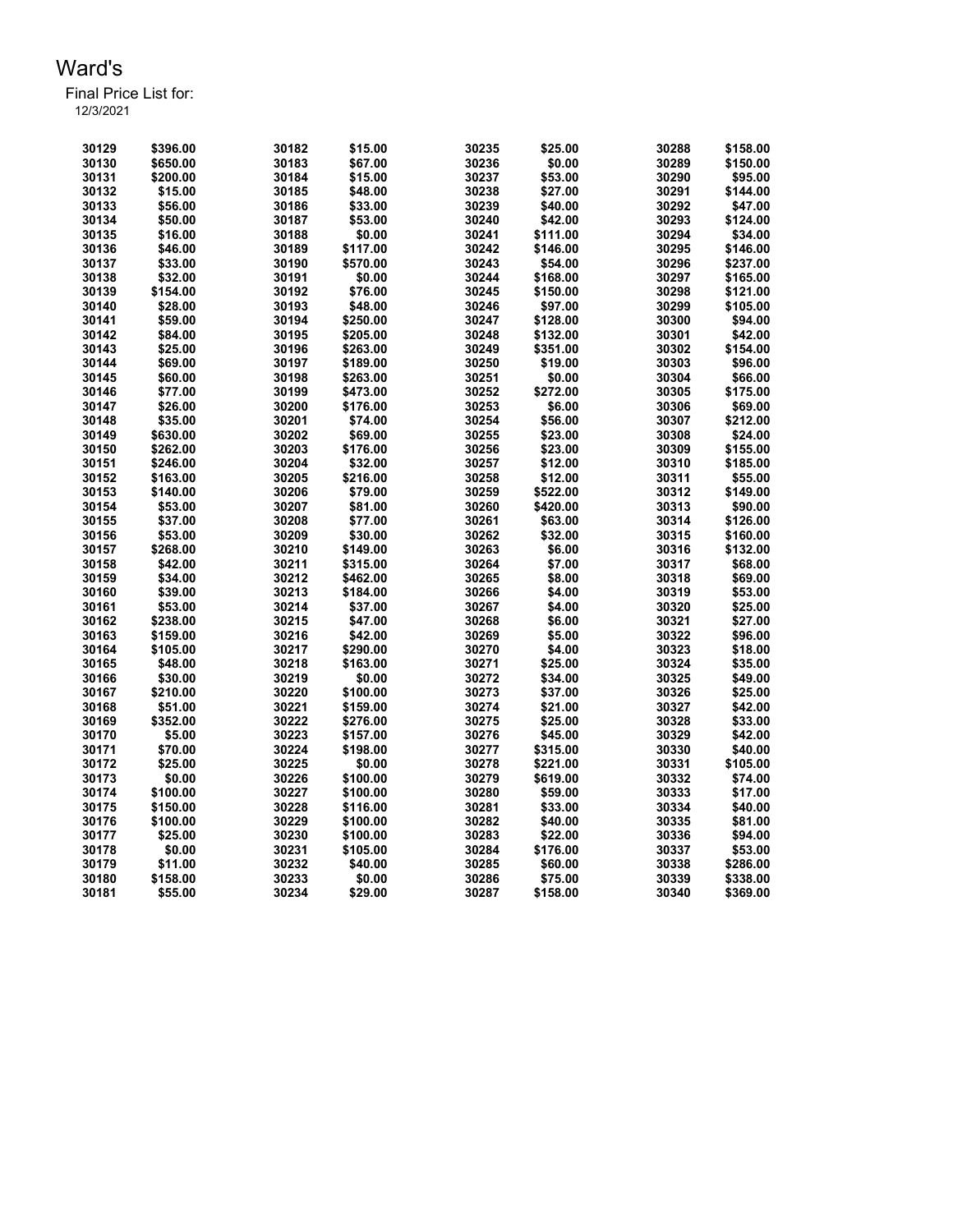| 30129 | \$396.00 | 30182 | \$15.00  | 30235 | \$25.00  | 30288 | \$158.00 |
|-------|----------|-------|----------|-------|----------|-------|----------|
| 30130 | \$650.00 | 30183 | \$67.00  | 30236 | \$0.00   | 30289 | \$150.00 |
| 30131 | \$200.00 | 30184 | \$15.00  | 30237 | \$53.00  | 30290 | \$95.00  |
| 30132 | \$15.00  | 30185 | \$48.00  | 30238 | \$27.00  | 30291 | \$144.00 |
| 30133 | \$56.00  | 30186 | \$33.00  | 30239 | \$40.00  | 30292 | \$47.00  |
| 30134 | \$50.00  | 30187 | \$53.00  | 30240 | \$42.00  | 30293 | \$124.00 |
| 30135 | \$16.00  | 30188 | \$0.00   | 30241 | \$111.00 | 30294 | \$34.00  |
| 30136 | \$46.00  | 30189 | \$117.00 | 30242 | \$146.00 | 30295 | \$146.00 |
| 30137 | \$33.00  | 30190 | \$570.00 | 30243 | \$54.00  | 30296 | \$237.00 |
| 30138 | \$32.00  | 30191 | \$0.00   | 30244 | \$168.00 | 30297 | \$165.00 |
| 30139 | \$154.00 | 30192 | \$76.00  | 30245 | \$150.00 | 30298 | \$121.00 |
| 30140 | \$28.00  | 30193 | \$48.00  | 30246 | \$97.00  | 30299 | \$105.00 |
| 30141 | \$59.00  | 30194 | \$250.00 | 30247 | \$128.00 | 30300 | \$94.00  |
| 30142 | \$84.00  | 30195 | \$205.00 | 30248 | \$132.00 | 30301 | \$42.00  |
| 30143 | \$25.00  | 30196 | \$263.00 | 30249 | \$351.00 | 30302 | \$154.00 |
| 30144 | \$69.00  | 30197 | \$189.00 | 30250 | \$19.00  | 30303 | \$96.00  |
| 30145 | \$60.00  | 30198 | \$263.00 | 30251 | \$0.00   | 30304 | \$66.00  |
| 30146 | \$77.00  | 30199 | \$473.00 | 30252 | \$272.00 | 30305 | \$175.00 |
| 30147 | \$26.00  | 30200 | \$176.00 | 30253 | \$6.00   | 30306 | \$69.00  |
| 30148 | \$35.00  | 30201 | \$74.00  | 30254 | \$56.00  | 30307 | \$212.00 |
| 30149 | \$630.00 | 30202 | \$69.00  | 30255 | \$23.00  | 30308 | \$24.00  |
| 30150 | \$262.00 | 30203 | \$176.00 | 30256 | \$23.00  | 30309 | \$155.00 |
| 30151 | \$246.00 | 30204 | \$32.00  | 30257 | \$12.00  | 30310 | \$185.00 |
| 30152 | \$163.00 | 30205 | \$216.00 | 30258 | \$12.00  | 30311 | \$55.00  |
| 30153 | \$140.00 | 30206 | \$79.00  | 30259 | \$522.00 | 30312 | \$149.00 |
| 30154 | \$53.00  | 30207 | \$81.00  | 30260 | \$420.00 | 30313 | \$90.00  |
| 30155 | \$37.00  | 30208 | \$77.00  | 30261 | \$63.00  | 30314 | \$126.00 |
| 30156 | \$53.00  | 30209 | \$30.00  | 30262 | \$32.00  | 30315 | \$160.00 |
| 30157 | \$268.00 | 30210 | \$149.00 | 30263 | \$6.00   | 30316 | \$132.00 |
| 30158 | \$42.00  | 30211 | \$315.00 | 30264 | \$7.00   | 30317 | \$68.00  |
| 30159 | \$34.00  | 30212 | \$462.00 | 30265 | \$8.00   | 30318 | \$69.00  |
| 30160 | \$39.00  | 30213 | \$184.00 | 30266 | \$4.00   | 30319 | \$53.00  |
| 30161 | \$53.00  | 30214 | \$37.00  | 30267 | \$4.00   | 30320 | \$25.00  |
| 30162 | \$238.00 | 30215 | \$47.00  | 30268 | \$6.00   | 30321 | \$27.00  |
| 30163 | \$159.00 | 30216 | \$42.00  | 30269 | \$5.00   | 30322 | \$96.00  |
| 30164 | \$105.00 | 30217 | \$290.00 | 30270 | \$4.00   | 30323 | \$18.00  |
| 30165 | \$48.00  | 30218 | \$163.00 | 30271 | \$25.00  | 30324 | \$35.00  |
| 30166 | \$30.00  | 30219 | \$0.00   | 30272 | \$34.00  | 30325 | \$49.00  |
| 30167 | \$210.00 | 30220 | \$100.00 | 30273 | \$37.00  | 30326 | \$25.00  |
| 30168 | \$51.00  | 30221 | \$159.00 | 30274 | \$21.00  | 30327 | \$42.00  |
| 30169 | \$352.00 | 30222 | \$276.00 | 30275 | \$25.00  | 30328 | \$33.00  |
| 30170 | \$5.00   | 30223 | \$157.00 | 30276 | \$45.00  | 30329 | \$42.00  |
| 30171 | \$70.00  | 30224 | \$198.00 | 30277 | \$315.00 | 30330 | \$40.00  |
| 30172 | \$25.00  | 30225 | \$0.00   | 30278 | \$221.00 | 30331 | \$105.00 |
| 30173 | \$0.00   | 30226 | \$100.00 | 30279 | \$619.00 | 30332 | \$74.00  |
| 30174 | \$100.00 | 30227 | \$100.00 | 30280 | \$59.00  | 30333 | \$17.00  |
| 30175 | \$150.00 | 30228 | \$116.00 | 30281 | \$33.00  | 30334 | \$40.00  |
| 30176 | \$100.00 | 30229 | \$100.00 | 30282 | \$40.00  | 30335 | \$81.00  |
| 30177 | \$25.00  | 30230 | \$100.00 | 30283 | \$22.00  | 30336 | \$94.00  |
| 30178 | \$0.00   | 30231 | \$105.00 | 30284 | \$176.00 | 30337 | \$53.00  |
| 30179 | \$11.00  | 30232 | \$40.00  | 30285 | \$60.00  | 30338 | \$286.00 |
| 30180 | \$158.00 | 30233 | \$0.00   | 30286 | \$75.00  | 30339 | \$338.00 |
| 30181 | \$55.00  | 30234 | \$29.00  | 30287 | \$158.00 | 30340 | \$369.00 |
|       |          |       |          |       |          |       |          |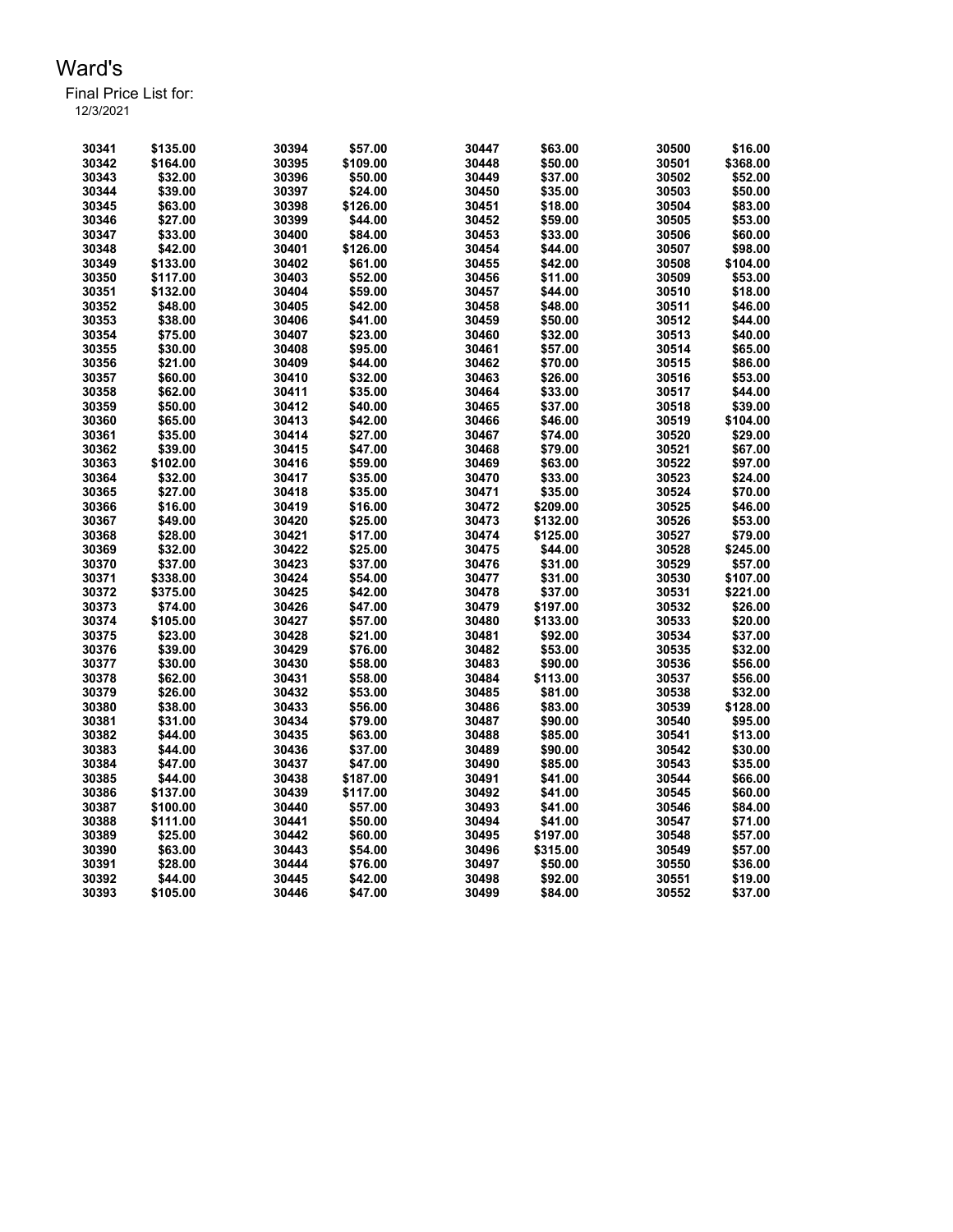Final Price List for: 12/3/2021

> \$135.00 30394 \$57.00 30447 \$63.00 30500 \$16.00 \$164.00 30395 \$109.00 30448 \$50.00 30501 \$368.00 \$32.00 30396 \$50.00 30449 \$37.00 30502 \$52.00 \$39.00 30397 \$24.00 30450 \$35.00 30503 \$50.00 \$63.00 30398 \$126.00 30451 \$18.00 30504 \$83.00 \$27.00 30399 \$44.00 30452 \$59.00 30505 \$53.00 \$33.00 30400 \$84.00 30453 \$33.00 30506 \$60.00 \$42.00 30401 \$126.00 30454 \$44.00 30507 \$98.00 \$133.00 30402 \$61.00 30455 \$42.00 30508 \$104.00 \$117.00 30403 \$52.00 30456 \$11.00 30509 \$53.00 \$132.00 30404 \$59.00 30457 \$44.00 30510 \$18.00 \$48.00 30405 \$42.00 30458 \$48.00 30511 \$46.00 \$38.00 30406 \$41.00 30459 \$50.00 30512 \$44.00 \$75.00 30407 \$23.00 30460 \$32.00 30513 \$40.00 \$30.00 30408 \$95.00 30461 \$57.00 30514 \$65.00 \$21.00 30409 \$44.00 30462 \$70.00 30515 \$86.00 \$60.00 30410 \$32.00 30463 \$26.00 30516 \$53.00 \$62.00 30411 \$35.00 30464 \$33.00 30517 \$44.00 \$50.00 30412 \$40.00 30465 \$37.00 30518 \$39.00 \$65.00 30413 \$42.00 30466 \$46.00 30519 \$104.00 \$35.00 30414 \$27.00 30467 \$74.00 30520 \$29.00 \$39.00 30415 \$47.00 30468 \$79.00 30521 \$67.00 \$102.00 30416 \$59.00 30469 \$63.00 30522 \$97.00 \$32.00 30417 \$35.00 30470 \$33.00 30523 \$24.00 \$27.00 30418 \$35.00 30471 \$35.00 30524 \$70.00 \$16.00 30419 \$16.00 30472 \$209.00 30525 \$46.00 \$49.00 30420 \$25.00 30473 \$132.00 30526 \$53.00 \$28.00 30421 \$17.00 30474 \$125.00 30527 \$79.00 \$32.00 30422 \$25.00 30475 \$44.00 30528 \$245.00 \$37.00 30423 \$37.00 30476 \$31.00 30529 \$57.00 \$338.00 30424 \$54.00 30477 \$31.00 30530 \$107.00 \$375.00 30425 \$42.00 30478 \$37.00 30531 \$221.00 \$74.00 30426 \$47.00 30479 \$197.00 30532 \$26.00 \$105.00 30427 \$57.00 30480 \$133.00 30533 \$20.00 \$23.00 30428 \$21.00 30481 \$92.00 30534 \$37.00 \$39.00 30429 \$76.00 30482 \$53.00 30535 \$32.00 \$30.00 30430 \$58.00 30483 \$90.00 30536 \$56.00 \$62.00 30431 \$58.00 30484 \$113.00 30537 \$56.00 \$26.00 30432 \$53.00 30485 \$81.00 30538 \$32.00 \$38.00 30433 \$56.00 30486 \$83.00 30539 \$128.00 \$31.00 30434 \$79.00 30487 \$90.00 30540 \$95.00 \$44.00 30435 \$63.00 30488 \$85.00 30541 \$13.00 \$44.00 30436 \$37.00 30489 \$90.00 30542 \$30.00 \$47.00 30437 \$47.00 30490 \$85.00 30543 \$35.00 \$44.00 30438 \$187.00 30491 \$41.00 30544 \$66.00 \$137.00 30439 \$117.00 30492 \$41.00 30545 \$60.00 \$100.00 30440 \$57.00 30493 \$41.00 30546 \$84.00 \$111.00 30441 \$50.00 30494 \$41.00 30547 \$71.00 \$25.00 30442 \$60.00 30495 \$197.00 30548 \$57.00 \$63.00 30443 \$54.00 30496 \$315.00 30549 \$57.00 \$28.00 30444 \$76.00 30497 \$50.00 30550 \$36.00 \$44.00 30445 \$42.00 30498 \$92.00 30551 \$19.00 \$105.00 30446 \$47.00 30499 \$84.00 30552 \$37.00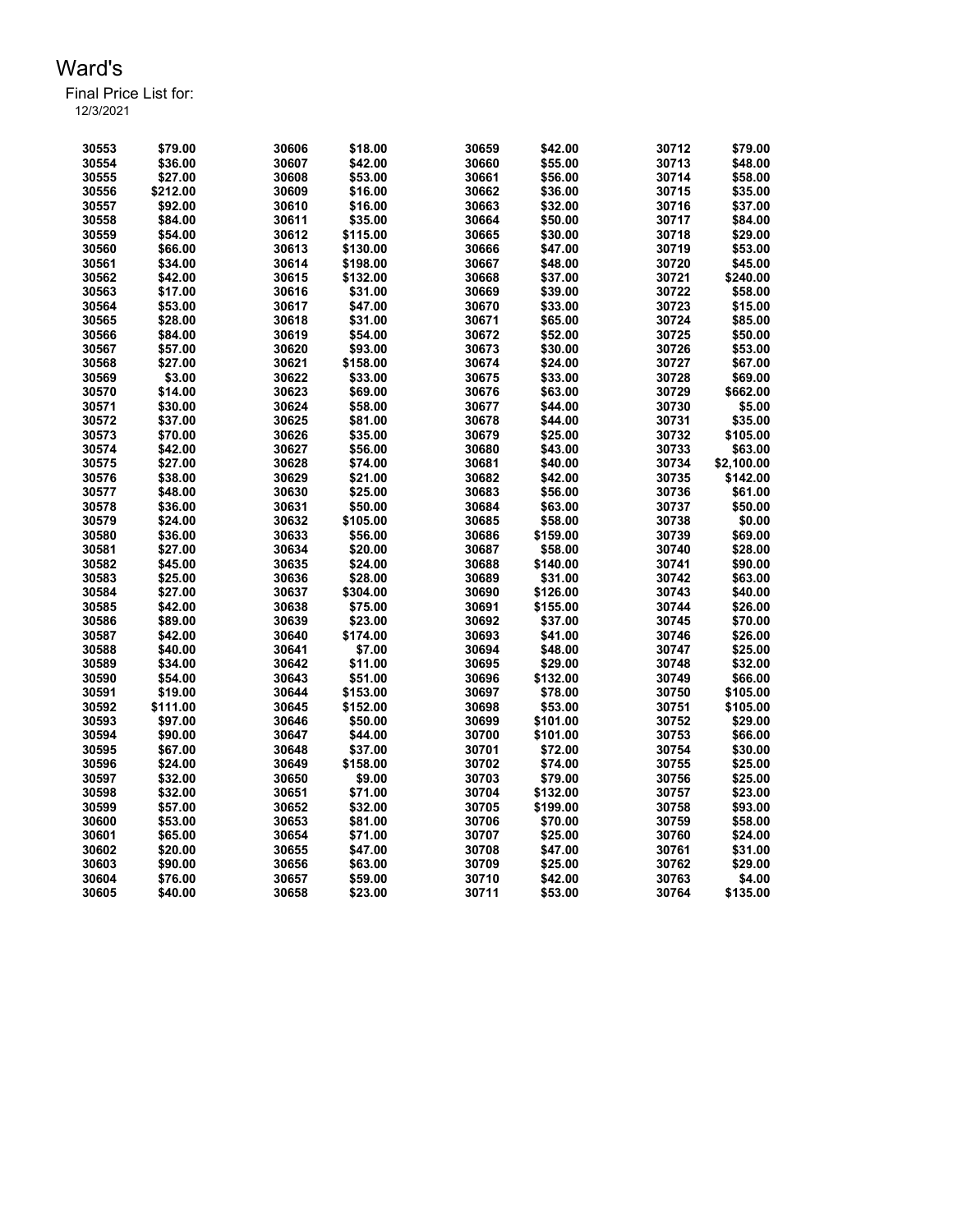Final Price List for: 12/3/2021

> \$79.00 30606 \$18.00 30659 \$42.00 30712 \$79.00 \$36.00 30607 \$42.00 30660 \$55.00 30713 \$48.00 \$27.00 30608 \$53.00 30661 \$56.00 30714 \$58.00 \$212.00 30609 \$16.00 30662 \$36.00 30715 \$35.00 \$92.00 30610 \$16.00 30663 \$32.00 30716 \$37.00 \$84.00 30611 \$35.00 30664 \$50.00 30717 \$84.00 \$54.00 30612 \$115.00 30665 \$30.00 30718 \$29.00 \$66.00 30613 \$130.00 30666 \$47.00 30719 \$53.00 \$34.00 30614 \$198.00 30667 \$48.00 30720 \$45.00 \$42.00 30615 \$132.00 30668 \$37.00 30721 \$240.00 \$17.00 30616 \$31.00 30669 \$39.00 30722 \$58.00 \$53.00 30617 \$47.00 30670 \$33.00 30723 \$15.00 \$28.00 30618 \$31.00 30671 \$65.00 30724 \$85.00 \$84.00 30619 \$54.00 30672 \$52.00 30725 \$50.00 \$57.00 30620 \$93.00 30673 \$30.00 30726 \$53.00 \$27.00 30621 \$158.00 30674 \$24.00 30727 \$67.00 \$3.00 30622 \$33.00 30675 \$33.00 30728 \$69.00 \$14.00 30623 \$69.00 30676 \$63.00 30729 \$662.00 \$30.00 30624 \$58.00 30677 \$44.00 30730 \$5.00 \$37.00 30625 \$81.00 30678 \$44.00 30731 \$35.00 \$70.00 30626 \$35.00 30679 \$25.00 30732 \$105.00 \$42.00 30627 \$56.00 30680 \$43.00 30733 \$63.00 \$27.00 30628 \$74.00 30681 \$40.00 30734 \$2,100.00 \$38.00 30629 \$21.00 30682 \$42.00 30735 \$142.00 \$48.00 30630 \$25.00 30683 \$56.00 30736 \$61.00 \$36.00 30631 \$50.00 30684 \$63.00 30737 \$50.00 \$24.00 30632 \$105.00 30685 \$58.00 30738 \$0.00 \$36.00 30633 \$56.00 30686 \$159.00 30739 \$69.00 \$27.00 30634 \$20.00 30687 \$58.00 30740 \$28.00 \$45.00 30635 \$24.00 30688 \$140.00 30741 \$90.00 \$25.00 30636 \$28.00 30689 \$31.00 30742 \$63.00 \$27.00 30637 \$304.00 30690 \$126.00 30743 \$40.00 \$42.00 30638 \$75.00 30691 \$155.00 30744 \$26.00 \$89.00 30639 \$23.00 30692 \$37.00 30745 \$70.00 \$42.00 30640 \$174.00 30693 \$41.00 30746 \$26.00 \$40.00 30641 \$7.00 30694 \$48.00 30747 \$25.00 \$34.00 30642 \$11.00 30695 \$29.00 30748 \$32.00 \$54.00 30643 \$51.00 30696 \$132.00 30749 \$66.00 \$19.00 30644 \$153.00 30697 \$78.00 30750 \$105.00 \$111.00 30645 \$152.00 30698 \$53.00 30751 \$105.00 \$97.00 30646 \$50.00 30699 \$101.00 30752 \$29.00 \$90.00 30647 \$44.00 30700 \$101.00 30753 \$66.00 \$67.00 30648 \$37.00 30701 \$72.00 30754 \$30.00 \$24.00 30649 \$158.00 30702 \$74.00 30755 \$25.00 \$32.00 30650 \$9.00 30703 \$79.00 30756 \$25.00 \$32.00 30651 \$71.00 30704 \$132.00 30757 \$23.00 \$57.00 30652 \$32.00 30705 \$199.00 30758 \$93.00 \$53.00 30653 \$81.00 30706 \$70.00 30759 \$58.00 \$65.00 30654 \$71.00 30707 \$25.00 30760 \$24.00 \$20.00 30655 \$47.00 30708 \$47.00 30761 \$31.00 \$90.00 30656 \$63.00 30709 \$25.00 30762 \$29.00 \$76.00 30657 \$59.00 30710 \$42.00 30763 \$4.00 \$40.00 30658 \$23.00 30711 \$53.00 30764 \$135.00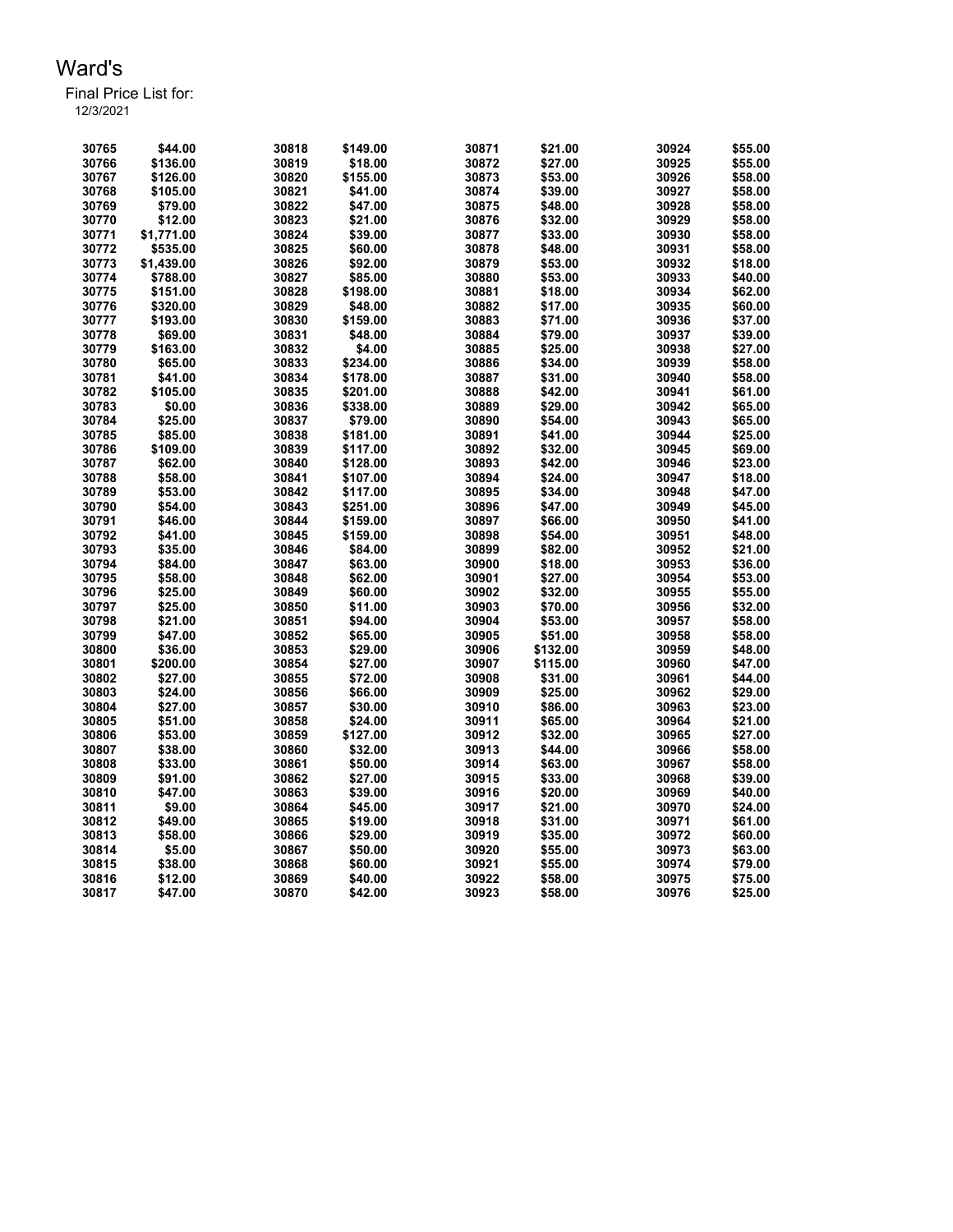Final Price List for: 12/3/2021

> \$44.00 30818 \$149.00 30871 \$21.00 30924 \$55.00 \$136.00 30819 \$18.00 30872 \$27.00 30925 \$55.00 \$126.00 30820 \$155.00 30873 \$53.00 30926 \$58.00 \$105.00 30821 \$41.00 30874 \$39.00 30927 \$58.00 \$79.00 30822 \$47.00 30875 \$48.00 30928 \$58.00 \$12.00 30823 \$21.00 30876 \$32.00 30929 \$58.00 \$1,771.00 30824 \$39.00 30877 \$33.00 30930 \$58.00 \$535.00 30825 \$60.00 30878 \$48.00 30931 \$58.00 \$1,439.00 30826 \$92.00 30879 \$53.00 30932 \$18.00 \$788.00 30827 \$85.00 30880 \$53.00 30933 \$40.00 \$151.00 30828 \$198.00 30881 \$18.00 30934 \$62.00 \$320.00 30829 \$48.00 30882 \$17.00 30935 \$60.00 \$193.00 30830 \$159.00 30883 \$71.00 30936 \$37.00 \$69.00 30831 \$48.00 30884 \$79.00 30937 \$39.00 \$163.00 30832 \$4.00 30885 \$25.00 30938 \$27.00 \$65.00 30833 \$234.00 30886 \$34.00 30939 \$58.00 \$41.00 30834 \$178.00 30887 \$31.00 30940 \$58.00 \$105.00 30835 \$201.00 30888 \$42.00 30941 \$61.00 \$0.00 30836 \$338.00 30889 \$29.00 30942 \$65.00 \$25.00 30837 \$79.00 30890 \$54.00 30943 \$65.00 \$85.00 30838 \$181.00 30891 \$41.00 30944 \$25.00 \$109.00 30839 \$117.00 30892 \$32.00 30945 \$69.00 \$62.00 30840 \$128.00 30893 \$42.00 30946 \$23.00 \$58.00 30841 \$107.00 30894 \$24.00 30947 \$18.00 \$53.00 30842 \$117.00 30895 \$34.00 30948 \$47.00 \$54.00 30843 \$251.00 30896 \$47.00 30949 \$45.00 \$46.00 30844 \$159.00 30897 \$66.00 30950 \$41.00 \$41.00 30845 \$159.00 30898 \$54.00 30951 \$48.00 \$35.00 30846 \$84.00 30899 \$82.00 30952 \$21.00 \$84.00 30847 \$63.00 30900 \$18.00 30953 \$36.00 \$58.00 30848 \$62.00 30901 \$27.00 30954 \$53.00 \$25.00 30849 \$60.00 30902 \$32.00 30955 \$55.00 \$25.00 30850 \$11.00 30903 \$70.00 30956 \$32.00 \$21.00 30851 \$94.00 30904 \$53.00 30957 \$58.00 \$47.00 30852 \$65.00 30905 \$51.00 30958 \$58.00 \$36.00 30853 \$29.00 30906 \$132.00 30959 \$48.00 \$200.00 30854 \$27.00 30907 \$115.00 30960 \$47.00 \$27.00 30855 \$72.00 30908 \$31.00 30961 \$44.00 \$24.00 30856 \$66.00 30909 \$25.00 30962 \$29.00 \$27.00 30857 \$30.00 30910 \$86.00 30963 \$23.00 \$51.00 30858 \$24.00 30911 \$65.00 30964 \$21.00 \$53.00 30859 \$127.00 30912 \$32.00 30965 \$27.00 \$38.00 30860 \$32.00 30913 \$44.00 30966 \$58.00 \$33.00 30861 \$50.00 30914 \$63.00 30967 \$58.00 \$91.00 30862 \$27.00 30915 \$33.00 30968 \$39.00 \$47.00 30863 \$39.00 30916 \$20.00 30969 \$40.00 \$9.00 30864 \$45.00 30917 \$21.00 30970 \$24.00 \$49.00 30865 \$19.00 30918 \$31.00 30971 \$61.00 \$58.00 30866 \$29.00 30919 \$35.00 30972 \$60.00 \$5.00 30867 \$50.00 30920 \$55.00 30973 \$63.00 \$38.00 30868 \$60.00 30921 \$55.00 30974 \$79.00 \$12.00 30869 \$40.00 30922 \$58.00 30975 \$75.00 \$47.00 30870 \$42.00 30923 \$58.00 30976 \$25.00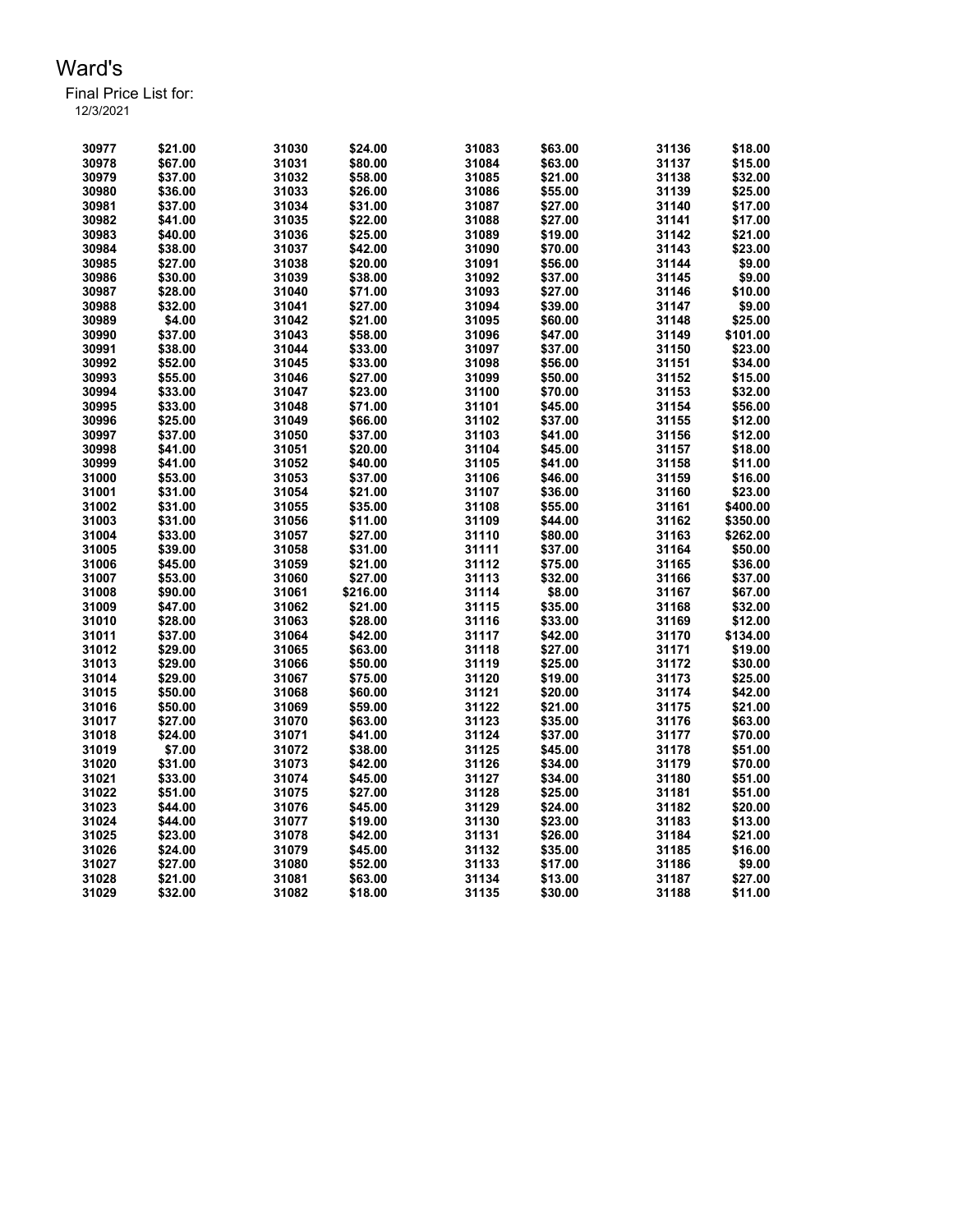Final Price List for:

| 30977 | \$21.00            | 31030 | \$24.00  | 31083 | \$63.00 | 31136 | \$18.00            |
|-------|--------------------|-------|----------|-------|---------|-------|--------------------|
| 30978 | \$67.00            | 31031 | \$80.00  | 31084 | \$63.00 | 31137 | \$15.00            |
| 30979 | \$37.00            | 31032 | \$58.00  | 31085 | \$21.00 | 31138 | \$32.00            |
| 30980 | \$36.00            | 31033 | \$26.00  | 31086 | \$55.00 | 31139 | \$25.00            |
| 30981 | \$37.00            | 31034 | \$31.00  | 31087 | \$27.00 | 31140 | \$17.00            |
| 30982 | \$41.00            | 31035 | \$22.00  | 31088 | \$27.00 | 31141 | \$17.00            |
| 30983 | \$40.00            | 31036 | \$25.00  | 31089 | \$19.00 | 31142 | \$21.00            |
| 30984 | \$38.00            | 31037 | \$42.00  | 31090 | \$70.00 | 31143 | \$23.00            |
| 30985 | \$27.00            | 31038 | \$20.00  | 31091 | \$56.00 | 31144 | \$9.00             |
| 30986 | \$30.00            | 31039 | \$38.00  | 31092 | \$37.00 | 31145 | \$9.00             |
| 30987 | \$28.00            | 31040 | \$71.00  | 31093 | \$27.00 | 31146 | \$10.00            |
| 30988 | \$32.00            | 31041 | \$27.00  | 31094 | \$39.00 | 31147 | \$9.00             |
| 30989 | \$4.00             | 31042 | \$21.00  | 31095 | \$60.00 | 31148 | \$25.00            |
| 30990 | \$37.00            | 31043 | \$58.00  | 31096 | \$47.00 | 31149 | \$101.00           |
| 30991 | \$38.00            | 31044 | \$33.00  | 31097 | \$37.00 | 31150 | \$23.00            |
| 30992 | \$52.00            | 31045 | \$33.00  | 31098 | \$56.00 | 31151 | \$34.00            |
| 30993 | \$55.00            | 31046 | \$27.00  | 31099 | \$50.00 | 31152 | \$15.00            |
| 30994 | \$33.00            | 31047 | \$23.00  | 31100 | \$70.00 | 31153 | \$32.00            |
| 30995 | \$33.00            | 31048 | \$71.00  | 31101 | \$45.00 | 31154 | \$56.00            |
| 30996 | \$25.00            | 31049 | \$66.00  | 31102 | \$37.00 | 31155 | \$12.00            |
| 30997 | \$37.00            | 31050 | \$37.00  | 31103 | \$41.00 | 31156 | \$12.00            |
| 30998 | \$41.00            | 31051 | \$20.00  | 31104 | \$45.00 | 31157 | \$18.00            |
| 30999 | \$41.00            | 31052 | \$40.00  | 31105 | \$41.00 | 31158 | \$11.00            |
| 31000 | \$53.00            | 31053 | \$37.00  | 31106 | \$46.00 | 31159 | \$16.00            |
| 31001 | \$31.00            | 31054 | \$21.00  | 31107 | \$36.00 | 31160 | \$23.00            |
| 31002 | \$31.00            | 31055 | \$35.00  | 31108 | \$55.00 | 31161 | \$400.00           |
| 31003 | \$31.00            | 31056 | \$11.00  | 31109 | \$44.00 | 31162 | \$350.00           |
| 31004 | \$33.00            | 31057 | \$27.00  | 31110 | \$80.00 | 31163 | \$262.00           |
| 31005 | \$39.00            | 31058 | \$31.00  | 31111 | \$37.00 | 31164 | \$50.00            |
| 31006 | \$45.00            | 31059 | \$21.00  | 31112 | \$75.00 | 31165 | \$36.00            |
| 31007 | \$53.00            | 31060 | \$27.00  | 31113 | \$32.00 | 31166 | \$37.00            |
| 31008 | \$90.00            | 31061 | \$216.00 | 31114 | \$8.00  | 31167 | \$67.00            |
| 31009 | \$47.00            | 31062 | \$21.00  | 31115 | \$35.00 | 31168 | \$32.00            |
| 31010 | \$28.00            | 31063 | \$28.00  | 31116 | \$33.00 | 31169 | \$12.00            |
| 31011 | \$37.00            | 31064 | \$42.00  | 31117 | \$42.00 | 31170 | \$134.00           |
| 31012 | \$29.00            | 31065 | \$63.00  | 31118 | \$27.00 | 31171 | \$19.00            |
| 31013 | \$29.00            | 31066 | \$50.00  | 31119 | \$25.00 | 31172 | \$30.00            |
| 31014 | \$29.00            | 31067 | \$75.00  | 31120 | \$19.00 | 31173 | \$25.00            |
| 31015 | \$50.00            | 31068 | \$60.00  | 31121 | \$20.00 | 31174 | \$42.00            |
| 31016 | \$50.00            | 31069 | \$59.00  | 31122 | \$21.00 | 31175 | \$21.00            |
| 31017 | \$27.00            | 31070 | \$63.00  | 31123 | \$35.00 | 31176 | \$63.00            |
| 31018 | \$24.00            | 31071 | \$41.00  | 31124 | \$37.00 | 31177 | \$70.00            |
| 31019 | \$7.00             | 31072 | \$38.00  | 31125 | \$45.00 | 31178 | \$51.00            |
| 31020 | \$31.00            | 31073 | \$42.00  | 31126 | \$34.00 | 31179 | \$70.00            |
| 31021 | \$33.00            | 31074 | \$45.00  | 31127 | \$34.00 | 31180 | \$51.00            |
| 31022 | \$51.00            | 31075 | \$27.00  | 31128 | \$25.00 | 31181 | \$51.00            |
| 31023 | \$44.00            | 31076 | \$45.00  | 31129 | \$24.00 | 31182 | \$20.00            |
| 31024 |                    | 31077 | \$19.00  | 31130 | \$23.00 | 31183 |                    |
| 31025 | \$44.00<br>\$23.00 | 31078 | \$42.00  | 31131 | \$26.00 | 31184 | \$13.00<br>\$21.00 |
| 31026 | \$24.00            | 31079 | \$45.00  | 31132 | \$35.00 | 31185 | \$16.00            |
| 31027 | \$27.00            | 31080 | \$52.00  | 31133 | \$17.00 | 31186 | \$9.00             |
| 31028 | \$21.00            | 31081 | \$63.00  | 31134 | \$13.00 | 31187 | \$27.00            |
| 31029 | \$32.00            | 31082 | \$18.00  | 31135 | \$30.00 | 31188 | \$11.00            |
|       |                    |       |          |       |         |       |                    |